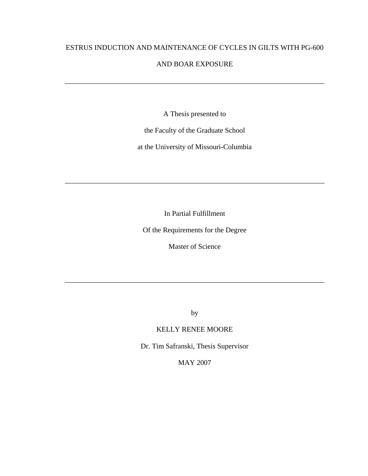# ESTRUS INDUCTION AND MAINTENANCE OF CYCLES IN GILTS WITH PG-600

### AND BOAR EXPOSURE

\_\_\_\_\_\_\_\_\_\_\_\_\_\_\_\_\_\_\_\_\_\_\_\_\_\_\_\_\_\_\_\_\_\_\_\_\_\_\_\_\_\_\_\_\_\_\_\_\_\_\_\_\_\_\_\_\_\_\_\_\_\_\_\_\_\_\_\_\_\_\_\_

A Thesis presented to

the Faculty of the Graduate School

at the University of Missouri-Columbia

In Partial Fulfillment

\_\_\_\_\_\_\_\_\_\_\_\_\_\_\_\_\_\_\_\_\_\_\_\_\_\_\_\_\_\_\_\_\_\_\_\_\_\_\_\_\_\_\_\_\_\_\_\_\_\_\_\_\_\_\_\_\_\_\_\_\_\_\_\_\_\_\_\_\_\_\_\_

Of the Requirements for the Degree

Master of Science

by

\_\_\_\_\_\_\_\_\_\_\_\_\_\_\_\_\_\_\_\_\_\_\_\_\_\_\_\_\_\_\_\_\_\_\_\_\_\_\_\_\_\_\_\_\_\_\_\_\_\_\_\_\_\_\_\_\_\_\_\_\_\_\_\_\_\_\_\_\_\_\_\_

## KELLY RENEE MOORE

Dr. Tim Safranski, Thesis Supervisor

MAY 2007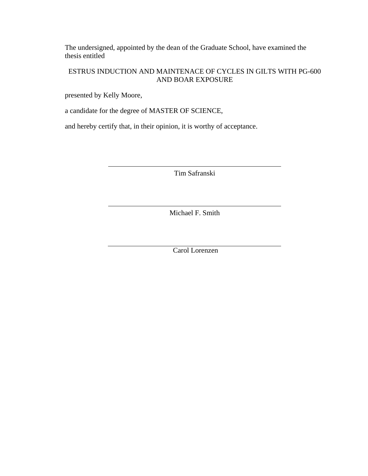The undersigned, appointed by the dean of the Graduate School, have examined the thesis entitled

# ESTRUS INDUCTION AND MAINTENACE OF CYCLES IN GILTS WITH PG-600 AND BOAR EXPOSURE

presented by Kelly Moore,

a candidate for the degree of MASTER OF SCIENCE,

and hereby certify that, in their opinion, it is worthy of acceptance.

Tim Safranski

Michael F. Smith

Carol Lorenzen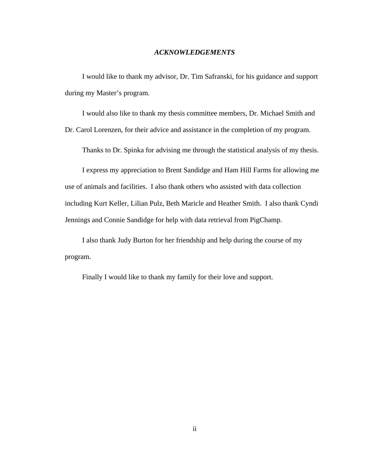#### *ACKNOWLEDGEMENTS*

I would like to thank my advisor, Dr. Tim Safranski, for his guidance and support during my Master's program.

I would also like to thank my thesis committee members, Dr. Michael Smith and

Dr. Carol Lorenzen, for their advice and assistance in the completion of my program.

Thanks to Dr. Spinka for advising me through the statistical analysis of my thesis.

I express my appreciation to Brent Sandidge and Ham Hill Farms for allowing me use of animals and facilities. I also thank others who assisted with data collection including Kurt Keller, Lilian Pulz, Beth Maricle and Heather Smith. I also thank Cyndi Jennings and Connie Sandidge for help with data retrieval from PigChamp.

I also thank Judy Burton for her friendship and help during the course of my program.

Finally I would like to thank my family for their love and support.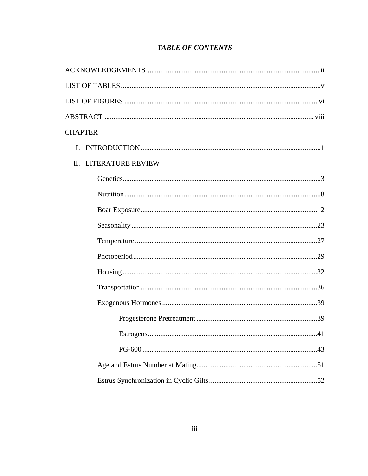|  | <b>TABLE OF CONTENTS</b> |
|--|--------------------------|
|--|--------------------------|

| <b>CHAPTER</b>        |
|-----------------------|
| $\mathbf{I}$ .        |
| II. LITERATURE REVIEW |
|                       |
|                       |
|                       |
|                       |
|                       |
|                       |
|                       |
|                       |
|                       |
|                       |
| Estrogens<br>.41      |
|                       |
|                       |
|                       |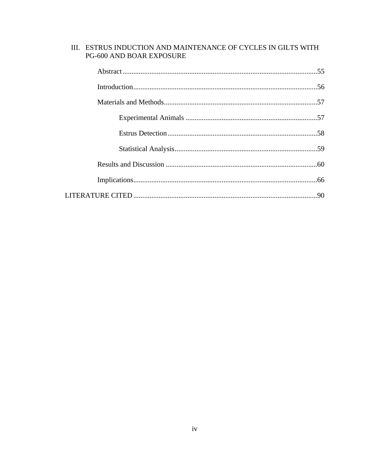| III. ESTRUS INDUCTION AND MAINTENANCE OF CYCLES IN GILTS WITH<br>PG-600 AND BOAR EXPOSURE |  |
|-------------------------------------------------------------------------------------------|--|
|                                                                                           |  |
|                                                                                           |  |
|                                                                                           |  |
|                                                                                           |  |
|                                                                                           |  |
|                                                                                           |  |
|                                                                                           |  |
|                                                                                           |  |
|                                                                                           |  |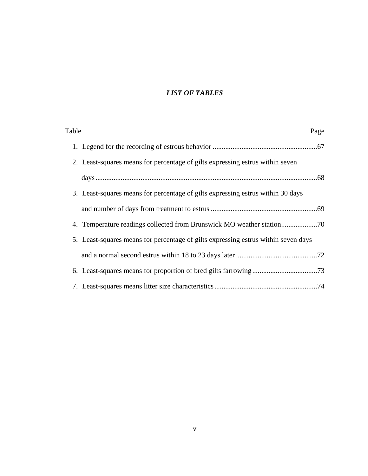# *LIST OF TABLES*

| Table |                                                                                    | Page |
|-------|------------------------------------------------------------------------------------|------|
|       |                                                                                    |      |
|       | 2. Least-squares means for percentage of gilts expressing estrus within seven      |      |
|       |                                                                                    |      |
|       | 3. Least-squares means for percentage of gilts expressing estrus within 30 days    |      |
|       |                                                                                    |      |
|       | 4. Temperature readings collected from Brunswick MO weather station70              |      |
|       | 5. Least-squares means for percentage of gilts expressing estrus within seven days |      |
|       |                                                                                    |      |
|       |                                                                                    |      |
|       |                                                                                    |      |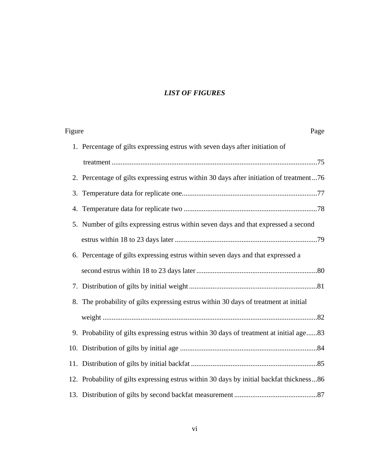# *LIST OF FIGURES*

| Page                                                                                     | Figure |
|------------------------------------------------------------------------------------------|--------|
| 1. Percentage of gilts expressing estrus with seven days after initiation of             |        |
|                                                                                          |        |
| 2. Percentage of gilts expressing estrus within 30 days after initiation of treatment76  |        |
|                                                                                          |        |
|                                                                                          |        |
| 5. Number of gilts expressing estrus within seven days and that expressed a second       |        |
|                                                                                          |        |
| 6. Percentage of gilts expressing estrus within seven days and that expressed a          |        |
|                                                                                          |        |
|                                                                                          |        |
| 8. The probability of gilts expressing estrus within 30 days of treatment at initial     |        |
|                                                                                          |        |
| 9. Probability of gilts expressing estrus within 30 days of treatment at initial age83   |        |
|                                                                                          |        |
|                                                                                          |        |
| 12. Probability of gilts expressing estrus within 30 days by initial backfat thickness86 |        |
|                                                                                          |        |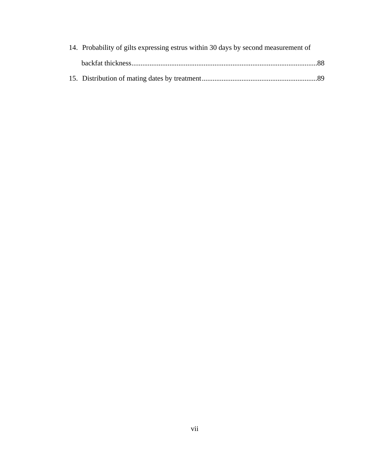| 14. Probability of gilts expressing estrus within 30 days by second measurement of |  |
|------------------------------------------------------------------------------------|--|
|                                                                                    |  |
|                                                                                    |  |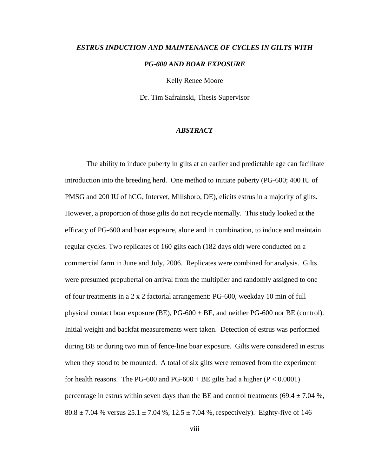# *ESTRUS INDUCTION AND MAINTENANCE OF CYCLES IN GILTS WITH PG-600 AND BOAR EXPOSURE*

Kelly Renee Moore

Dr. Tim Safrainski, Thesis Supervisor

#### *ABSTRACT*

 The ability to induce puberty in gilts at an earlier and predictable age can facilitate introduction into the breeding herd. One method to initiate puberty (PG-600; 400 IU of PMSG and 200 IU of hCG, Intervet, Millsboro, DE), elicits estrus in a majority of gilts. However, a proportion of those gilts do not recycle normally. This study looked at the efficacy of PG-600 and boar exposure, alone and in combination, to induce and maintain regular cycles. Two replicates of 160 gilts each (182 days old) were conducted on a commercial farm in June and July, 2006. Replicates were combined for analysis. Gilts were presumed prepubertal on arrival from the multiplier and randomly assigned to one of four treatments in a 2 x 2 factorial arrangement: PG-600, weekday 10 min of full physical contact boar exposure (BE), PG-600 + BE, and neither PG-600 nor BE (control). Initial weight and backfat measurements were taken. Detection of estrus was performed during BE or during two min of fence-line boar exposure. Gilts were considered in estrus when they stood to be mounted. A total of six gilts were removed from the experiment for health reasons. The PG-600 and PG-600 + BE gilts had a higher  $(P < 0.0001)$ percentage in estrus within seven days than the BE and control treatments (69.4  $\pm$  7.04 %,  $80.8 \pm 7.04$  % versus  $25.1 \pm 7.04$  %,  $12.5 \pm 7.04$  %, respectively). Eighty-five of 146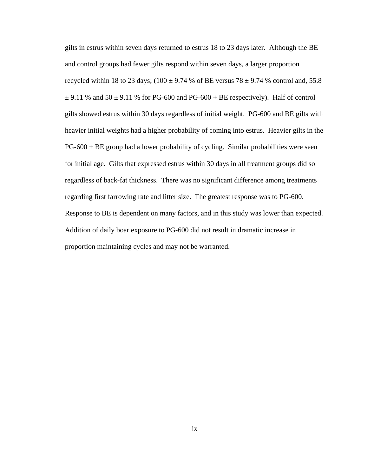gilts in estrus within seven days returned to estrus 18 to 23 days later. Although the BE and control groups had fewer gilts respond within seven days, a larger proportion recycled within 18 to 23 days; (100  $\pm$  9.74 % of BE versus 78  $\pm$  9.74 % control and, 55.8  $\pm$  9.11 % and 50  $\pm$  9.11 % for PG-600 and PG-600 + BE respectively). Half of control gilts showed estrus within 30 days regardless of initial weight. PG-600 and BE gilts with heavier initial weights had a higher probability of coming into estrus. Heavier gilts in the PG-600 + BE group had a lower probability of cycling. Similar probabilities were seen for initial age. Gilts that expressed estrus within 30 days in all treatment groups did so regardless of back-fat thickness. There was no significant difference among treatments regarding first farrowing rate and litter size. The greatest response was to PG-600. Response to BE is dependent on many factors, and in this study was lower than expected. Addition of daily boar exposure to PG-600 did not result in dramatic increase in proportion maintaining cycles and may not be warranted.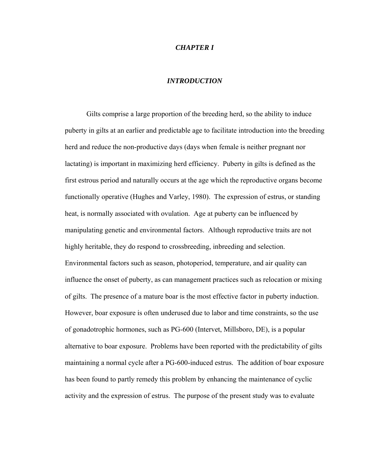#### *CHAPTER I*

#### *INTRODUCTION*

 Gilts comprise a large proportion of the breeding herd, so the ability to induce puberty in gilts at an earlier and predictable age to facilitate introduction into the breeding herd and reduce the non-productive days (days when female is neither pregnant nor lactating) is important in maximizing herd efficiency. Puberty in gilts is defined as the first estrous period and naturally occurs at the age which the reproductive organs become functionally operative (Hughes and Varley, 1980). The expression of estrus, or standing heat, is normally associated with ovulation. Age at puberty can be influenced by manipulating genetic and environmental factors. Although reproductive traits are not highly heritable, they do respond to crossbreeding, inbreeding and selection. Environmental factors such as season, photoperiod, temperature, and air quality can influence the onset of puberty, as can management practices such as relocation or mixing of gilts. The presence of a mature boar is the most effective factor in puberty induction. However, boar exposure is often underused due to labor and time constraints, so the use of gonadotrophic hormones, such as PG-600 (Intervet, Millsboro, DE), is a popular alternative to boar exposure. Problems have been reported with the predictability of gilts maintaining a normal cycle after a PG-600-induced estrus. The addition of boar exposure has been found to partly remedy this problem by enhancing the maintenance of cyclic activity and the expression of estrus. The purpose of the present study was to evaluate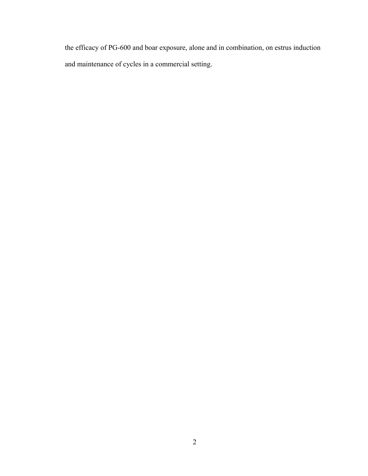the efficacy of PG-600 and boar exposure, alone and in combination, on estrus induction and maintenance of cycles in a commercial setting.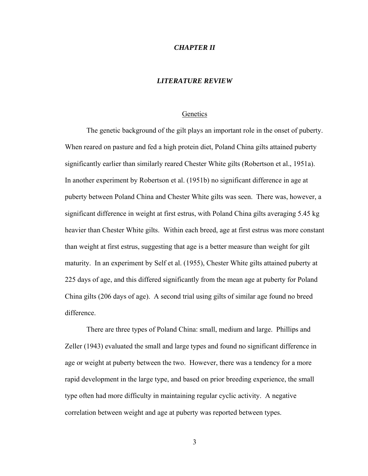#### *CHAPTER II*

#### *LITERATURE REVIEW*

#### Genetics

The genetic background of the gilt plays an important role in the onset of puberty. When reared on pasture and fed a high protein diet, Poland China gilts attained puberty significantly earlier than similarly reared Chester White gilts (Robertson et al., 1951a). In another experiment by Robertson et al. (1951b) no significant difference in age at puberty between Poland China and Chester White gilts was seen. There was, however, a significant difference in weight at first estrus, with Poland China gilts averaging 5.45 kg heavier than Chester White gilts. Within each breed, age at first estrus was more constant than weight at first estrus, suggesting that age is a better measure than weight for gilt maturity. In an experiment by Self et al. (1955), Chester White gilts attained puberty at 225 days of age, and this differed significantly from the mean age at puberty for Poland China gilts (206 days of age). A second trial using gilts of similar age found no breed difference.

There are three types of Poland China: small, medium and large. Phillips and Zeller (1943) evaluated the small and large types and found no significant difference in age or weight at puberty between the two. However, there was a tendency for a more rapid development in the large type, and based on prior breeding experience, the small type often had more difficulty in maintaining regular cyclic activity. A negative correlation between weight and age at puberty was reported between types.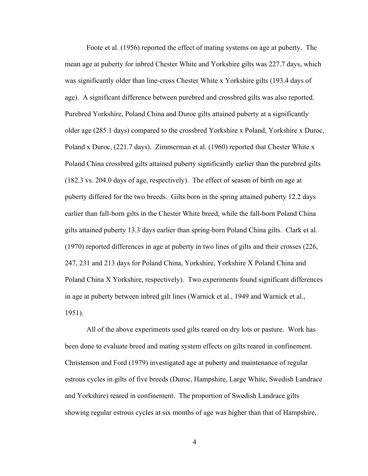Foote et al. (1956) reported the effect of mating systems on age at puberty. The mean age at puberty for inbred Chester White and Yorkshire gilts was 227.7 days, which was significantly older than line-cross Chester White x Yorkshire gilts (193.4 days of age). A significant difference between purebred and crossbred gilts was also reported. Purebred Yorkshire, Poland China and Duroc gilts attained puberty at a significantly older age (285.1 days) compared to the crossbred Yorkshire x Poland, Yorkshire x Duroc, Poland x Duroc, (221.7 days). Zimmerman et al. (1960) reported that Chester White x Poland China crossbred gilts attained puberty significantly earlier than the purebred gilts (182.3 vs. 204.0 days of age, respectively). The effect of season of birth on age at puberty differed for the two breeds. Gilts born in the spring attained puberty 12.2 days earlier than fall-born gilts in the Chester White breed, while the fall-born Poland China gilts attained puberty 13.3 days earlier than spring-born Poland China gilts. Clark et al. (1970) reported differences in age at puberty in two lines of gilts and their crosses (226, 247, 231 and 213 days for Poland China, Yorkshire, Yorkshire X Poland China and Poland China X Yorkshire, respectively). Two experiments found significant differences in age at puberty between inbred gilt lines (Warnick et al., 1949 and Warnick et al., 1951).

All of the above experiments used gilts reared on dry lots or pasture. Work has been done to evaluate breed and mating system effects on gilts reared in confinement. Christenson and Ford (1979) investigated age at puberty and maintenance of regular estrous cycles in gilts of five breeds (Duroc, Hampshire, Large White, Swedish Landrace and Yorkshire) reared in confinement. The proportion of Swedish Landrace gilts showing regular estrous cycles at six months of age was higher than that of Hampshire,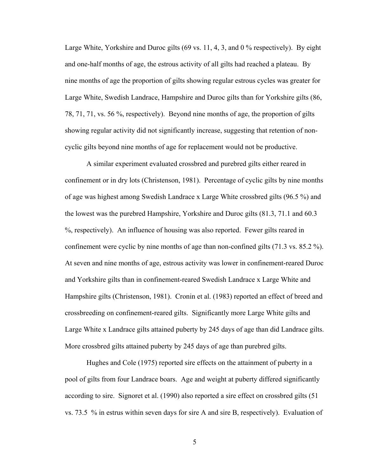Large White, Yorkshire and Duroc gilts (69 vs. 11, 4, 3, and 0 % respectively). By eight and one-half months of age, the estrous activity of all gilts had reached a plateau. By nine months of age the proportion of gilts showing regular estrous cycles was greater for Large White, Swedish Landrace, Hampshire and Duroc gilts than for Yorkshire gilts (86, 78, 71, 71, vs. 56 %, respectively). Beyond nine months of age, the proportion of gilts showing regular activity did not significantly increase, suggesting that retention of noncyclic gilts beyond nine months of age for replacement would not be productive.

A similar experiment evaluated crossbred and purebred gilts either reared in confinement or in dry lots (Christenson, 1981). Percentage of cyclic gilts by nine months of age was highest among Swedish Landrace x Large White crossbred gilts (96.5 %) and the lowest was the purebred Hampshire, Yorkshire and Duroc gilts (81.3, 71.1 and 60.3 %, respectively). An influence of housing was also reported. Fewer gilts reared in confinement were cyclic by nine months of age than non-confined gilts (71.3 vs. 85.2 %). At seven and nine months of age, estrous activity was lower in confinement-reared Duroc and Yorkshire gilts than in confinement-reared Swedish Landrace x Large White and Hampshire gilts (Christenson, 1981). Cronin et al. (1983) reported an effect of breed and crossbreeding on confinement-reared gilts. Significantly more Large White gilts and Large White x Landrace gilts attained puberty by 245 days of age than did Landrace gilts. More crossbred gilts attained puberty by 245 days of age than purebred gilts.

Hughes and Cole (1975) reported sire effects on the attainment of puberty in a pool of gilts from four Landrace boars. Age and weight at puberty differed significantly according to sire. Signoret et al. (1990) also reported a sire effect on crossbred gilts (51 vs. 73.5 % in estrus within seven days for sire A and sire B, respectively). Evaluation of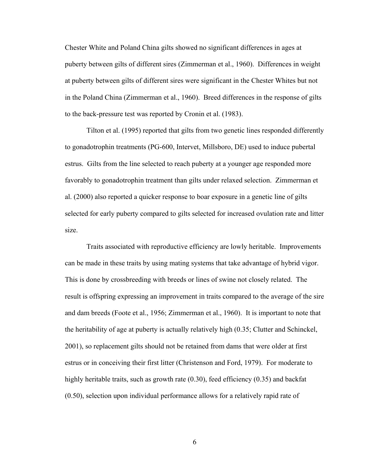Chester White and Poland China gilts showed no significant differences in ages at puberty between gilts of different sires (Zimmerman et al., 1960). Differences in weight at puberty between gilts of different sires were significant in the Chester Whites but not in the Poland China (Zimmerman et al., 1960). Breed differences in the response of gilts to the back-pressure test was reported by Cronin et al. (1983).

Tilton et al. (1995) reported that gilts from two genetic lines responded differently to gonadotrophin treatments (PG-600, Intervet, Millsboro, DE) used to induce pubertal estrus. Gilts from the line selected to reach puberty at a younger age responded more favorably to gonadotrophin treatment than gilts under relaxed selection. Zimmerman et al. (2000) also reported a quicker response to boar exposure in a genetic line of gilts selected for early puberty compared to gilts selected for increased ovulation rate and litter size.

Traits associated with reproductive efficiency are lowly heritable. Improvements can be made in these traits by using mating systems that take advantage of hybrid vigor. This is done by crossbreeding with breeds or lines of swine not closely related. The result is offspring expressing an improvement in traits compared to the average of the sire and dam breeds (Foote et al., 1956; Zimmerman et al., 1960). It is important to note that the heritability of age at puberty is actually relatively high (0.35; Clutter and Schinckel, 2001), so replacement gilts should not be retained from dams that were older at first estrus or in conceiving their first litter (Christenson and Ford, 1979). For moderate to highly heritable traits, such as growth rate (0.30), feed efficiency (0.35) and backfat (0.50), selection upon individual performance allows for a relatively rapid rate of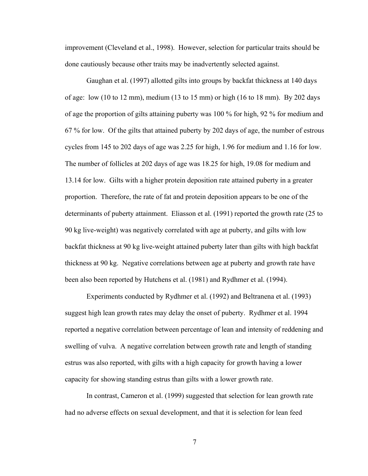improvement (Cleveland et al., 1998). However, selection for particular traits should be done cautiously because other traits may be inadvertently selected against.

Gaughan et al. (1997) allotted gilts into groups by backfat thickness at 140 days of age: low (10 to 12 mm), medium (13 to 15 mm) or high (16 to 18 mm). By 202 days of age the proportion of gilts attaining puberty was 100 % for high, 92 % for medium and 67 % for low. Of the gilts that attained puberty by 202 days of age, the number of estrous cycles from 145 to 202 days of age was 2.25 for high, 1.96 for medium and 1.16 for low. The number of follicles at 202 days of age was 18.25 for high, 19.08 for medium and 13.14 for low. Gilts with a higher protein deposition rate attained puberty in a greater proportion. Therefore, the rate of fat and protein deposition appears to be one of the determinants of puberty attainment. Eliasson et al. (1991) reported the growth rate (25 to 90 kg live-weight) was negatively correlated with age at puberty, and gilts with low backfat thickness at 90 kg live-weight attained puberty later than gilts with high backfat thickness at 90 kg. Negative correlations between age at puberty and growth rate have been also been reported by Hutchens et al. (1981) and Rydhmer et al. (1994).

Experiments conducted by Rydhmer et al. (1992) and Beltranena et al. (1993) suggest high lean growth rates may delay the onset of puberty. Rydhmer et al. 1994 reported a negative correlation between percentage of lean and intensity of reddening and swelling of vulva. A negative correlation between growth rate and length of standing estrus was also reported, with gilts with a high capacity for growth having a lower capacity for showing standing estrus than gilts with a lower growth rate.

In contrast, Cameron et al. (1999) suggested that selection for lean growth rate had no adverse effects on sexual development, and that it is selection for lean feed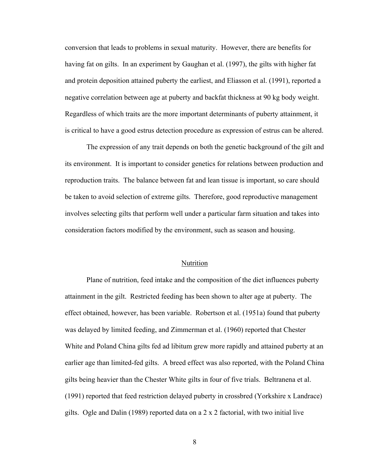conversion that leads to problems in sexual maturity. However, there are benefits for having fat on gilts. In an experiment by Gaughan et al. (1997), the gilts with higher fat and protein deposition attained puberty the earliest, and Eliasson et al. (1991), reported a negative correlation between age at puberty and backfat thickness at 90 kg body weight. Regardless of which traits are the more important determinants of puberty attainment, it is critical to have a good estrus detection procedure as expression of estrus can be altered.

The expression of any trait depends on both the genetic background of the gilt and its environment. It is important to consider genetics for relations between production and reproduction traits. The balance between fat and lean tissue is important, so care should be taken to avoid selection of extreme gilts. Therefore, good reproductive management involves selecting gilts that perform well under a particular farm situation and takes into consideration factors modified by the environment, such as season and housing.

#### Nutrition

Plane of nutrition, feed intake and the composition of the diet influences puberty attainment in the gilt. Restricted feeding has been shown to alter age at puberty. The effect obtained, however, has been variable. Robertson et al. (1951a) found that puberty was delayed by limited feeding, and Zimmerman et al. (1960) reported that Chester White and Poland China gilts fed ad libitum grew more rapidly and attained puberty at an earlier age than limited-fed gilts. A breed effect was also reported, with the Poland China gilts being heavier than the Chester White gilts in four of five trials. Beltranena et al. (1991) reported that feed restriction delayed puberty in crossbred (Yorkshire x Landrace) gilts. Ogle and Dalin (1989) reported data on a 2 x 2 factorial, with two initial live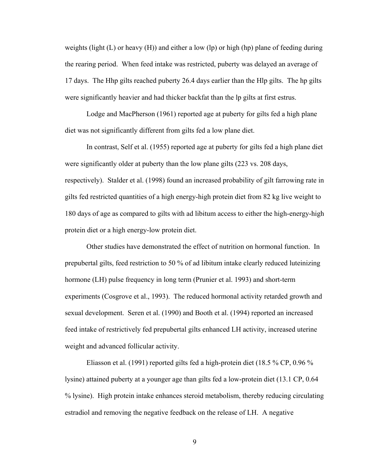weights (light  $(L)$  or heavy  $(H)$ ) and either a low (lp) or high (hp) plane of feeding during the rearing period. When feed intake was restricted, puberty was delayed an average of 17 days. The Hhp gilts reached puberty 26.4 days earlier than the Hlp gilts. The hp gilts were significantly heavier and had thicker backfat than the lp gilts at first estrus.

Lodge and MacPherson (1961) reported age at puberty for gilts fed a high plane diet was not significantly different from gilts fed a low plane diet.

In contrast, Self et al. (1955) reported age at puberty for gilts fed a high plane diet were significantly older at puberty than the low plane gilts (223 vs. 208 days, respectively). Stalder et al. (1998) found an increased probability of gilt farrowing rate in gilts fed restricted quantities of a high energy-high protein diet from 82 kg live weight to 180 days of age as compared to gilts with ad libitum access to either the high-energy-high protein diet or a high energy-low protein diet.

Other studies have demonstrated the effect of nutrition on hormonal function. In prepubertal gilts, feed restriction to 50 % of ad libitum intake clearly reduced luteinizing hormone (LH) pulse frequency in long term (Prunier et al. 1993) and short-term experiments (Cosgrove et al., 1993). The reduced hormonal activity retarded growth and sexual development. Seren et al. (1990) and Booth et al. (1994) reported an increased feed intake of restrictively fed prepubertal gilts enhanced LH activity, increased uterine weight and advanced follicular activity.

Eliasson et al. (1991) reported gilts fed a high-protein diet (18.5 % CP, 0.96 % lysine) attained puberty at a younger age than gilts fed a low-protein diet (13.1 CP, 0.64 % lysine). High protein intake enhances steroid metabolism, thereby reducing circulating estradiol and removing the negative feedback on the release of LH. A negative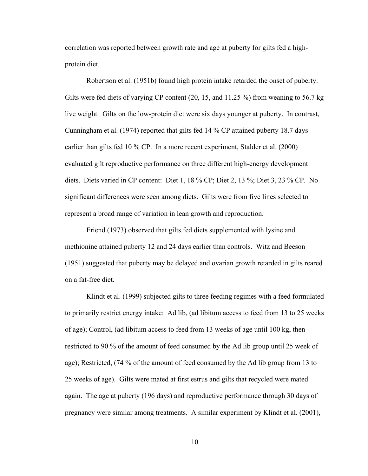correlation was reported between growth rate and age at puberty for gilts fed a highprotein diet.

Robertson et al. (1951b) found high protein intake retarded the onset of puberty. Gilts were fed diets of varying CP content (20, 15, and 11.25 %) from weaning to 56.7 kg live weight. Gilts on the low-protein diet were six days younger at puberty. In contrast, Cunningham et al. (1974) reported that gilts fed 14 % CP attained puberty 18.7 days earlier than gilts fed 10 % CP. In a more recent experiment, Stalder et al. (2000) evaluated gilt reproductive performance on three different high-energy development diets. Diets varied in CP content: Diet 1, 18 % CP; Diet 2, 13 %; Diet 3, 23 % CP. No significant differences were seen among diets. Gilts were from five lines selected to represent a broad range of variation in lean growth and reproduction.

Friend (1973) observed that gilts fed diets supplemented with lysine and methionine attained puberty 12 and 24 days earlier than controls. Witz and Beeson (1951) suggested that puberty may be delayed and ovarian growth retarded in gilts reared on a fat-free diet.

Klindt et al. (1999) subjected gilts to three feeding regimes with a feed formulated to primarily restrict energy intake: Ad lib, (ad libitum access to feed from 13 to 25 weeks of age); Control, (ad libitum access to feed from 13 weeks of age until 100 kg, then restricted to 90 % of the amount of feed consumed by the Ad lib group until 25 week of age); Restricted, (74 % of the amount of feed consumed by the Ad lib group from 13 to 25 weeks of age). Gilts were mated at first estrus and gilts that recycled were mated again. The age at puberty (196 days) and reproductive performance through 30 days of pregnancy were similar among treatments. A similar experiment by Klindt et al. (2001),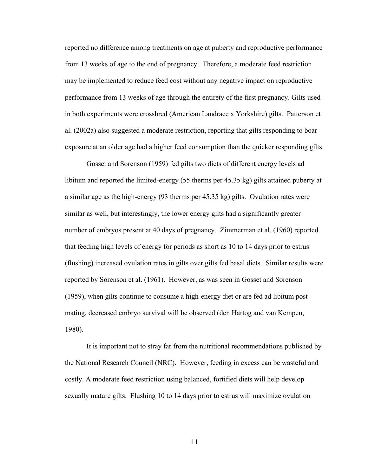reported no difference among treatments on age at puberty and reproductive performance from 13 weeks of age to the end of pregnancy. Therefore, a moderate feed restriction may be implemented to reduce feed cost without any negative impact on reproductive performance from 13 weeks of age through the entirety of the first pregnancy. Gilts used in both experiments were crossbred (American Landrace x Yorkshire) gilts. Patterson et al. (2002a) also suggested a moderate restriction, reporting that gilts responding to boar exposure at an older age had a higher feed consumption than the quicker responding gilts.

Gosset and Sorenson (1959) fed gilts two diets of different energy levels ad libitum and reported the limited-energy (55 therms per 45.35 kg) gilts attained puberty at a similar age as the high-energy (93 therms per 45.35 kg) gilts. Ovulation rates were similar as well, but interestingly, the lower energy gilts had a significantly greater number of embryos present at 40 days of pregnancy. Zimmerman et al. (1960) reported that feeding high levels of energy for periods as short as 10 to 14 days prior to estrus (flushing) increased ovulation rates in gilts over gilts fed basal diets. Similar results were reported by Sorenson et al. (1961). However, as was seen in Gosset and Sorenson (1959), when gilts continue to consume a high-energy diet or are fed ad libitum postmating, decreased embryo survival will be observed (den Hartog and van Kempen, 1980).

It is important not to stray far from the nutritional recommendations published by the National Research Council (NRC). However, feeding in excess can be wasteful and costly. A moderate feed restriction using balanced, fortified diets will help develop sexually mature gilts. Flushing 10 to 14 days prior to estrus will maximize ovulation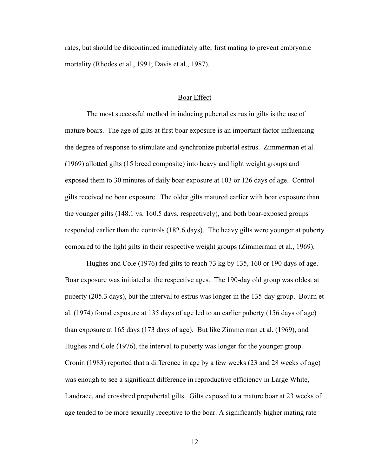rates, but should be discontinued immediately after first mating to prevent embryonic mortality (Rhodes et al., 1991; Davis et al., 1987).

#### Boar Effect

The most successful method in inducing pubertal estrus in gilts is the use of mature boars. The age of gilts at first boar exposure is an important factor influencing the degree of response to stimulate and synchronize pubertal estrus. Zimmerman et al. (1969) allotted gilts (15 breed composite) into heavy and light weight groups and exposed them to 30 minutes of daily boar exposure at 103 or 126 days of age. Control gilts received no boar exposure. The older gilts matured earlier with boar exposure than the younger gilts (148.1 vs. 160.5 days, respectively), and both boar-exposed groups responded earlier than the controls (182.6 days). The heavy gilts were younger at puberty compared to the light gilts in their respective weight groups (Zimmerman et al., 1969).

Hughes and Cole (1976) fed gilts to reach 73 kg by 135, 160 or 190 days of age. Boar exposure was initiated at the respective ages. The 190-day old group was oldest at puberty (205.3 days), but the interval to estrus was longer in the 135-day group. Bourn et al. (1974) found exposure at 135 days of age led to an earlier puberty (156 days of age) than exposure at 165 days (173 days of age). But like Zimmerman et al. (1969), and Hughes and Cole (1976), the interval to puberty was longer for the younger group. Cronin (1983) reported that a difference in age by a few weeks (23 and 28 weeks of age) was enough to see a significant difference in reproductive efficiency in Large White, Landrace, and crossbred prepubertal gilts. Gilts exposed to a mature boar at 23 weeks of age tended to be more sexually receptive to the boar. A significantly higher mating rate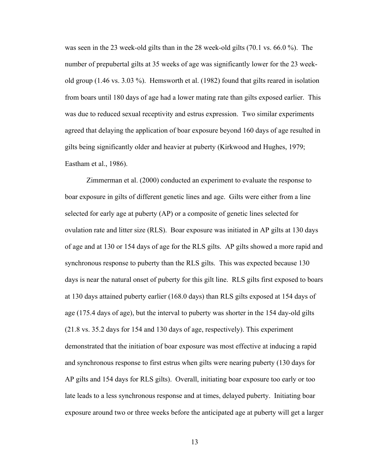was seen in the 23 week-old gilts than in the 28 week-old gilts (70.1 vs. 66.0 %). The number of prepubertal gilts at 35 weeks of age was significantly lower for the 23 weekold group (1.46 vs. 3.03 %). Hemsworth et al. (1982) found that gilts reared in isolation from boars until 180 days of age had a lower mating rate than gilts exposed earlier. This was due to reduced sexual receptivity and estrus expression. Two similar experiments agreed that delaying the application of boar exposure beyond 160 days of age resulted in gilts being significantly older and heavier at puberty (Kirkwood and Hughes, 1979; Eastham et al., 1986).

Zimmerman et al. (2000) conducted an experiment to evaluate the response to boar exposure in gilts of different genetic lines and age. Gilts were either from a line selected for early age at puberty (AP) or a composite of genetic lines selected for ovulation rate and litter size (RLS). Boar exposure was initiated in AP gilts at 130 days of age and at 130 or 154 days of age for the RLS gilts. AP gilts showed a more rapid and synchronous response to puberty than the RLS gilts. This was expected because 130 days is near the natural onset of puberty for this gilt line. RLS gilts first exposed to boars at 130 days attained puberty earlier (168.0 days) than RLS gilts exposed at 154 days of age (175.4 days of age), but the interval to puberty was shorter in the 154 day-old gilts (21.8 vs. 35.2 days for 154 and 130 days of age, respectively). This experiment demonstrated that the initiation of boar exposure was most effective at inducing a rapid and synchronous response to first estrus when gilts were nearing puberty (130 days for AP gilts and 154 days for RLS gilts). Overall, initiating boar exposure too early or too late leads to a less synchronous response and at times, delayed puberty. Initiating boar exposure around two or three weeks before the anticipated age at puberty will get a larger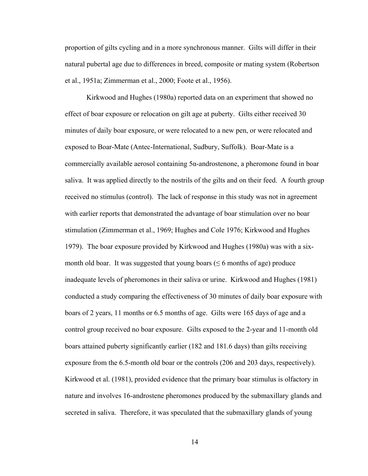proportion of gilts cycling and in a more synchronous manner. Gilts will differ in their natural pubertal age due to differences in breed, composite or mating system (Robertson et al., 1951a; Zimmerman et al., 2000; Foote et al., 1956).

Kirkwood and Hughes (1980a) reported data on an experiment that showed no effect of boar exposure or relocation on gilt age at puberty. Gilts either received 30 minutes of daily boar exposure, or were relocated to a new pen, or were relocated and exposed to Boar-Mate (Antec-International, Sudbury, Suffolk). Boar-Mate is a commercially available aerosol containing 5α-androstenone, a pheromone found in boar saliva. It was applied directly to the nostrils of the gilts and on their feed. A fourth group received no stimulus (control). The lack of response in this study was not in agreement with earlier reports that demonstrated the advantage of boar stimulation over no boar stimulation (Zimmerman et al., 1969; Hughes and Cole 1976; Kirkwood and Hughes 1979). The boar exposure provided by Kirkwood and Hughes (1980a) was with a sixmonth old boar. It was suggested that young boars  $(\leq 6 \text{ months of age})$  produce inadequate levels of pheromones in their saliva or urine. Kirkwood and Hughes (1981) conducted a study comparing the effectiveness of 30 minutes of daily boar exposure with boars of 2 years, 11 months or 6.5 months of age. Gilts were 165 days of age and a control group received no boar exposure. Gilts exposed to the 2-year and 11-month old boars attained puberty significantly earlier (182 and 181.6 days) than gilts receiving exposure from the 6.5-month old boar or the controls (206 and 203 days, respectively). Kirkwood et al. (1981), provided evidence that the primary boar stimulus is olfactory in nature and involves 16-androstene pheromones produced by the submaxillary glands and secreted in saliva. Therefore, it was speculated that the submaxillary glands of young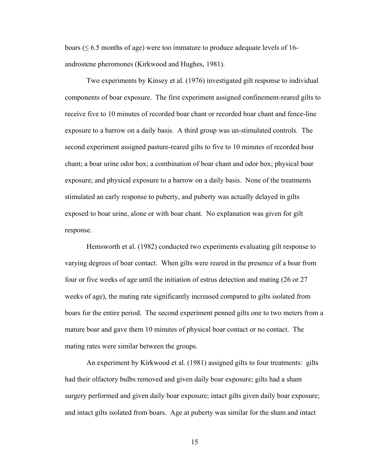boars ( $\leq 6.5$  months of age) were too immature to produce adequate levels of 16androstene pheromones (Kirkwood and Hughes, 1981).

Two experiments by Kinsey et al. (1976) investigated gilt response to individual components of boar exposure. The first experiment assigned confinement-reared gilts to receive five to 10 minutes of recorded boar chant or recorded boar chant and fence-line exposure to a barrow on a daily basis. A third group was un-stimulated controls. The second experiment assigned pasture-reared gilts to five to 10 minutes of recorded boar chant; a boar urine odor box; a combination of boar chant and odor box; physical boar exposure; and physical exposure to a barrow on a daily basis. None of the treatments stimulated an early response to puberty, and puberty was actually delayed in gilts exposed to boar urine, alone or with boar chant. No explanation was given for gilt response.

Hemsworth et al. (1982) conducted two experiments evaluating gilt response to varying degrees of boar contact. When gilts were reared in the presence of a boar from four or five weeks of age until the initiation of estrus detection and mating (26 or 27 weeks of age), the mating rate significantly increased compared to gilts isolated from boars for the entire period. The second experiment penned gilts one to two meters from a mature boar and gave them 10 minutes of physical boar contact or no contact. The mating rates were similar between the groups.

An experiment by Kirkwood et al. (1981) assigned gilts to four treatments: gilts had their olfactory bulbs removed and given daily boar exposure; gilts had a sham surgery performed and given daily boar exposure; intact gilts given daily boar exposure; and intact gilts isolated from boars. Age at puberty was similar for the sham and intact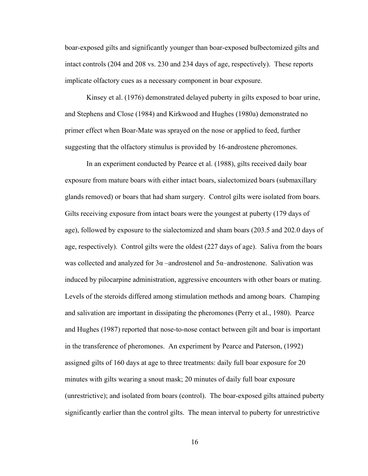boar-exposed gilts and significantly younger than boar-exposed bulbectomized gilts and intact controls (204 and 208 vs. 230 and 234 days of age, respectively). These reports implicate olfactory cues as a necessary component in boar exposure.

Kinsey et al. (1976) demonstrated delayed puberty in gilts exposed to boar urine, and Stephens and Close (1984) and Kirkwood and Hughes (1980a) demonstrated no primer effect when Boar-Mate was sprayed on the nose or applied to feed, further suggesting that the olfactory stimulus is provided by 16-androstene pheromones.

In an experiment conducted by Pearce et al. (1988), gilts received daily boar exposure from mature boars with either intact boars, sialectomized boars (submaxillary glands removed) or boars that had sham surgery. Control gilts were isolated from boars. Gilts receiving exposure from intact boars were the youngest at puberty (179 days of age), followed by exposure to the sialectomized and sham boars (203.5 and 202.0 days of age, respectively). Control gilts were the oldest (227 days of age). Saliva from the boars was collected and analyzed for  $3\alpha$  –androstenol and  $5\alpha$ –androstenone. Salivation was induced by pilocarpine administration, aggressive encounters with other boars or mating. Levels of the steroids differed among stimulation methods and among boars. Champing and salivation are important in dissipating the pheromones (Perry et al., 1980). Pearce and Hughes (1987) reported that nose-to-nose contact between gilt and boar is important in the transference of pheromones. An experiment by Pearce and Paterson, (1992) assigned gilts of 160 days at age to three treatments: daily full boar exposure for 20 minutes with gilts wearing a snout mask; 20 minutes of daily full boar exposure (unrestrictive); and isolated from boars (control). The boar-exposed gilts attained puberty significantly earlier than the control gilts. The mean interval to puberty for unrestrictive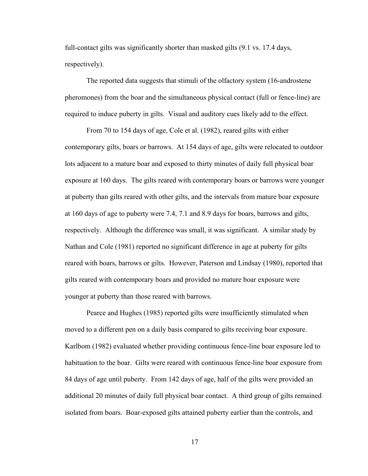full-contact gilts was significantly shorter than masked gilts (9.1 vs. 17.4 days, respectively).

The reported data suggests that stimuli of the olfactory system (16-androstene pheromones) from the boar and the simultaneous physical contact (full or fence-line) are required to induce puberty in gilts. Visual and auditory cues likely add to the effect.

From 70 to 154 days of age, Cole et al. (1982), reared gilts with either contemporary gilts, boars or barrows. At 154 days of age, gilts were relocated to outdoor lots adjacent to a mature boar and exposed to thirty minutes of daily full physical boar exposure at 160 days. The gilts reared with contemporary boars or barrows were younger at puberty than gilts reared with other gilts, and the intervals from mature boar exposure at 160 days of age to puberty were 7.4, 7.1 and 8.9 days for boars, barrows and gilts, respectively. Although the difference was small, it was significant. A similar study by Nathan and Cole (1981) reported no significant difference in age at puberty for gilts reared with boars, barrows or gilts. However, Paterson and Lindsay (1980), reported that gilts reared with contemporary boars and provided no mature boar exposure were younger at puberty than those reared with barrows.

Pearce and Hughes (1985) reported gilts were insufficiently stimulated when moved to a different pen on a daily basis compared to gilts receiving boar exposure. Karlbom (1982) evaluated whether providing continuous fence-line boar exposure led to habituation to the boar. Gilts were reared with continuous fence-line boar exposure from 84 days of age until puberty. From 142 days of age, half of the gilts were provided an additional 20 minutes of daily full physical boar contact. A third group of gilts remained isolated from boars. Boar-exposed gilts attained puberty earlier than the controls, and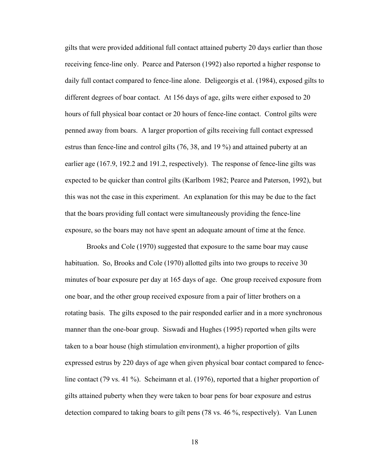gilts that were provided additional full contact attained puberty 20 days earlier than those receiving fence-line only. Pearce and Paterson (1992) also reported a higher response to daily full contact compared to fence-line alone. Deligeorgis et al. (1984), exposed gilts to different degrees of boar contact. At 156 days of age, gilts were either exposed to 20 hours of full physical boar contact or 20 hours of fence-line contact. Control gilts were penned away from boars. A larger proportion of gilts receiving full contact expressed estrus than fence-line and control gilts (76, 38, and 19 %) and attained puberty at an earlier age (167.9, 192.2 and 191.2, respectively). The response of fence-line gilts was expected to be quicker than control gilts (Karlbom 1982; Pearce and Paterson, 1992), but this was not the case in this experiment. An explanation for this may be due to the fact that the boars providing full contact were simultaneously providing the fence-line exposure, so the boars may not have spent an adequate amount of time at the fence.

Brooks and Cole (1970) suggested that exposure to the same boar may cause habituation. So, Brooks and Cole (1970) allotted gilts into two groups to receive 30 minutes of boar exposure per day at 165 days of age. One group received exposure from one boar, and the other group received exposure from a pair of litter brothers on a rotating basis. The gilts exposed to the pair responded earlier and in a more synchronous manner than the one-boar group. Siswadi and Hughes (1995) reported when gilts were taken to a boar house (high stimulation environment), a higher proportion of gilts expressed estrus by 220 days of age when given physical boar contact compared to fenceline contact (79 vs. 41 %). Scheimann et al. (1976), reported that a higher proportion of gilts attained puberty when they were taken to boar pens for boar exposure and estrus detection compared to taking boars to gilt pens (78 vs. 46 %, respectively). Van Lunen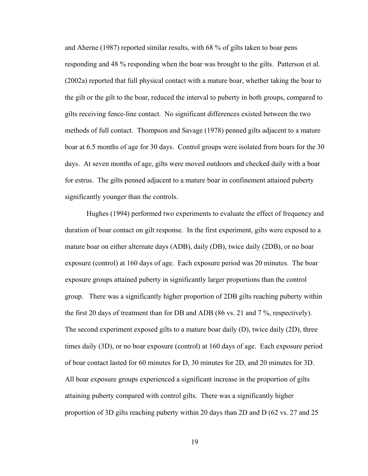and Aherne (1987) reported similar results, with 68 % of gilts taken to boar pens responding and 48 % responding when the boar was brought to the gilts. Patterson et al. (2002a) reported that full physical contact with a mature boar, whether taking the boar to the gilt or the gilt to the boar, reduced the interval to puberty in both groups, compared to gilts receiving fence-line contact. No significant differences existed between the two methods of full contact. Thompson and Savage (1978) penned gilts adjacent to a mature boar at 6.5 months of age for 30 days. Control groups were isolated from boars for the 30 days. At seven months of age, gilts were moved outdoors and checked daily with a boar for estrus. The gilts penned adjacent to a mature boar in confinement attained puberty significantly younger than the controls.

Hughes (1994) performed two experiments to evaluate the effect of frequency and duration of boar contact on gilt response. In the first experiment, gilts were exposed to a mature boar on either alternate days (ADB), daily (DB), twice daily (2DB), or no boar exposure (control) at 160 days of age. Each exposure period was 20 minutes. The boar exposure groups attained puberty in significantly larger proportions than the control group. There was a significantly higher proportion of 2DB gilts reaching puberty within the first 20 days of treatment than for DB and ADB (86 vs. 21 and 7 %, respectively). The second experiment exposed gilts to a mature boar daily (D), twice daily (2D), three times daily (3D), or no boar exposure (control) at 160 days of age. Each exposure period of boar contact lasted for 60 minutes for D, 30 minutes for 2D, and 20 minutes for 3D. All boar exposure groups experienced a significant increase in the proportion of gilts attaining puberty compared with control gilts. There was a significantly higher proportion of 3D gilts reaching puberty within 20 days than 2D and D (62 vs. 27 and 25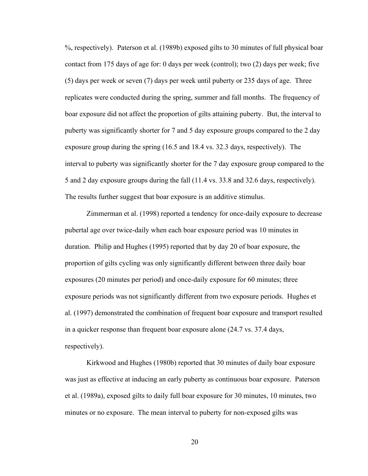%, respectively). Paterson et al. (1989b) exposed gilts to 30 minutes of full physical boar contact from 175 days of age for: 0 days per week (control); two (2) days per week; five (5) days per week or seven (7) days per week until puberty or 235 days of age. Three replicates were conducted during the spring, summer and fall months. The frequency of boar exposure did not affect the proportion of gilts attaining puberty. But, the interval to puberty was significantly shorter for 7 and 5 day exposure groups compared to the 2 day exposure group during the spring (16.5 and 18.4 vs. 32.3 days, respectively). The interval to puberty was significantly shorter for the 7 day exposure group compared to the 5 and 2 day exposure groups during the fall (11.4 vs. 33.8 and 32.6 days, respectively). The results further suggest that boar exposure is an additive stimulus.

Zimmerman et al. (1998) reported a tendency for once-daily exposure to decrease pubertal age over twice-daily when each boar exposure period was 10 minutes in duration. Philip and Hughes (1995) reported that by day 20 of boar exposure, the proportion of gilts cycling was only significantly different between three daily boar exposures (20 minutes per period) and once-daily exposure for 60 minutes; three exposure periods was not significantly different from two exposure periods. Hughes et al. (1997) demonstrated the combination of frequent boar exposure and transport resulted in a quicker response than frequent boar exposure alone (24.7 vs. 37.4 days, respectively).

Kirkwood and Hughes (1980b) reported that 30 minutes of daily boar exposure was just as effective at inducing an early puberty as continuous boar exposure. Paterson et al. (1989a), exposed gilts to daily full boar exposure for 30 minutes, 10 minutes, two minutes or no exposure. The mean interval to puberty for non-exposed gilts was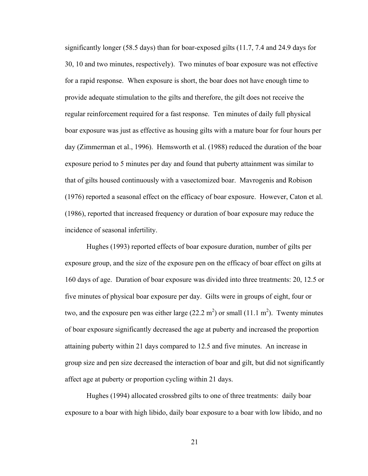significantly longer (58.5 days) than for boar-exposed gilts (11.7, 7.4 and 24.9 days for 30, 10 and two minutes, respectively). Two minutes of boar exposure was not effective for a rapid response. When exposure is short, the boar does not have enough time to provide adequate stimulation to the gilts and therefore, the gilt does not receive the regular reinforcement required for a fast response. Ten minutes of daily full physical boar exposure was just as effective as housing gilts with a mature boar for four hours per day (Zimmerman et al., 1996). Hemsworth et al. (1988) reduced the duration of the boar exposure period to 5 minutes per day and found that puberty attainment was similar to that of gilts housed continuously with a vasectomized boar. Mavrogenis and Robison (1976) reported a seasonal effect on the efficacy of boar exposure. However, Caton et al. (1986), reported that increased frequency or duration of boar exposure may reduce the incidence of seasonal infertility.

Hughes (1993) reported effects of boar exposure duration, number of gilts per exposure group, and the size of the exposure pen on the efficacy of boar effect on gilts at 160 days of age. Duration of boar exposure was divided into three treatments: 20, 12.5 or five minutes of physical boar exposure per day. Gilts were in groups of eight, four or two, and the exposure pen was either large  $(22.2 \text{ m}^2)$  or small  $(11.1 \text{ m}^2)$ . Twenty minutes of boar exposure significantly decreased the age at puberty and increased the proportion attaining puberty within 21 days compared to 12.5 and five minutes. An increase in group size and pen size decreased the interaction of boar and gilt, but did not significantly affect age at puberty or proportion cycling within 21 days.

Hughes (1994) allocated crossbred gilts to one of three treatments: daily boar exposure to a boar with high libido, daily boar exposure to a boar with low libido, and no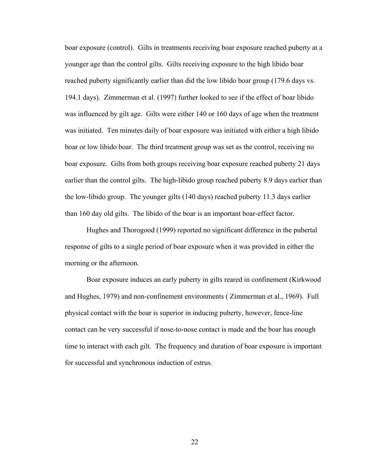boar exposure (control). Gilts in treatments receiving boar exposure reached puberty at a younger age than the control gilts. Gilts receiving exposure to the high libido boar reached puberty significantly earlier than did the low libido boar group (179.6 days vs. 194.1 days). Zimmerman et al. (1997) further looked to see if the effect of boar libido was influenced by gilt age. Gilts were either 140 or 160 days of age when the treatment was initiated. Ten minutes daily of boar exposure was initiated with either a high libido boar or low libido boar. The third treatment group was set as the control, receiving no boar exposure. Gilts from both groups receiving boar exposure reached puberty 21 days earlier than the control gilts. The high-libido group reached puberty 8.9 days earlier than the low-libido group. The younger gilts (140 days) reached puberty 11.3 days earlier than 160 day old gilts. The libido of the boar is an important boar-effect factor.

Hughes and Thorogood (1999) reported no significant difference in the pubertal response of gilts to a single period of boar exposure when it was provided in either the morning or the afternoon.

Boar exposure induces an early puberty in gilts reared in confinement (Kirkwood and Hughes, 1979) and non-confinement environments ( Zimmerman et al., 1969). Full physical contact with the boar is superior in inducing puberty, however, fence-line contact can be very successful if nose-to-nose contact is made and the boar has enough time to interact with each gilt. The frequency and duration of boar exposure is important for successful and synchronous induction of estrus.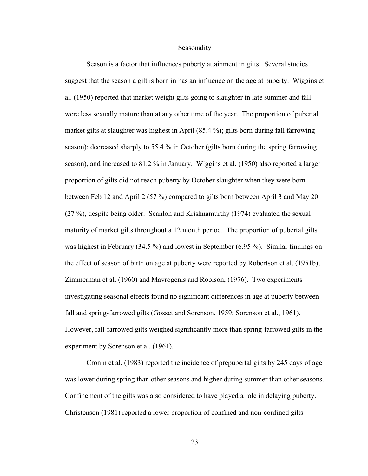#### Seasonality

Season is a factor that influences puberty attainment in gilts. Several studies suggest that the season a gilt is born in has an influence on the age at puberty. Wiggins et al. (1950) reported that market weight gilts going to slaughter in late summer and fall were less sexually mature than at any other time of the year. The proportion of pubertal market gilts at slaughter was highest in April (85.4 %); gilts born during fall farrowing season); decreased sharply to 55.4 % in October (gilts born during the spring farrowing season), and increased to 81.2 % in January. Wiggins et al. (1950) also reported a larger proportion of gilts did not reach puberty by October slaughter when they were born between Feb 12 and April 2 (57 %) compared to gilts born between April 3 and May 20 (27 %), despite being older. Scanlon and Krishnamurthy (1974) evaluated the sexual maturity of market gilts throughout a 12 month period. The proportion of pubertal gilts was highest in February (34.5 %) and lowest in September (6.95 %). Similar findings on the effect of season of birth on age at puberty were reported by Robertson et al. (1951b), Zimmerman et al. (1960) and Mavrogenis and Robison, (1976). Two experiments investigating seasonal effects found no significant differences in age at puberty between fall and spring-farrowed gilts (Gosset and Sorenson, 1959; Sorenson et al., 1961). However, fall-farrowed gilts weighed significantly more than spring-farrowed gilts in the experiment by Sorenson et al. (1961).

Cronin et al. (1983) reported the incidence of prepubertal gilts by 245 days of age was lower during spring than other seasons and higher during summer than other seasons. Confinement of the gilts was also considered to have played a role in delaying puberty. Christenson (1981) reported a lower proportion of confined and non-confined gilts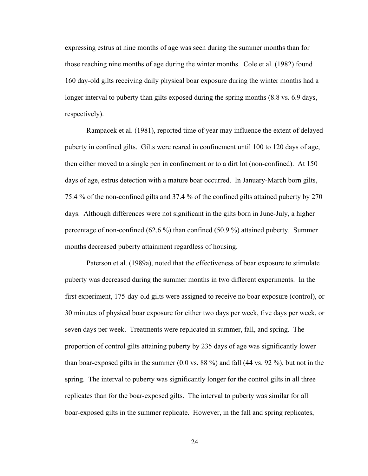expressing estrus at nine months of age was seen during the summer months than for those reaching nine months of age during the winter months. Cole et al. (1982) found 160 day-old gilts receiving daily physical boar exposure during the winter months had a longer interval to puberty than gilts exposed during the spring months  $(8.8 \text{ vs. } 6.9 \text{ days})$ respectively).

Rampacek et al. (1981), reported time of year may influence the extent of delayed puberty in confined gilts. Gilts were reared in confinement until 100 to 120 days of age, then either moved to a single pen in confinement or to a dirt lot (non-confined). At 150 days of age, estrus detection with a mature boar occurred. In January-March born gilts, 75.4 % of the non-confined gilts and 37.4 % of the confined gilts attained puberty by 270 days. Although differences were not significant in the gilts born in June-July, a higher percentage of non-confined (62.6 %) than confined (50.9 %) attained puberty. Summer months decreased puberty attainment regardless of housing.

Paterson et al. (1989a), noted that the effectiveness of boar exposure to stimulate puberty was decreased during the summer months in two different experiments. In the first experiment, 175-day-old gilts were assigned to receive no boar exposure (control), or 30 minutes of physical boar exposure for either two days per week, five days per week, or seven days per week. Treatments were replicated in summer, fall, and spring. The proportion of control gilts attaining puberty by 235 days of age was significantly lower than boar-exposed gilts in the summer (0.0 vs. 88 %) and fall (44 vs. 92 %), but not in the spring. The interval to puberty was significantly longer for the control gilts in all three replicates than for the boar-exposed gilts. The interval to puberty was similar for all boar-exposed gilts in the summer replicate. However, in the fall and spring replicates,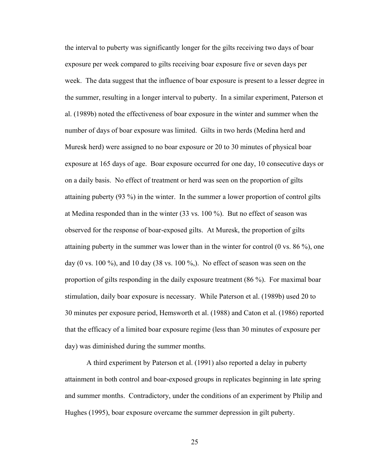the interval to puberty was significantly longer for the gilts receiving two days of boar exposure per week compared to gilts receiving boar exposure five or seven days per week. The data suggest that the influence of boar exposure is present to a lesser degree in the summer, resulting in a longer interval to puberty. In a similar experiment, Paterson et al. (1989b) noted the effectiveness of boar exposure in the winter and summer when the number of days of boar exposure was limited. Gilts in two herds (Medina herd and Muresk herd) were assigned to no boar exposure or 20 to 30 minutes of physical boar exposure at 165 days of age. Boar exposure occurred for one day, 10 consecutive days or on a daily basis. No effect of treatment or herd was seen on the proportion of gilts attaining puberty (93 %) in the winter. In the summer a lower proportion of control gilts at Medina responded than in the winter (33 vs. 100 %). But no effect of season was observed for the response of boar-exposed gilts. At Muresk, the proportion of gilts attaining puberty in the summer was lower than in the winter for control (0 vs. 86 %), one day (0 vs. 100 %), and 10 day (38 vs. 100 %). No effect of season was seen on the proportion of gilts responding in the daily exposure treatment (86 %). For maximal boar stimulation, daily boar exposure is necessary. While Paterson et al. (1989b) used 20 to 30 minutes per exposure period, Hemsworth et al. (1988) and Caton et al. (1986) reported that the efficacy of a limited boar exposure regime (less than 30 minutes of exposure per day) was diminished during the summer months.

A third experiment by Paterson et al. (1991) also reported a delay in puberty attainment in both control and boar-exposed groups in replicates beginning in late spring and summer months. Contradictory, under the conditions of an experiment by Philip and Hughes (1995), boar exposure overcame the summer depression in gilt puberty.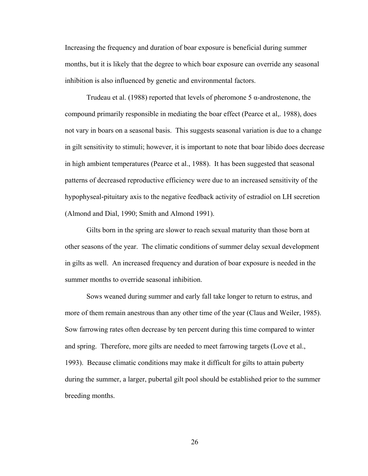Increasing the frequency and duration of boar exposure is beneficial during summer months, but it is likely that the degree to which boar exposure can override any seasonal inhibition is also influenced by genetic and environmental factors.

Trudeau et al. (1988) reported that levels of pheromone 5  $\alpha$ -androstenone, the compound primarily responsible in mediating the boar effect (Pearce et al,. 1988), does not vary in boars on a seasonal basis. This suggests seasonal variation is due to a change in gilt sensitivity to stimuli; however, it is important to note that boar libido does decrease in high ambient temperatures (Pearce et al., 1988). It has been suggested that seasonal patterns of decreased reproductive efficiency were due to an increased sensitivity of the hypophyseal-pituitary axis to the negative feedback activity of estradiol on LH secretion (Almond and Dial, 1990; Smith and Almond 1991).

Gilts born in the spring are slower to reach sexual maturity than those born at other seasons of the year. The climatic conditions of summer delay sexual development in gilts as well. An increased frequency and duration of boar exposure is needed in the summer months to override seasonal inhibition.

Sows weaned during summer and early fall take longer to return to estrus, and more of them remain anestrous than any other time of the year (Claus and Weiler, 1985). Sow farrowing rates often decrease by ten percent during this time compared to winter and spring. Therefore, more gilts are needed to meet farrowing targets (Love et al., 1993). Because climatic conditions may make it difficult for gilts to attain puberty during the summer, a larger, pubertal gilt pool should be established prior to the summer breeding months.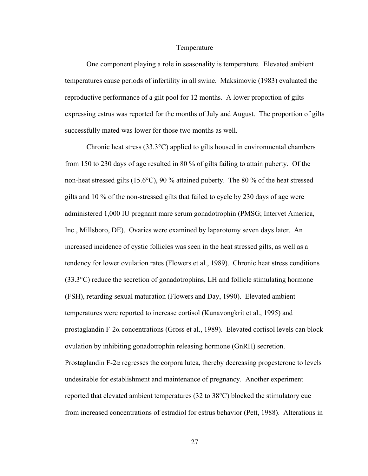#### Temperature

One component playing a role in seasonality is temperature. Elevated ambient temperatures cause periods of infertility in all swine. Maksimovic (1983) evaluated the reproductive performance of a gilt pool for 12 months. A lower proportion of gilts expressing estrus was reported for the months of July and August. The proportion of gilts successfully mated was lower for those two months as well.

Chronic heat stress  $(33.3^{\circ}C)$  applied to gilts housed in environmental chambers from 150 to 230 days of age resulted in 80 % of gilts failing to attain puberty. Of the non-heat stressed gilts (15.6°C), 90 % attained puberty. The 80 % of the heat stressed gilts and 10 % of the non-stressed gilts that failed to cycle by 230 days of age were administered 1,000 IU pregnant mare serum gonadotrophin (PMSG; Intervet America, Inc., Millsboro, DE). Ovaries were examined by laparotomy seven days later. An increased incidence of cystic follicles was seen in the heat stressed gilts, as well as a tendency for lower ovulation rates (Flowers et al., 1989). Chronic heat stress conditions (33.3°C) reduce the secretion of gonadotrophins, LH and follicle stimulating hormone (FSH), retarding sexual maturation (Flowers and Day, 1990). Elevated ambient temperatures were reported to increase cortisol (Kunavongkrit et al., 1995) and prostaglandin F-2α concentrations (Gross et al., 1989). Elevated cortisol levels can block ovulation by inhibiting gonadotrophin releasing hormone (GnRH) secretion. Prostaglandin F-2 $\alpha$  regresses the corpora lutea, thereby decreasing progesterone to levels undesirable for establishment and maintenance of pregnancy. Another experiment reported that elevated ambient temperatures (32 to 38°C) blocked the stimulatory cue from increased concentrations of estradiol for estrus behavior (Pett, 1988). Alterations in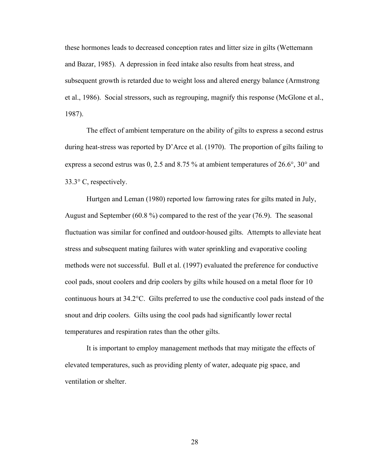these hormones leads to decreased conception rates and litter size in gilts (Wettemann and Bazar, 1985). A depression in feed intake also results from heat stress, and subsequent growth is retarded due to weight loss and altered energy balance (Armstrong et al., 1986). Social stressors, such as regrouping, magnify this response (McGlone et al., 1987).

The effect of ambient temperature on the ability of gilts to express a second estrus during heat-stress was reported by D'Arce et al. (1970). The proportion of gilts failing to express a second estrus was 0, 2.5 and 8.75 % at ambient temperatures of 26.6°, 30° and 33.3° C, respectively.

Hurtgen and Leman (1980) reported low farrowing rates for gilts mated in July, August and September (60.8 %) compared to the rest of the year (76.9). The seasonal fluctuation was similar for confined and outdoor-housed gilts. Attempts to alleviate heat stress and subsequent mating failures with water sprinkling and evaporative cooling methods were not successful. Bull et al. (1997) evaluated the preference for conductive cool pads, snout coolers and drip coolers by gilts while housed on a metal floor for 10 continuous hours at 34.2°C. Gilts preferred to use the conductive cool pads instead of the snout and drip coolers. Gilts using the cool pads had significantly lower rectal temperatures and respiration rates than the other gilts.

It is important to employ management methods that may mitigate the effects of elevated temperatures, such as providing plenty of water, adequate pig space, and ventilation or shelter.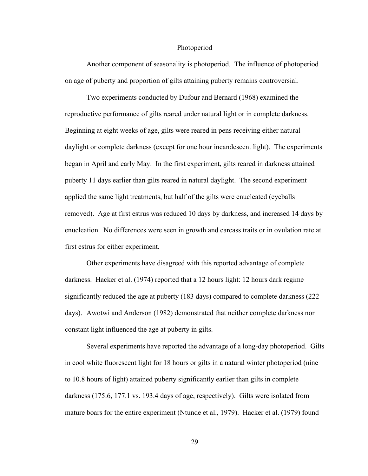## Photoperiod

Another component of seasonality is photoperiod. The influence of photoperiod on age of puberty and proportion of gilts attaining puberty remains controversial.

Two experiments conducted by Dufour and Bernard (1968) examined the reproductive performance of gilts reared under natural light or in complete darkness. Beginning at eight weeks of age, gilts were reared in pens receiving either natural daylight or complete darkness (except for one hour incandescent light). The experiments began in April and early May. In the first experiment, gilts reared in darkness attained puberty 11 days earlier than gilts reared in natural daylight. The second experiment applied the same light treatments, but half of the gilts were enucleated (eyeballs removed). Age at first estrus was reduced 10 days by darkness, and increased 14 days by enucleation. No differences were seen in growth and carcass traits or in ovulation rate at first estrus for either experiment.

Other experiments have disagreed with this reported advantage of complete darkness. Hacker et al. (1974) reported that a 12 hours light: 12 hours dark regime significantly reduced the age at puberty (183 days) compared to complete darkness (222 days). Awotwi and Anderson (1982) demonstrated that neither complete darkness nor constant light influenced the age at puberty in gilts.

Several experiments have reported the advantage of a long-day photoperiod. Gilts in cool white fluorescent light for 18 hours or gilts in a natural winter photoperiod (nine to 10.8 hours of light) attained puberty significantly earlier than gilts in complete darkness (175.6, 177.1 vs. 193.4 days of age, respectively). Gilts were isolated from mature boars for the entire experiment (Ntunde et al., 1979). Hacker et al. (1979) found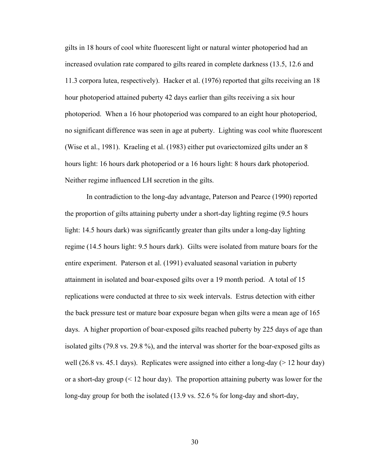gilts in 18 hours of cool white fluorescent light or natural winter photoperiod had an increased ovulation rate compared to gilts reared in complete darkness (13.5, 12.6 and 11.3 corpora lutea, respectively). Hacker et al. (1976) reported that gilts receiving an 18 hour photoperiod attained puberty 42 days earlier than gilts receiving a six hour photoperiod. When a 16 hour photoperiod was compared to an eight hour photoperiod, no significant difference was seen in age at puberty. Lighting was cool white fluorescent (Wise et al., 1981). Kraeling et al. (1983) either put ovariectomized gilts under an 8 hours light: 16 hours dark photoperiod or a 16 hours light: 8 hours dark photoperiod. Neither regime influenced LH secretion in the gilts.

In contradiction to the long-day advantage, Paterson and Pearce (1990) reported the proportion of gilts attaining puberty under a short-day lighting regime (9.5 hours light: 14.5 hours dark) was significantly greater than gilts under a long-day lighting regime (14.5 hours light: 9.5 hours dark). Gilts were isolated from mature boars for the entire experiment. Paterson et al. (1991) evaluated seasonal variation in puberty attainment in isolated and boar-exposed gilts over a 19 month period. A total of 15 replications were conducted at three to six week intervals. Estrus detection with either the back pressure test or mature boar exposure began when gilts were a mean age of 165 days. A higher proportion of boar-exposed gilts reached puberty by 225 days of age than isolated gilts (79.8 vs. 29.8 %), and the interval was shorter for the boar-exposed gilts as well (26.8 vs. 45.1 days). Replicates were assigned into either a long-day ( $> 12$  hour day) or a short-day group  $(12 \text{ hour day})$ . The proportion attaining puberty was lower for the long-day group for both the isolated (13.9 vs. 52.6 % for long-day and short-day,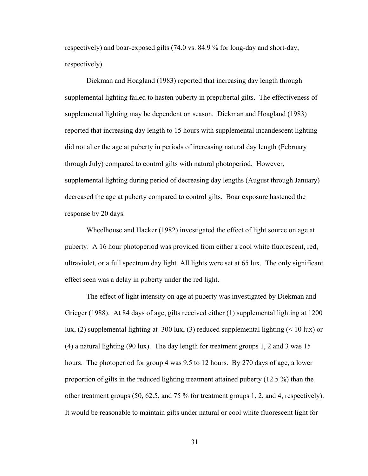respectively) and boar-exposed gilts (74.0 vs. 84.9 % for long-day and short-day, respectively).

Diekman and Hoagland (1983) reported that increasing day length through supplemental lighting failed to hasten puberty in prepubertal gilts. The effectiveness of supplemental lighting may be dependent on season. Diekman and Hoagland (1983) reported that increasing day length to 15 hours with supplemental incandescent lighting did not alter the age at puberty in periods of increasing natural day length (February through July) compared to control gilts with natural photoperiod. However, supplemental lighting during period of decreasing day lengths (August through January) decreased the age at puberty compared to control gilts. Boar exposure hastened the response by 20 days.

Wheelhouse and Hacker (1982) investigated the effect of light source on age at puberty. A 16 hour photoperiod was provided from either a cool white fluorescent, red, ultraviolet, or a full spectrum day light. All lights were set at 65 lux. The only significant effect seen was a delay in puberty under the red light.

The effect of light intensity on age at puberty was investigated by Diekman and Grieger (1988). At 84 days of age, gilts received either (1) supplemental lighting at 1200 lux, (2) supplemental lighting at 300 lux, (3) reduced supplemental lighting (< 10 lux) or (4) a natural lighting (90 lux). The day length for treatment groups 1, 2 and 3 was 15 hours. The photoperiod for group 4 was 9.5 to 12 hours. By 270 days of age, a lower proportion of gilts in the reduced lighting treatment attained puberty (12.5 %) than the other treatment groups (50, 62.5, and 75 % for treatment groups 1, 2, and 4, respectively). It would be reasonable to maintain gilts under natural or cool white fluorescent light for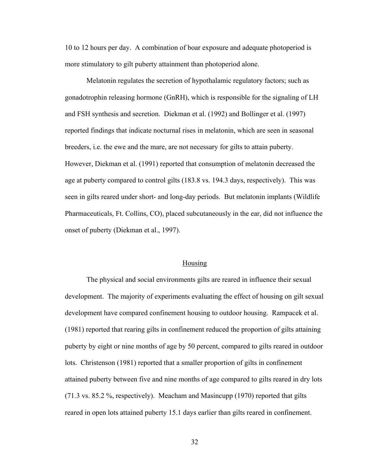10 to 12 hours per day. A combination of boar exposure and adequate photoperiod is more stimulatory to gilt puberty attainment than photoperiod alone.

Melatonin regulates the secretion of hypothalamic regulatory factors; such as gonadotrophin releasing hormone (GnRH), which is responsible for the signaling of LH and FSH synthesis and secretion. Diekman et al. (1992) and Bollinger et al. (1997) reported findings that indicate nocturnal rises in melatonin, which are seen in seasonal breeders, i.e. the ewe and the mare, are not necessary for gilts to attain puberty. However, Diekman et al. (1991) reported that consumption of melatonin decreased the age at puberty compared to control gilts (183.8 vs. 194.3 days, respectively). This was seen in gilts reared under short- and long-day periods. But melatonin implants (Wildlife Pharmaceuticals, Ft. Collins, CO), placed subcutaneously in the ear, did not influence the onset of puberty (Diekman et al., 1997).

#### Housing

The physical and social environments gilts are reared in influence their sexual development. The majority of experiments evaluating the effect of housing on gilt sexual development have compared confinement housing to outdoor housing. Rampacek et al. (1981) reported that rearing gilts in confinement reduced the proportion of gilts attaining puberty by eight or nine months of age by 50 percent, compared to gilts reared in outdoor lots. Christenson (1981) reported that a smaller proportion of gilts in confinement attained puberty between five and nine months of age compared to gilts reared in dry lots (71.3 vs. 85.2 %, respectively). Meacham and Masincupp (1970) reported that gilts reared in open lots attained puberty 15.1 days earlier than gilts reared in confinement.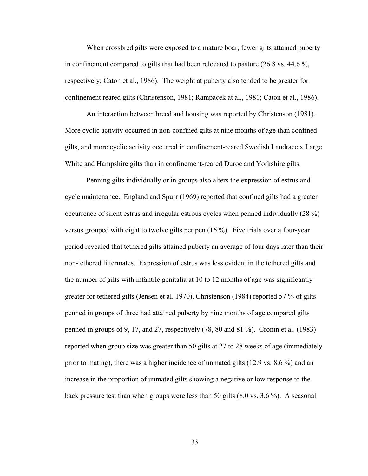When crossbred gilts were exposed to a mature boar, fewer gilts attained puberty in confinement compared to gilts that had been relocated to pasture (26.8 vs. 44.6 %, respectively; Caton et al., 1986). The weight at puberty also tended to be greater for confinement reared gilts (Christenson, 1981; Rampacek at al., 1981; Caton et al., 1986).

An interaction between breed and housing was reported by Christenson (1981). More cyclic activity occurred in non-confined gilts at nine months of age than confined gilts, and more cyclic activity occurred in confinement-reared Swedish Landrace x Large White and Hampshire gilts than in confinement-reared Duroc and Yorkshire gilts.

Penning gilts individually or in groups also alters the expression of estrus and cycle maintenance. England and Spurr (1969) reported that confined gilts had a greater occurrence of silent estrus and irregular estrous cycles when penned individually (28 %) versus grouped with eight to twelve gilts per pen (16 %). Five trials over a four-year period revealed that tethered gilts attained puberty an average of four days later than their non-tethered littermates. Expression of estrus was less evident in the tethered gilts and the number of gilts with infantile genitalia at 10 to 12 months of age was significantly greater for tethered gilts (Jensen et al. 1970). Christenson (1984) reported 57 % of gilts penned in groups of three had attained puberty by nine months of age compared gilts penned in groups of 9, 17, and 27, respectively (78, 80 and 81 %). Cronin et al. (1983) reported when group size was greater than 50 gilts at 27 to 28 weeks of age (immediately prior to mating), there was a higher incidence of unmated gilts (12.9 vs. 8.6 %) and an increase in the proportion of unmated gilts showing a negative or low response to the back pressure test than when groups were less than 50 gilts (8.0 vs. 3.6 %). A seasonal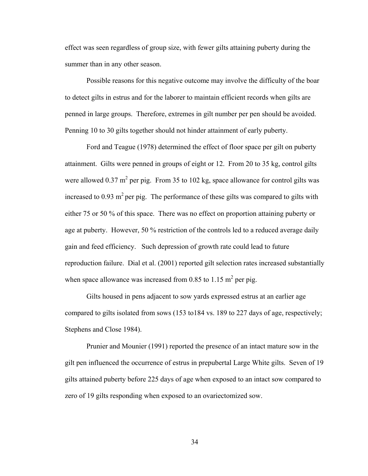effect was seen regardless of group size, with fewer gilts attaining puberty during the summer than in any other season.

Possible reasons for this negative outcome may involve the difficulty of the boar to detect gilts in estrus and for the laborer to maintain efficient records when gilts are penned in large groups. Therefore, extremes in gilt number per pen should be avoided. Penning 10 to 30 gilts together should not hinder attainment of early puberty.

Ford and Teague (1978) determined the effect of floor space per gilt on puberty attainment. Gilts were penned in groups of eight or 12. From 20 to 35 kg, control gilts were allowed  $0.37 \text{ m}^2$  per pig. From 35 to 102 kg, space allowance for control gilts was increased to 0.93  $m^2$  per pig. The performance of these gilts was compared to gilts with either 75 or 50 % of this space. There was no effect on proportion attaining puberty or age at puberty. However, 50 % restriction of the controls led to a reduced average daily gain and feed efficiency. Such depression of growth rate could lead to future reproduction failure. Dial et al. (2001) reported gilt selection rates increased substantially when space allowance was increased from 0.85 to 1.15  $m^2$  per pig.

Gilts housed in pens adjacent to sow yards expressed estrus at an earlier age compared to gilts isolated from sows (153 to184 vs. 189 to 227 days of age, respectively; Stephens and Close 1984).

Prunier and Mounier (1991) reported the presence of an intact mature sow in the gilt pen influenced the occurrence of estrus in prepubertal Large White gilts. Seven of 19 gilts attained puberty before 225 days of age when exposed to an intact sow compared to zero of 19 gilts responding when exposed to an ovariectomized sow.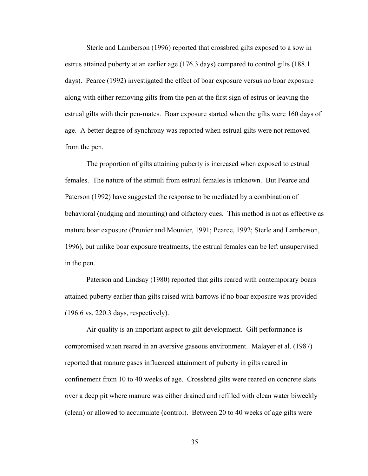Sterle and Lamberson (1996) reported that crossbred gilts exposed to a sow in estrus attained puberty at an earlier age (176.3 days) compared to control gilts (188.1 days). Pearce (1992) investigated the effect of boar exposure versus no boar exposure along with either removing gilts from the pen at the first sign of estrus or leaving the estrual gilts with their pen-mates. Boar exposure started when the gilts were 160 days of age. A better degree of synchrony was reported when estrual gilts were not removed from the pen.

The proportion of gilts attaining puberty is increased when exposed to estrual females. The nature of the stimuli from estrual females is unknown. But Pearce and Paterson (1992) have suggested the response to be mediated by a combination of behavioral (nudging and mounting) and olfactory cues. This method is not as effective as mature boar exposure (Prunier and Mounier, 1991; Pearce, 1992; Sterle and Lamberson, 1996), but unlike boar exposure treatments, the estrual females can be left unsupervised in the pen.

Paterson and Lindsay (1980) reported that gilts reared with contemporary boars attained puberty earlier than gilts raised with barrows if no boar exposure was provided (196.6 vs. 220.3 days, respectively).

Air quality is an important aspect to gilt development. Gilt performance is compromised when reared in an aversive gaseous environment. Malayer et al. (1987) reported that manure gases influenced attainment of puberty in gilts reared in confinement from 10 to 40 weeks of age. Crossbred gilts were reared on concrete slats over a deep pit where manure was either drained and refilled with clean water biweekly (clean) or allowed to accumulate (control). Between 20 to 40 weeks of age gilts were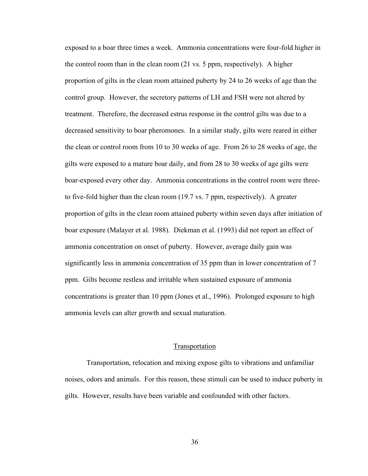exposed to a boar three times a week. Ammonia concentrations were four-fold higher in the control room than in the clean room (21 vs. 5 ppm, respectively). A higher proportion of gilts in the clean room attained puberty by 24 to 26 weeks of age than the control group. However, the secretory patterns of LH and FSH were not altered by treatment. Therefore, the decreased estrus response in the control gilts was due to a decreased sensitivity to boar pheromones. In a similar study, gilts were reared in either the clean or control room from 10 to 30 weeks of age. From 26 to 28 weeks of age, the gilts were exposed to a mature boar daily, and from 28 to 30 weeks of age gilts were boar-exposed every other day. Ammonia concentrations in the control room were threeto five-fold higher than the clean room (19.7 vs. 7 ppm, respectively). A greater proportion of gilts in the clean room attained puberty within seven days after initiation of boar exposure (Malayer et al. 1988). Diekman et al. (1993) did not report an effect of ammonia concentration on onset of puberty. However, average daily gain was significantly less in ammonia concentration of 35 ppm than in lower concentration of 7 ppm. Gilts become restless and irritable when sustained exposure of ammonia concentrations is greater than 10 ppm (Jones et al., 1996). Prolonged exposure to high ammonia levels can alter growth and sexual maturation.

### **Transportation**

Transportation, relocation and mixing expose gilts to vibrations and unfamiliar noises, odors and animals. For this reason, these stimuli can be used to induce puberty in gilts. However, results have been variable and confounded with other factors.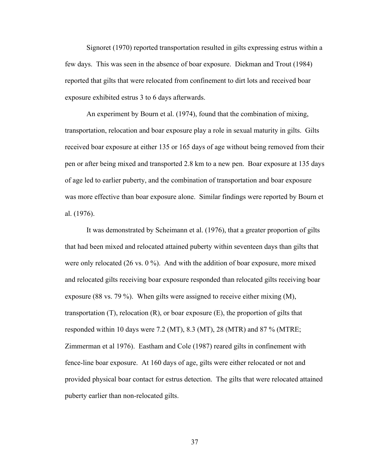Signoret (1970) reported transportation resulted in gilts expressing estrus within a few days. This was seen in the absence of boar exposure. Diekman and Trout (1984) reported that gilts that were relocated from confinement to dirt lots and received boar exposure exhibited estrus 3 to 6 days afterwards.

An experiment by Bourn et al. (1974), found that the combination of mixing, transportation, relocation and boar exposure play a role in sexual maturity in gilts. Gilts received boar exposure at either 135 or 165 days of age without being removed from their pen or after being mixed and transported 2.8 km to a new pen. Boar exposure at 135 days of age led to earlier puberty, and the combination of transportation and boar exposure was more effective than boar exposure alone. Similar findings were reported by Bourn et al. (1976).

It was demonstrated by Scheimann et al. (1976), that a greater proportion of gilts that had been mixed and relocated attained puberty within seventeen days than gilts that were only relocated (26 vs. 0 %). And with the addition of boar exposure, more mixed and relocated gilts receiving boar exposure responded than relocated gilts receiving boar exposure (88 vs. 79 %). When gilts were assigned to receive either mixing (M), transportation  $(T)$ , relocation  $(R)$ , or boar exposure  $(E)$ , the proportion of gilts that responded within 10 days were 7.2 (MT), 8.3 (MT), 28 (MTR) and 87 % (MTRE; Zimmerman et al 1976). Eastham and Cole (1987) reared gilts in confinement with fence-line boar exposure. At 160 days of age, gilts were either relocated or not and provided physical boar contact for estrus detection. The gilts that were relocated attained puberty earlier than non-relocated gilts.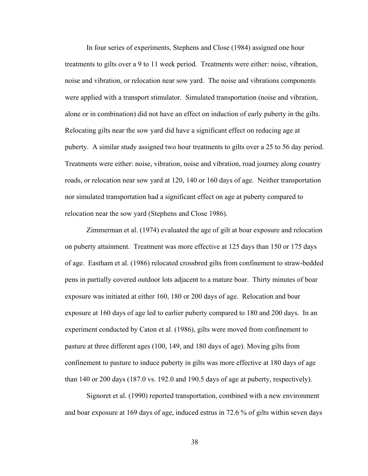In four series of experiments, Stephens and Close (1984) assigned one hour treatments to gilts over a 9 to 11 week period. Treatments were either: noise, vibration, noise and vibration, or relocation near sow yard. The noise and vibrations components were applied with a transport stimulator. Simulated transportation (noise and vibration, alone or in combination) did not have an effect on induction of early puberty in the gilts. Relocating gilts near the sow yard did have a significant effect on reducing age at puberty. A similar study assigned two hour treatments to gilts over a 25 to 56 day period. Treatments were either: noise, vibration, noise and vibration, road journey along country roads, or relocation near sow yard at 120, 140 or 160 days of age. Neither transportation nor simulated transportation had a significant effect on age at puberty compared to relocation near the sow yard (Stephens and Close 1986).

Zimmerman et al. (1974) evaluated the age of gilt at boar exposure and relocation on puberty attainment. Treatment was more effective at 125 days than 150 or 175 days of age. Eastham et al. (1986) relocated crossbred gilts from confinement to straw-bedded pens in partially covered outdoor lots adjacent to a mature boar. Thirty minutes of boar exposure was initiated at either 160, 180 or 200 days of age. Relocation and boar exposure at 160 days of age led to earlier puberty compared to 180 and 200 days. In an experiment conducted by Caton et al. (1986), gilts were moved from confinement to pasture at three different ages (100, 149, and 180 days of age). Moving gilts from confinement to pasture to induce puberty in gilts was more effective at 180 days of age than 140 or 200 days (187.0 vs. 192.0 and 190.5 days of age at puberty, respectively).

Signoret et al. (1990) reported transportation, combined with a new environment and boar exposure at 169 days of age, induced estrus in 72.6 % of gilts within seven days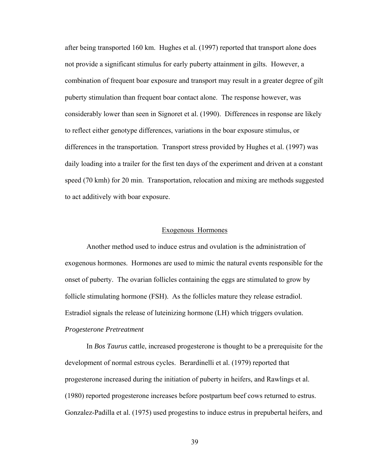after being transported 160 km. Hughes et al. (1997) reported that transport alone does not provide a significant stimulus for early puberty attainment in gilts. However, a combination of frequent boar exposure and transport may result in a greater degree of gilt puberty stimulation than frequent boar contact alone. The response however, was considerably lower than seen in Signoret et al. (1990). Differences in response are likely to reflect either genotype differences, variations in the boar exposure stimulus, or differences in the transportation. Transport stress provided by Hughes et al. (1997) was daily loading into a trailer for the first ten days of the experiment and driven at a constant speed (70 kmh) for 20 min. Transportation, relocation and mixing are methods suggested to act additively with boar exposure.

#### Exogenous Hormones

Another method used to induce estrus and ovulation is the administration of exogenous hormones. Hormones are used to mimic the natural events responsible for the onset of puberty. The ovarian follicles containing the eggs are stimulated to grow by follicle stimulating hormone (FSH). As the follicles mature they release estradiol. Estradiol signals the release of luteinizing hormone (LH) which triggers ovulation. *Progesterone Pretreatment* 

In *Bos Taurus* cattle, increased progesterone is thought to be a prerequisite for the development of normal estrous cycles. Berardinelli et al. (1979) reported that progesterone increased during the initiation of puberty in heifers, and Rawlings et al. (1980) reported progesterone increases before postpartum beef cows returned to estrus. Gonzalez-Padilla et al. (1975) used progestins to induce estrus in prepubertal heifers, and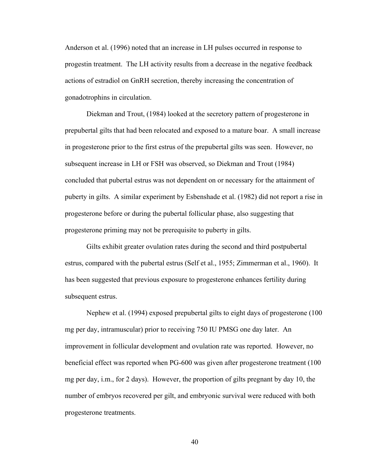Anderson et al. (1996) noted that an increase in LH pulses occurred in response to progestin treatment. The LH activity results from a decrease in the negative feedback actions of estradiol on GnRH secretion, thereby increasing the concentration of gonadotrophins in circulation.

Diekman and Trout, (1984) looked at the secretory pattern of progesterone in prepubertal gilts that had been relocated and exposed to a mature boar. A small increase in progesterone prior to the first estrus of the prepubertal gilts was seen. However, no subsequent increase in LH or FSH was observed, so Diekman and Trout (1984) concluded that pubertal estrus was not dependent on or necessary for the attainment of puberty in gilts. A similar experiment by Esbenshade et al. (1982) did not report a rise in progesterone before or during the pubertal follicular phase, also suggesting that progesterone priming may not be prerequisite to puberty in gilts.

Gilts exhibit greater ovulation rates during the second and third postpubertal estrus, compared with the pubertal estrus (Self et al., 1955; Zimmerman et al., 1960). It has been suggested that previous exposure to progesterone enhances fertility during subsequent estrus.

Nephew et al. (1994) exposed prepubertal gilts to eight days of progesterone (100 mg per day, intramuscular) prior to receiving 750 IU PMSG one day later. An improvement in follicular development and ovulation rate was reported. However, no beneficial effect was reported when PG-600 was given after progesterone treatment (100 mg per day, i.m., for 2 days). However, the proportion of gilts pregnant by day 10, the number of embryos recovered per gilt, and embryonic survival were reduced with both progesterone treatments.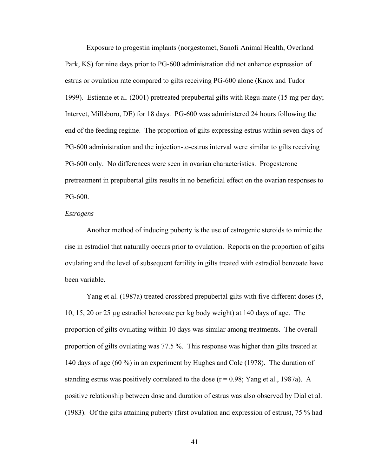Exposure to progestin implants (norgestomet, Sanofi Animal Health, Overland Park, KS) for nine days prior to PG-600 administration did not enhance expression of estrus or ovulation rate compared to gilts receiving PG-600 alone (Knox and Tudor 1999). Estienne et al. (2001) pretreated prepubertal gilts with Regu-mate (15 mg per day; Intervet, Millsboro, DE) for 18 days. PG-600 was administered 24 hours following the end of the feeding regime. The proportion of gilts expressing estrus within seven days of PG-600 administration and the injection-to-estrus interval were similar to gilts receiving PG-600 only. No differences were seen in ovarian characteristics. Progesterone pretreatment in prepubertal gilts results in no beneficial effect on the ovarian responses to PG-600.

#### *Estrogens*

Another method of inducing puberty is the use of estrogenic steroids to mimic the rise in estradiol that naturally occurs prior to ovulation. Reports on the proportion of gilts ovulating and the level of subsequent fertility in gilts treated with estradiol benzoate have been variable.

Yang et al. (1987a) treated crossbred prepubertal gilts with five different doses (5, 10, 15, 20 or 25 µg estradiol benzoate per kg body weight) at 140 days of age. The proportion of gilts ovulating within 10 days was similar among treatments. The overall proportion of gilts ovulating was 77.5 %. This response was higher than gilts treated at 140 days of age (60 %) in an experiment by Hughes and Cole (1978). The duration of standing estrus was positively correlated to the dose  $(r = 0.98;$  Yang et al., 1987a). A positive relationship between dose and duration of estrus was also observed by Dial et al. (1983). Of the gilts attaining puberty (first ovulation and expression of estrus), 75 % had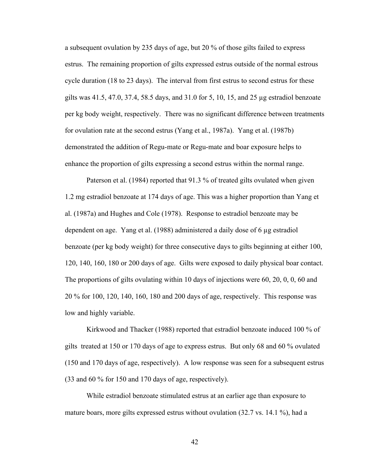a subsequent ovulation by 235 days of age, but 20 % of those gilts failed to express estrus. The remaining proportion of gilts expressed estrus outside of the normal estrous cycle duration (18 to 23 days). The interval from first estrus to second estrus for these gilts was 41.5, 47.0, 37.4, 58.5 days, and 31.0 for 5, 10, 15, and 25 µg estradiol benzoate per kg body weight, respectively. There was no significant difference between treatments for ovulation rate at the second estrus (Yang et al., 1987a). Yang et al. (1987b) demonstrated the addition of Regu-mate or Regu-mate and boar exposure helps to enhance the proportion of gilts expressing a second estrus within the normal range.

Paterson et al. (1984) reported that 91.3 % of treated gilts ovulated when given 1.2 mg estradiol benzoate at 174 days of age. This was a higher proportion than Yang et al. (1987a) and Hughes and Cole (1978). Response to estradiol benzoate may be dependent on age. Yang et al. (1988) administered a daily dose of 6 µg estradiol benzoate (per kg body weight) for three consecutive days to gilts beginning at either 100, 120, 140, 160, 180 or 200 days of age. Gilts were exposed to daily physical boar contact. The proportions of gilts ovulating within 10 days of injections were 60, 20, 0, 0, 60 and 20 % for 100, 120, 140, 160, 180 and 200 days of age, respectively. This response was low and highly variable.

Kirkwood and Thacker (1988) reported that estradiol benzoate induced 100 % of gilts treated at 150 or 170 days of age to express estrus. But only 68 and 60 % ovulated (150 and 170 days of age, respectively). A low response was seen for a subsequent estrus (33 and 60 % for 150 and 170 days of age, respectively).

While estradiol benzoate stimulated estrus at an earlier age than exposure to mature boars, more gilts expressed estrus without ovulation (32.7 vs. 14.1 %), had a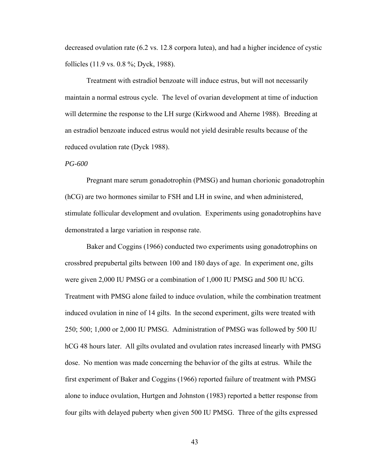decreased ovulation rate (6.2 vs. 12.8 corpora lutea), and had a higher incidence of cystic follicles (11.9 vs. 0.8 %; Dyck, 1988).

Treatment with estradiol benzoate will induce estrus, but will not necessarily maintain a normal estrous cycle. The level of ovarian development at time of induction will determine the response to the LH surge (Kirkwood and Aherne 1988). Breeding at an estradiol benzoate induced estrus would not yield desirable results because of the reduced ovulation rate (Dyck 1988).

## *PG-600*

Pregnant mare serum gonadotrophin (PMSG) and human chorionic gonadotrophin (hCG) are two hormones similar to FSH and LH in swine, and when administered, stimulate follicular development and ovulation. Experiments using gonadotrophins have demonstrated a large variation in response rate.

Baker and Coggins (1966) conducted two experiments using gonadotrophins on crossbred prepubertal gilts between 100 and 180 days of age. In experiment one, gilts were given 2,000 IU PMSG or a combination of 1,000 IU PMSG and 500 IU hCG. Treatment with PMSG alone failed to induce ovulation, while the combination treatment induced ovulation in nine of 14 gilts. In the second experiment, gilts were treated with 250; 500; 1,000 or 2,000 IU PMSG. Administration of PMSG was followed by 500 IU hCG 48 hours later. All gilts ovulated and ovulation rates increased linearly with PMSG dose. No mention was made concerning the behavior of the gilts at estrus. While the first experiment of Baker and Coggins (1966) reported failure of treatment with PMSG alone to induce ovulation, Hurtgen and Johnston (1983) reported a better response from four gilts with delayed puberty when given 500 IU PMSG. Three of the gilts expressed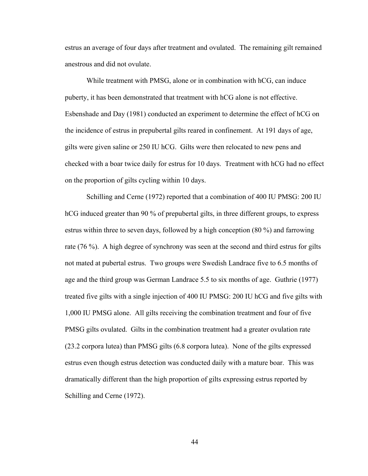estrus an average of four days after treatment and ovulated. The remaining gilt remained anestrous and did not ovulate.

While treatment with PMSG, alone or in combination with hCG, can induce puberty, it has been demonstrated that treatment with hCG alone is not effective. Esbenshade and Day (1981) conducted an experiment to determine the effect of hCG on the incidence of estrus in prepubertal gilts reared in confinement. At 191 days of age, gilts were given saline or 250 IU hCG. Gilts were then relocated to new pens and checked with a boar twice daily for estrus for 10 days. Treatment with hCG had no effect on the proportion of gilts cycling within 10 days.

Schilling and Cerne (1972) reported that a combination of 400 IU PMSG: 200 IU hCG induced greater than 90 % of prepubertal gilts, in three different groups, to express estrus within three to seven days, followed by a high conception (80 %) and farrowing rate (76 %). A high degree of synchrony was seen at the second and third estrus for gilts not mated at pubertal estrus. Two groups were Swedish Landrace five to 6.5 months of age and the third group was German Landrace 5.5 to six months of age. Guthrie (1977) treated five gilts with a single injection of 400 IU PMSG: 200 IU hCG and five gilts with 1,000 IU PMSG alone. All gilts receiving the combination treatment and four of five PMSG gilts ovulated. Gilts in the combination treatment had a greater ovulation rate (23.2 corpora lutea) than PMSG gilts (6.8 corpora lutea). None of the gilts expressed estrus even though estrus detection was conducted daily with a mature boar. This was dramatically different than the high proportion of gilts expressing estrus reported by Schilling and Cerne (1972).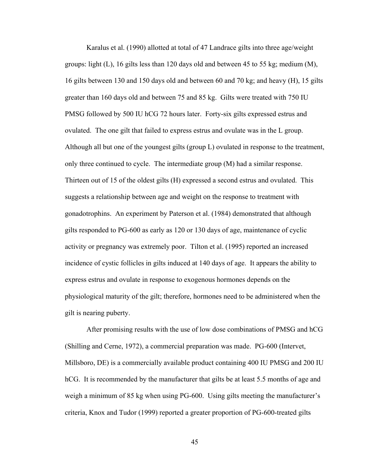Karalus et al. (1990) allotted at total of 47 Landrace gilts into three age/weight groups: light  $(L)$ , 16 gilts less than 120 days old and between 45 to 55 kg; medium  $(M)$ , 16 gilts between 130 and 150 days old and between 60 and 70 kg; and heavy (H), 15 gilts greater than 160 days old and between 75 and 85 kg. Gilts were treated with 750 IU PMSG followed by 500 IU hCG 72 hours later. Forty-six gilts expressed estrus and ovulated. The one gilt that failed to express estrus and ovulate was in the L group. Although all but one of the youngest gilts (group L) ovulated in response to the treatment, only three continued to cycle. The intermediate group (M) had a similar response. Thirteen out of 15 of the oldest gilts (H) expressed a second estrus and ovulated. This suggests a relationship between age and weight on the response to treatment with gonadotrophins. An experiment by Paterson et al. (1984) demonstrated that although gilts responded to PG-600 as early as 120 or 130 days of age, maintenance of cyclic activity or pregnancy was extremely poor. Tilton et al. (1995) reported an increased incidence of cystic follicles in gilts induced at 140 days of age. It appears the ability to express estrus and ovulate in response to exogenous hormones depends on the physiological maturity of the gilt; therefore, hormones need to be administered when the gilt is nearing puberty.

After promising results with the use of low dose combinations of PMSG and hCG (Shilling and Cerne, 1972), a commercial preparation was made. PG-600 (Intervet, Millsboro, DE) is a commercially available product containing 400 IU PMSG and 200 IU hCG. It is recommended by the manufacturer that gilts be at least 5.5 months of age and weigh a minimum of 85 kg when using PG-600. Using gilts meeting the manufacturer's criteria, Knox and Tudor (1999) reported a greater proportion of PG-600-treated gilts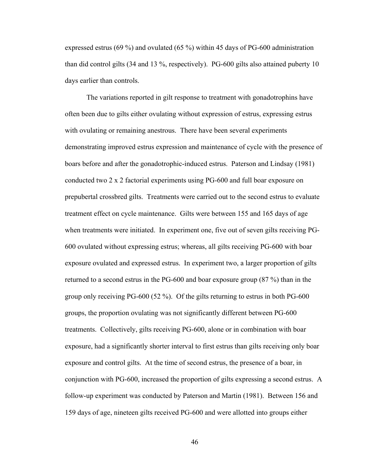expressed estrus (69 %) and ovulated (65 %) within 45 days of PG-600 administration than did control gilts (34 and 13 %, respectively). PG-600 gilts also attained puberty 10 days earlier than controls.

The variations reported in gilt response to treatment with gonadotrophins have often been due to gilts either ovulating without expression of estrus, expressing estrus with ovulating or remaining anestrous. There have been several experiments demonstrating improved estrus expression and maintenance of cycle with the presence of boars before and after the gonadotrophic-induced estrus. Paterson and Lindsay (1981) conducted two 2 x 2 factorial experiments using PG-600 and full boar exposure on prepubertal crossbred gilts. Treatments were carried out to the second estrus to evaluate treatment effect on cycle maintenance. Gilts were between 155 and 165 days of age when treatments were initiated. In experiment one, five out of seven gilts receiving PG-600 ovulated without expressing estrus; whereas, all gilts receiving PG-600 with boar exposure ovulated and expressed estrus. In experiment two, a larger proportion of gilts returned to a second estrus in the PG-600 and boar exposure group (87 %) than in the group only receiving PG-600 (52 %). Of the gilts returning to estrus in both PG-600 groups, the proportion ovulating was not significantly different between PG-600 treatments. Collectively, gilts receiving PG-600, alone or in combination with boar exposure, had a significantly shorter interval to first estrus than gilts receiving only boar exposure and control gilts. At the time of second estrus, the presence of a boar, in conjunction with PG-600, increased the proportion of gilts expressing a second estrus. A follow-up experiment was conducted by Paterson and Martin (1981). Between 156 and 159 days of age, nineteen gilts received PG-600 and were allotted into groups either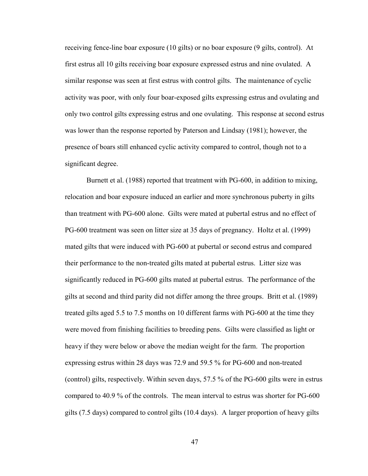receiving fence-line boar exposure (10 gilts) or no boar exposure (9 gilts, control). At first estrus all 10 gilts receiving boar exposure expressed estrus and nine ovulated. A similar response was seen at first estrus with control gilts. The maintenance of cyclic activity was poor, with only four boar-exposed gilts expressing estrus and ovulating and only two control gilts expressing estrus and one ovulating. This response at second estrus was lower than the response reported by Paterson and Lindsay (1981); however, the presence of boars still enhanced cyclic activity compared to control, though not to a significant degree.

Burnett et al. (1988) reported that treatment with PG-600, in addition to mixing, relocation and boar exposure induced an earlier and more synchronous puberty in gilts than treatment with PG-600 alone. Gilts were mated at pubertal estrus and no effect of PG-600 treatment was seen on litter size at 35 days of pregnancy. Holtz et al. (1999) mated gilts that were induced with PG-600 at pubertal or second estrus and compared their performance to the non-treated gilts mated at pubertal estrus. Litter size was significantly reduced in PG-600 gilts mated at pubertal estrus. The performance of the gilts at second and third parity did not differ among the three groups. Britt et al. (1989) treated gilts aged 5.5 to 7.5 months on 10 different farms with PG-600 at the time they were moved from finishing facilities to breeding pens. Gilts were classified as light or heavy if they were below or above the median weight for the farm. The proportion expressing estrus within 28 days was 72.9 and 59.5 % for PG-600 and non-treated (control) gilts, respectively. Within seven days, 57.5 % of the PG-600 gilts were in estrus compared to 40.9 % of the controls. The mean interval to estrus was shorter for PG-600 gilts (7.5 days) compared to control gilts (10.4 days). A larger proportion of heavy gilts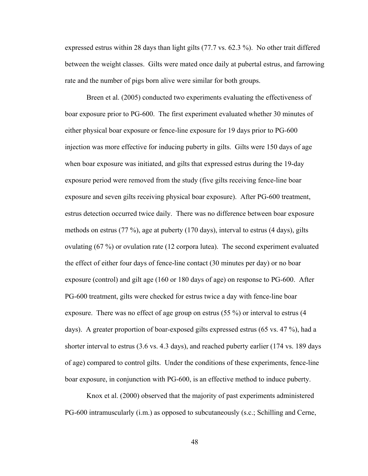expressed estrus within 28 days than light gilts (77.7 vs. 62.3 %). No other trait differed between the weight classes. Gilts were mated once daily at pubertal estrus, and farrowing rate and the number of pigs born alive were similar for both groups.

Breen et al. (2005) conducted two experiments evaluating the effectiveness of boar exposure prior to PG-600. The first experiment evaluated whether 30 minutes of either physical boar exposure or fence-line exposure for 19 days prior to PG-600 injection was more effective for inducing puberty in gilts. Gilts were 150 days of age when boar exposure was initiated, and gilts that expressed estrus during the 19-day exposure period were removed from the study (five gilts receiving fence-line boar exposure and seven gilts receiving physical boar exposure). After PG-600 treatment, estrus detection occurred twice daily. There was no difference between boar exposure methods on estrus (77 %), age at puberty (170 days), interval to estrus (4 days), gilts ovulating (67 %) or ovulation rate (12 corpora lutea). The second experiment evaluated the effect of either four days of fence-line contact (30 minutes per day) or no boar exposure (control) and gilt age (160 or 180 days of age) on response to PG-600. After PG-600 treatment, gilts were checked for estrus twice a day with fence-line boar exposure. There was no effect of age group on estrus (55 %) or interval to estrus (4 days). A greater proportion of boar-exposed gilts expressed estrus (65 vs. 47 %), had a shorter interval to estrus (3.6 vs. 4.3 days), and reached puberty earlier (174 vs. 189 days of age) compared to control gilts. Under the conditions of these experiments, fence-line boar exposure, in conjunction with PG-600, is an effective method to induce puberty.

Knox et al. (2000) observed that the majority of past experiments administered PG-600 intramuscularly (i.m.) as opposed to subcutaneously (s.c.; Schilling and Cerne,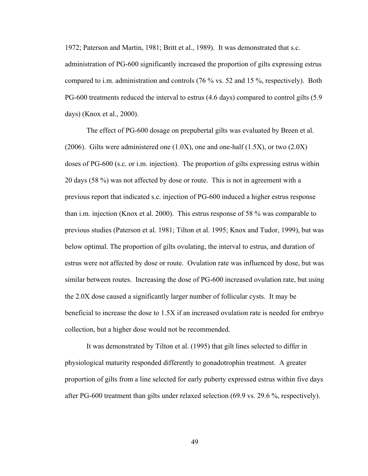1972; Paterson and Martin, 1981; Britt et al., 1989). It was demonstrated that s.c. administration of PG-600 significantly increased the proportion of gilts expressing estrus compared to i.m. administration and controls (76 % vs. 52 and 15 %, respectively). Both PG-600 treatments reduced the interval to estrus (4.6 days) compared to control gilts (5.9 days) (Knox et al., 2000).

The effect of PG-600 dosage on prepubertal gilts was evaluated by Breen et al. (2006). Gilts were administered one  $(1.0X)$ , one and one-half  $(1.5X)$ , or two  $(2.0X)$ doses of PG-600 (s.c. or i.m. injection). The proportion of gilts expressing estrus within 20 days (58 %) was not affected by dose or route. This is not in agreement with a previous report that indicated s.c. injection of PG-600 induced a higher estrus response than i.m. injection (Knox et al. 2000). This estrus response of 58 % was comparable to previous studies (Paterson et al. 1981; Tilton et al. 1995; Knox and Tudor, 1999), but was below optimal. The proportion of gilts ovulating, the interval to estrus, and duration of estrus were not affected by dose or route. Ovulation rate was influenced by dose, but was similar between routes. Increasing the dose of PG-600 increased ovulation rate, but using the 2.0X dose caused a significantly larger number of follicular cysts. It may be beneficial to increase the dose to 1.5X if an increased ovulation rate is needed for embryo collection, but a higher dose would not be recommended.

It was demonstrated by Tilton et al. (1995) that gilt lines selected to differ in physiological maturity responded differently to gonadotrophin treatment. A greater proportion of gilts from a line selected for early puberty expressed estrus within five days after PG-600 treatment than gilts under relaxed selection (69.9 vs. 29.6 %, respectively).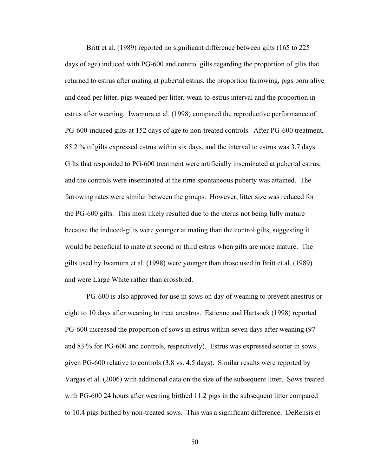Britt et al. (1989) reported no significant difference between gilts (165 to 225 days of age) induced with PG-600 and control gilts regarding the proportion of gilts that returned to estrus after mating at pubertal estrus, the proportion farrowing, pigs born alive and dead per litter, pigs weaned per litter, wean-to-estrus interval and the proportion in estrus after weaning. Iwamura et al. (1998) compared the reproductive performance of PG-600-induced gilts at 152 days of age to non-treated controls. After PG-600 treatment, 85.2 % of gilts expressed estrus within six days, and the interval to estrus was 3.7 days. Gilts that responded to PG-600 treatment were artificially inseminated at pubertal estrus, and the controls were inseminated at the time spontaneous puberty was attained. The farrowing rates were similar between the groups. However, litter size was reduced for the PG-600 gilts. This most likely resulted due to the uterus not being fully mature because the induced-gilts were younger at mating than the control gilts, suggesting it would be beneficial to mate at second or third estrus when gilts are more mature. The gilts used by Iwamura et al. (1998) were younger than those used in Britt et al. (1989) and were Large White rather than crossbred.

PG-600 is also approved for use in sows on day of weaning to prevent anestrus or eight to 10 days after weaning to treat anestrus. Estienne and Hartsock (1998) reported PG-600 increased the proportion of sows in estrus within seven days after weaning (97 and 83 % for PG-600 and controls, respectively). Estrus was expressed sooner in sows given PG-600 relative to controls (3.8 vs. 4.5 days). Similar results were reported by Vargas et al. (2006) with additional data on the size of the subsequent litter. Sows treated with PG-600 24 hours after weaning birthed 11.2 pigs in the subsequent litter compared to 10.4 pigs birthed by non-treated sows. This was a significant difference. DeRensis et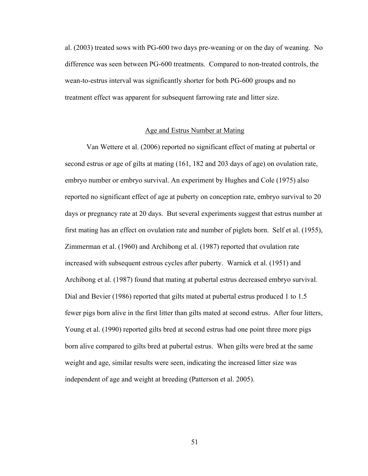al. (2003) treated sows with PG-600 two days pre-weaning or on the day of weaning. No difference was seen between PG-600 treatments. Compared to non-treated controls, the wean-to-estrus interval was significantly shorter for both PG-600 groups and no treatment effect was apparent for subsequent farrowing rate and litter size.

## Age and Estrus Number at Mating

Van Wettere et al. (2006) reported no significant effect of mating at pubertal or second estrus or age of gilts at mating (161, 182 and 203 days of age) on ovulation rate, embryo number or embryo survival. An experiment by Hughes and Cole (1975) also reported no significant effect of age at puberty on conception rate, embryo survival to 20 days or pregnancy rate at 20 days. But several experiments suggest that estrus number at first mating has an effect on ovulation rate and number of piglets born. Self et al. (1955), Zimmerman et al. (1960) and Archibong et al. (1987) reported that ovulation rate increased with subsequent estrous cycles after puberty. Warnick et al. (1951) and Archibong et al. (1987) found that mating at pubertal estrus decreased embryo survival. Dial and Bevier (1986) reported that gilts mated at pubertal estrus produced 1 to 1.5 fewer pigs born alive in the first litter than gilts mated at second estrus. After four litters, Young et al. (1990) reported gilts bred at second estrus had one point three more pigs born alive compared to gilts bred at pubertal estrus. When gilts were bred at the same weight and age, similar results were seen, indicating the increased litter size was independent of age and weight at breeding (Patterson et al. 2005).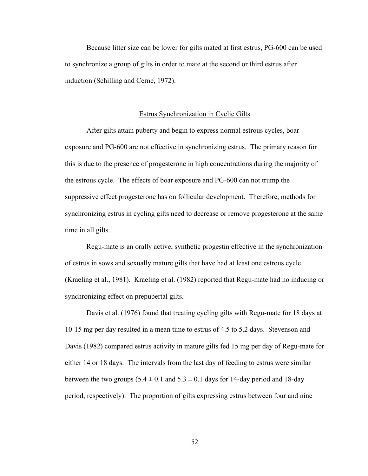Because litter size can be lower for gilts mated at first estrus, PG-600 can be used to synchronize a group of gilts in order to mate at the second or third estrus after induction (Schilling and Cerne, 1972).

# Estrus Synchronization in Cyclic Gilts

After gilts attain puberty and begin to express normal estrous cycles, boar exposure and PG-600 are not effective in synchronizing estrus. The primary reason for this is due to the presence of progesterone in high concentrations during the majority of the estrous cycle. The effects of boar exposure and PG-600 can not trump the suppressive effect progesterone has on follicular development. Therefore, methods for synchronizing estrus in cycling gilts need to decrease or remove progesterone at the same time in all gilts.

Regu-mate is an orally active, synthetic progestin effective in the synchronization of estrus in sows and sexually mature gilts that have had at least one estrous cycle (Kraeling et al., 1981). Kraeling et al. (1982) reported that Regu-mate had no inducing or synchronizing effect on prepubertal gilts.

Davis et al. (1976) found that treating cycling gilts with Regu-mate for 18 days at 10-15 mg per day resulted in a mean time to estrus of 4.5 to 5.2 days. Stevenson and Davis (1982) compared estrus activity in mature gilts fed 15 mg per day of Regu-mate for either 14 or 18 days. The intervals from the last day of feeding to estrus were similar between the two groups  $(5.4 \pm 0.1 \text{ and } 5.3 \pm 0.1 \text{ days}$  for 14-day period and 18-day period, respectively). The proportion of gilts expressing estrus between four and nine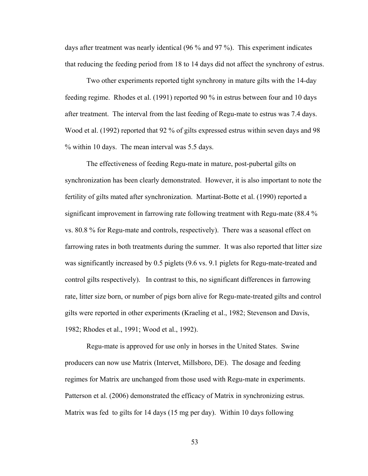days after treatment was nearly identical (96 % and 97 %). This experiment indicates that reducing the feeding period from 18 to 14 days did not affect the synchrony of estrus.

Two other experiments reported tight synchrony in mature gilts with the 14-day feeding regime. Rhodes et al. (1991) reported 90 % in estrus between four and 10 days after treatment. The interval from the last feeding of Regu-mate to estrus was 7.4 days. Wood et al. (1992) reported that 92 % of gilts expressed estrus within seven days and 98 % within 10 days. The mean interval was 5.5 days.

The effectiveness of feeding Regu-mate in mature, post-pubertal gilts on synchronization has been clearly demonstrated. However, it is also important to note the fertility of gilts mated after synchronization. Martinat-Botte et al. (1990) reported a significant improvement in farrowing rate following treatment with Regu-mate (88.4 % vs. 80.8 % for Regu-mate and controls, respectively). There was a seasonal effect on farrowing rates in both treatments during the summer. It was also reported that litter size was significantly increased by 0.5 piglets (9.6 vs. 9.1 piglets for Regu-mate-treated and control gilts respectively). In contrast to this, no significant differences in farrowing rate, litter size born, or number of pigs born alive for Regu-mate-treated gilts and control gilts were reported in other experiments (Kraeling et al., 1982; Stevenson and Davis, 1982; Rhodes et al., 1991; Wood et al., 1992).

Regu-mate is approved for use only in horses in the United States. Swine producers can now use Matrix (Intervet, Millsboro, DE). The dosage and feeding regimes for Matrix are unchanged from those used with Regu-mate in experiments. Patterson et al. (2006) demonstrated the efficacy of Matrix in synchronizing estrus. Matrix was fed to gilts for 14 days (15 mg per day). Within 10 days following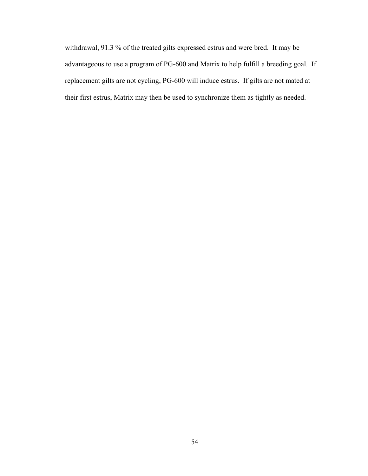withdrawal, 91.3 % of the treated gilts expressed estrus and were bred. It may be advantageous to use a program of PG-600 and Matrix to help fulfill a breeding goal. If replacement gilts are not cycling, PG-600 will induce estrus. If gilts are not mated at their first estrus, Matrix may then be used to synchronize them as tightly as needed.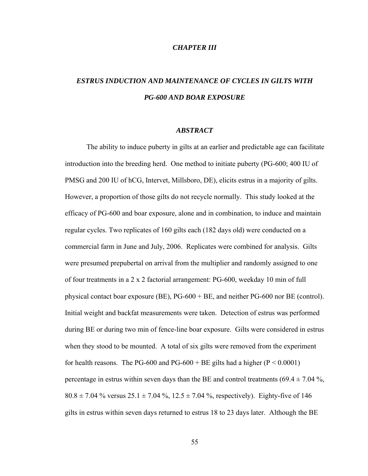## *CHAPTER III*

# *ESTRUS INDUCTION AND MAINTENANCE OF CYCLES IN GILTS WITH PG-600 AND BOAR EXPOSURE*

## *ABSTRACT*

The ability to induce puberty in gilts at an earlier and predictable age can facilitate introduction into the breeding herd. One method to initiate puberty (PG-600; 400 IU of PMSG and 200 IU of hCG, Intervet, Millsboro, DE), elicits estrus in a majority of gilts. However, a proportion of those gilts do not recycle normally. This study looked at the efficacy of PG-600 and boar exposure, alone and in combination, to induce and maintain regular cycles. Two replicates of 160 gilts each (182 days old) were conducted on a commercial farm in June and July, 2006. Replicates were combined for analysis. Gilts were presumed prepubertal on arrival from the multiplier and randomly assigned to one of four treatments in a 2 x 2 factorial arrangement: PG-600, weekday 10 min of full physical contact boar exposure (BE), PG-600 + BE, and neither PG-600 nor BE (control). Initial weight and backfat measurements were taken. Detection of estrus was performed during BE or during two min of fence-line boar exposure. Gilts were considered in estrus when they stood to be mounted. A total of six gilts were removed from the experiment for health reasons. The PG-600 and PG-600 + BE gilts had a higher  $(P < 0.0001)$ percentage in estrus within seven days than the BE and control treatments  $(69.4 \pm 7.04\%$ ,  $80.8 \pm 7.04$  % versus  $25.1 \pm 7.04$  %,  $12.5 \pm 7.04$  %, respectively). Eighty-five of 146 gilts in estrus within seven days returned to estrus 18 to 23 days later. Although the BE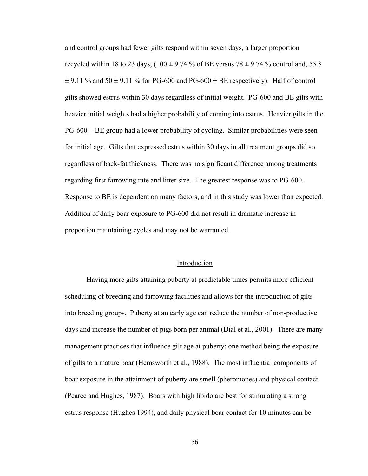and control groups had fewer gilts respond within seven days, a larger proportion recycled within 18 to 23 days; (100  $\pm$  9.74 % of BE versus 78  $\pm$  9.74 % control and, 55.8  $\pm$  9.11 % and 50  $\pm$  9.11 % for PG-600 and PG-600 + BE respectively). Half of control gilts showed estrus within 30 days regardless of initial weight. PG-600 and BE gilts with heavier initial weights had a higher probability of coming into estrus. Heavier gilts in the PG-600 + BE group had a lower probability of cycling. Similar probabilities were seen for initial age. Gilts that expressed estrus within 30 days in all treatment groups did so regardless of back-fat thickness. There was no significant difference among treatments regarding first farrowing rate and litter size. The greatest response was to PG-600. Response to BE is dependent on many factors, and in this study was lower than expected. Addition of daily boar exposure to PG-600 did not result in dramatic increase in proportion maintaining cycles and may not be warranted.

### Introduction

Having more gilts attaining puberty at predictable times permits more efficient scheduling of breeding and farrowing facilities and allows for the introduction of gilts into breeding groups. Puberty at an early age can reduce the number of non-productive days and increase the number of pigs born per animal (Dial et al., 2001). There are many management practices that influence gilt age at puberty; one method being the exposure of gilts to a mature boar (Hemsworth et al., 1988). The most influential components of boar exposure in the attainment of puberty are smell (pheromones) and physical contact (Pearce and Hughes, 1987). Boars with high libido are best for stimulating a strong estrus response (Hughes 1994), and daily physical boar contact for 10 minutes can be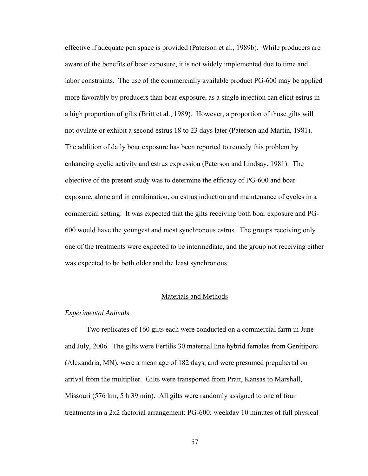effective if adequate pen space is provided (Paterson et al., 1989b). While producers are aware of the benefits of boar exposure, it is not widely implemented due to time and labor constraints. The use of the commercially available product PG-600 may be applied more favorably by producers than boar exposure, as a single injection can elicit estrus in a high proportion of gilts (Britt et al., 1989). However, a proportion of those gilts will not ovulate or exhibit a second estrus 18 to 23 days later (Paterson and Martin, 1981). The addition of daily boar exposure has been reported to remedy this problem by enhancing cyclic activity and estrus expression (Paterson and Lindsay, 1981). The objective of the present study was to determine the efficacy of PG-600 and boar exposure, alone and in combination, on estrus induction and maintenance of cycles in a commercial setting. It was expected that the gilts receiving both boar exposure and PG-600 would have the youngest and most synchronous estrus. The groups receiving only one of the treatments were expected to be intermediate, and the group not receiving either was expected to be both older and the least synchronous.

# Materials and Methods

## *Experimental Animals*

Two replicates of 160 gilts each were conducted on a commercial farm in June and July, 2006. The gilts were Fertilis 30 maternal line hybrid females from Genitiporc (Alexandria, MN), were a mean age of 182 days, and were presumed prepubertal on arrival from the multiplier. Gilts were transported from Pratt, Kansas to Marshall, Missouri (576 km, 5 h 39 min). All gilts were randomly assigned to one of four treatments in a 2x2 factorial arrangement: PG-600; weekday 10 minutes of full physical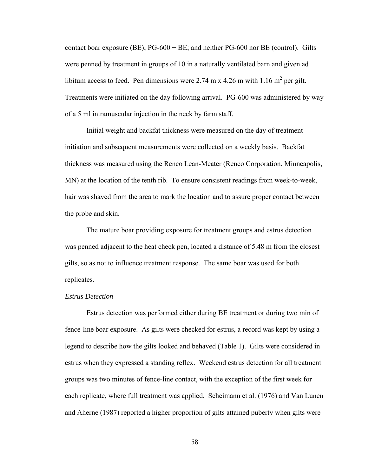contact boar exposure (BE); PG-600 + BE; and neither PG-600 nor BE (control). Gilts were penned by treatment in groups of 10 in a naturally ventilated barn and given ad libitum access to feed. Pen dimensions were 2.74 m x 4.26 m with 1.16 m<sup>2</sup> per gilt. Treatments were initiated on the day following arrival. PG-600 was administered by way of a 5 ml intramuscular injection in the neck by farm staff.

Initial weight and backfat thickness were measured on the day of treatment initiation and subsequent measurements were collected on a weekly basis. Backfat thickness was measured using the Renco Lean-Meater (Renco Corporation, Minneapolis, MN) at the location of the tenth rib. To ensure consistent readings from week-to-week, hair was shaved from the area to mark the location and to assure proper contact between the probe and skin.

The mature boar providing exposure for treatment groups and estrus detection was penned adjacent to the heat check pen, located a distance of 5.48 m from the closest gilts, so as not to influence treatment response. The same boar was used for both replicates.

# *Estrus Detection*

Estrus detection was performed either during BE treatment or during two min of fence-line boar exposure. As gilts were checked for estrus, a record was kept by using a legend to describe how the gilts looked and behaved (Table 1). Gilts were considered in estrus when they expressed a standing reflex. Weekend estrus detection for all treatment groups was two minutes of fence-line contact, with the exception of the first week for each replicate, where full treatment was applied. Scheimann et al. (1976) and Van Lunen and Aherne (1987) reported a higher proportion of gilts attained puberty when gilts were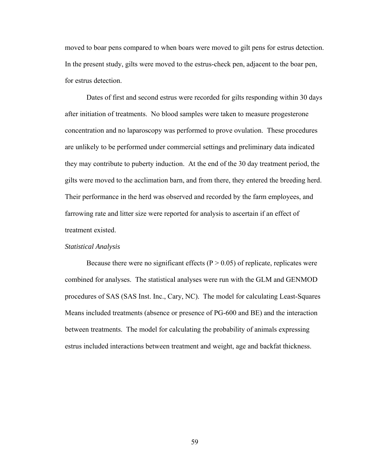moved to boar pens compared to when boars were moved to gilt pens for estrus detection. In the present study, gilts were moved to the estrus-check pen, adjacent to the boar pen, for estrus detection.

Dates of first and second estrus were recorded for gilts responding within 30 days after initiation of treatments. No blood samples were taken to measure progesterone concentration and no laparoscopy was performed to prove ovulation. These procedures are unlikely to be performed under commercial settings and preliminary data indicated they may contribute to puberty induction. At the end of the 30 day treatment period, the gilts were moved to the acclimation barn, and from there, they entered the breeding herd. Their performance in the herd was observed and recorded by the farm employees, and farrowing rate and litter size were reported for analysis to ascertain if an effect of treatment existed.

#### *Statistical Analysis*

Because there were no significant effects ( $P > 0.05$ ) of replicate, replicates were combined for analyses. The statistical analyses were run with the GLM and GENMOD procedures of SAS (SAS Inst. Inc., Cary, NC). The model for calculating Least-Squares Means included treatments (absence or presence of PG-600 and BE) and the interaction between treatments. The model for calculating the probability of animals expressing estrus included interactions between treatment and weight, age and backfat thickness.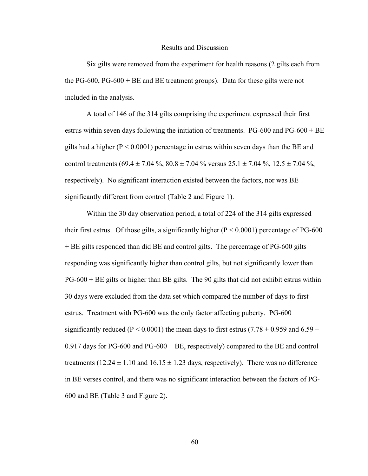#### Results and Discussion

Six gilts were removed from the experiment for health reasons (2 gilts each from the PG-600, PG-600 + BE and BE treatment groups). Data for these gilts were not included in the analysis.

A total of 146 of the 314 gilts comprising the experiment expressed their first estrus within seven days following the initiation of treatments. PG-600 and  $PG-600 + BE$ gilts had a higher ( $P < 0.0001$ ) percentage in estrus within seven days than the BE and control treatments (69.4 ± 7.04 %,  $80.8 \pm 7.04$  % versus  $25.1 \pm 7.04$  %,  $12.5 \pm 7.04$  %, respectively). No significant interaction existed between the factors, nor was BE significantly different from control (Table 2 and Figure 1).

Within the 30 day observation period, a total of 224 of the 314 gilts expressed their first estrus. Of those gilts, a significantly higher  $(P < 0.0001)$  percentage of PG-600 + BE gilts responded than did BE and control gilts. The percentage of PG-600 gilts responding was significantly higher than control gilts, but not significantly lower than PG-600 + BE gilts or higher than BE gilts. The 90 gilts that did not exhibit estrus within 30 days were excluded from the data set which compared the number of days to first estrus. Treatment with PG-600 was the only factor affecting puberty. PG-600 significantly reduced (P < 0.0001) the mean days to first estrus (7.78  $\pm$  0.959 and 6.59  $\pm$ 0.917 days for PG-600 and PG-600 + BE, respectively) compared to the BE and control treatments (12.24  $\pm$  1.10 and 16.15  $\pm$  1.23 days, respectively). There was no difference in BE verses control, and there was no significant interaction between the factors of PG-600 and BE (Table 3 and Figure 2).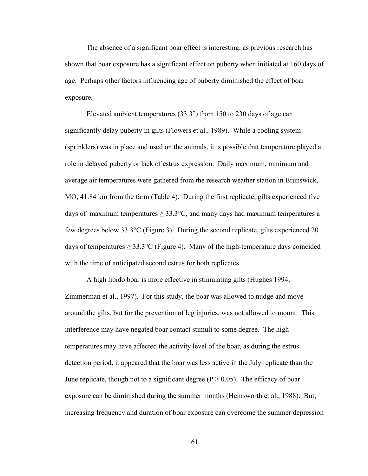The absence of a significant boar effect is interesting, as previous research has shown that boar exposure has a significant effect on puberty when initiated at 160 days of age. Perhaps other factors influencing age of puberty diminished the effect of boar exposure.

Elevated ambient temperatures (33.3°) from 150 to 230 days of age can significantly delay puberty in gilts (Flowers et al., 1989). While a cooling system (sprinklers) was in place and used on the animals, it is possible that temperature played a role in delayed puberty or lack of estrus expression. Daily maximum, minimum and average air temperatures were gathered from the research weather station in Brunswick, MO, 41.84 km from the farm (Table 4). During the first replicate, gilts experienced five days of maximum temperatures  $\geq 33.3^{\circ}$ C, and many days had maximum temperatures a few degrees below 33.3°C (Figure 3). During the second replicate, gilts experienced 20 days of temperatures  $\geq 33.3$ °C (Figure 4). Many of the high-temperature days coincided with the time of anticipated second estrus for both replicates.

A high libido boar is more effective in stimulating gilts (Hughes 1994; Zimmerman et al., 1997). For this study, the boar was allowed to nudge and move around the gilts, but for the prevention of leg injuries, was not allowed to mount. This interference may have negated boar contact stimuli to some degree. The high temperatures may have affected the activity level of the boar, as during the estrus detection period, it appeared that the boar was less active in the July replicate than the June replicate, though not to a significant degree ( $P > 0.05$ ). The efficacy of boar exposure can be diminished during the summer months (Hemsworth et al., 1988). But, increasing frequency and duration of boar exposure can overcome the summer depression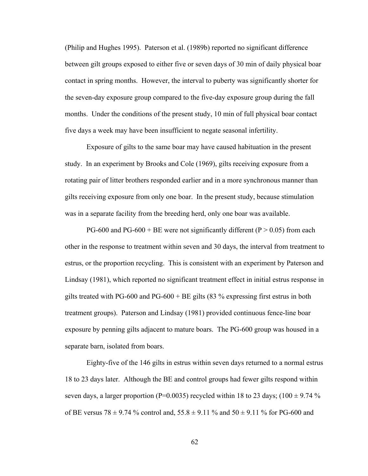(Philip and Hughes 1995). Paterson et al. (1989b) reported no significant difference between gilt groups exposed to either five or seven days of 30 min of daily physical boar contact in spring months. However, the interval to puberty was significantly shorter for the seven-day exposure group compared to the five-day exposure group during the fall months. Under the conditions of the present study, 10 min of full physical boar contact five days a week may have been insufficient to negate seasonal infertility.

Exposure of gilts to the same boar may have caused habituation in the present study. In an experiment by Brooks and Cole (1969), gilts receiving exposure from a rotating pair of litter brothers responded earlier and in a more synchronous manner than gilts receiving exposure from only one boar. In the present study, because stimulation was in a separate facility from the breeding herd, only one boar was available.

PG-600 and PG-600 + BE were not significantly different (P  $> 0.05$ ) from each other in the response to treatment within seven and 30 days, the interval from treatment to estrus, or the proportion recycling. This is consistent with an experiment by Paterson and Lindsay (1981), which reported no significant treatment effect in initial estrus response in gilts treated with PG-600 and PG-600 + BE gilts  $(83\%$  expressing first estrus in both treatment groups). Paterson and Lindsay (1981) provided continuous fence-line boar exposure by penning gilts adjacent to mature boars. The PG-600 group was housed in a separate barn, isolated from boars.

Eighty-five of the 146 gilts in estrus within seven days returned to a normal estrus 18 to 23 days later. Although the BE and control groups had fewer gilts respond within seven days, a larger proportion (P=0.0035) recycled within 18 to 23 days; (100  $\pm$  9.74 % of BE versus 78  $\pm$  9.74 % control and, 55.8  $\pm$  9.11 % and 50  $\pm$  9.11 % for PG-600 and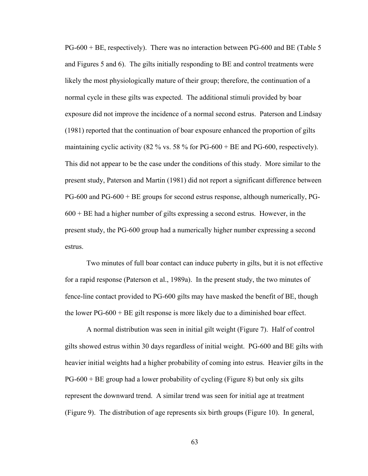PG-600 + BE, respectively). There was no interaction between PG-600 and BE (Table 5 and Figures 5 and 6). The gilts initially responding to BE and control treatments were likely the most physiologically mature of their group; therefore, the continuation of a normal cycle in these gilts was expected. The additional stimuli provided by boar exposure did not improve the incidence of a normal second estrus. Paterson and Lindsay (1981) reported that the continuation of boar exposure enhanced the proportion of gilts maintaining cyclic activity (82 % vs. 58 % for  $PG-600 + BE$  and  $PG-600$ , respectively). This did not appear to be the case under the conditions of this study. More similar to the present study, Paterson and Martin (1981) did not report a significant difference between PG-600 and PG-600 + BE groups for second estrus response, although numerically, PG- $600 + BE$  had a higher number of gilts expressing a second estrus. However, in the present study, the PG-600 group had a numerically higher number expressing a second estrus.

Two minutes of full boar contact can induce puberty in gilts, but it is not effective for a rapid response (Paterson et al., 1989a). In the present study, the two minutes of fence-line contact provided to PG-600 gilts may have masked the benefit of BE, though the lower PG-600 + BE gilt response is more likely due to a diminished boar effect.

A normal distribution was seen in initial gilt weight (Figure 7). Half of control gilts showed estrus within 30 days regardless of initial weight. PG-600 and BE gilts with heavier initial weights had a higher probability of coming into estrus. Heavier gilts in the  $PG-600 + BE$  group had a lower probability of cycling (Figure 8) but only six gilts represent the downward trend. A similar trend was seen for initial age at treatment (Figure 9). The distribution of age represents six birth groups (Figure 10). In general,

63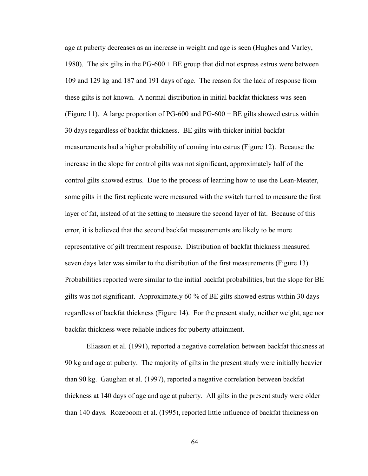age at puberty decreases as an increase in weight and age is seen (Hughes and Varley, 1980). The six gilts in the PG-600 + BE group that did not express estrus were between 109 and 129 kg and 187 and 191 days of age. The reason for the lack of response from these gilts is not known. A normal distribution in initial backfat thickness was seen (Figure 11). A large proportion of PG-600 and PG-600 + BE gilts showed estrus within 30 days regardless of backfat thickness. BE gilts with thicker initial backfat measurements had a higher probability of coming into estrus (Figure 12). Because the increase in the slope for control gilts was not significant, approximately half of the control gilts showed estrus. Due to the process of learning how to use the Lean-Meater, some gilts in the first replicate were measured with the switch turned to measure the first layer of fat, instead of at the setting to measure the second layer of fat. Because of this error, it is believed that the second backfat measurements are likely to be more representative of gilt treatment response. Distribution of backfat thickness measured seven days later was similar to the distribution of the first measurements (Figure 13). Probabilities reported were similar to the initial backfat probabilities, but the slope for BE gilts was not significant. Approximately 60 % of BE gilts showed estrus within 30 days regardless of backfat thickness (Figure 14). For the present study, neither weight, age nor backfat thickness were reliable indices for puberty attainment.

Eliasson et al. (1991), reported a negative correlation between backfat thickness at 90 kg and age at puberty. The majority of gilts in the present study were initially heavier than 90 kg. Gaughan et al. (1997), reported a negative correlation between backfat thickness at 140 days of age and age at puberty. All gilts in the present study were older than 140 days. Rozeboom et al. (1995), reported little influence of backfat thickness on

64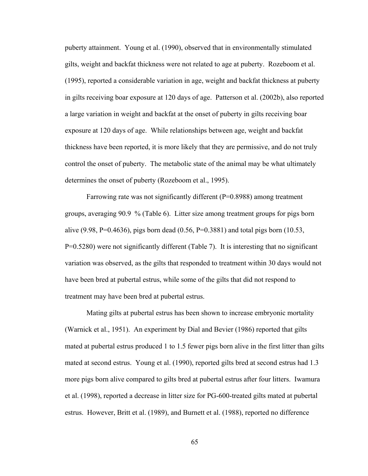puberty attainment. Young et al. (1990), observed that in environmentally stimulated gilts, weight and backfat thickness were not related to age at puberty. Rozeboom et al. (1995), reported a considerable variation in age, weight and backfat thickness at puberty in gilts receiving boar exposure at 120 days of age. Patterson et al. (2002b), also reported a large variation in weight and backfat at the onset of puberty in gilts receiving boar exposure at 120 days of age. While relationships between age, weight and backfat thickness have been reported, it is more likely that they are permissive, and do not truly control the onset of puberty. The metabolic state of the animal may be what ultimately determines the onset of puberty (Rozeboom et al., 1995).

Farrowing rate was not significantly different  $(P=0.8988)$  among treatment groups, averaging 90.9 % (Table 6). Litter size among treatment groups for pigs born alive (9.98, P=0.4636), pigs born dead (0.56, P=0.3881) and total pigs born (10.53, P=0.5280) were not significantly different (Table 7). It is interesting that no significant variation was observed, as the gilts that responded to treatment within 30 days would not have been bred at pubertal estrus, while some of the gilts that did not respond to treatment may have been bred at pubertal estrus.

Mating gilts at pubertal estrus has been shown to increase embryonic mortality (Warnick et al., 1951). An experiment by Dial and Bevier (1986) reported that gilts mated at pubertal estrus produced 1 to 1.5 fewer pigs born alive in the first litter than gilts mated at second estrus. Young et al. (1990), reported gilts bred at second estrus had 1.3 more pigs born alive compared to gilts bred at pubertal estrus after four litters. Iwamura et al. (1998), reported a decrease in litter size for PG-600-treated gilts mated at pubertal estrus. However, Britt et al. (1989), and Burnett et al. (1988), reported no difference

65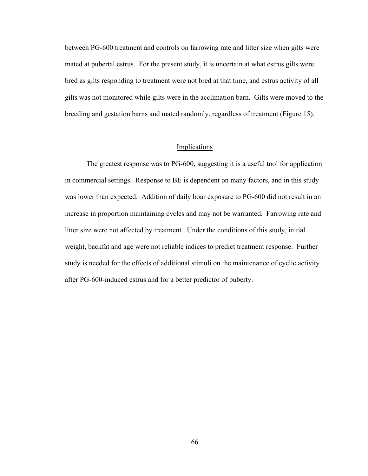between PG-600 treatment and controls on farrowing rate and litter size when gilts were mated at pubertal estrus. For the present study, it is uncertain at what estrus gilts were bred as gilts responding to treatment were not bred at that time, and estrus activity of all gilts was not monitored while gilts were in the acclimation barn. Gilts were moved to the breeding and gestation barns and mated randomly, regardless of treatment (Figure 15).

## Implications

The greatest response was to PG-600, suggesting it is a useful tool for application in commercial settings. Response to BE is dependent on many factors, and in this study was lower than expected. Addition of daily boar exposure to PG-600 did not result in an increase in proportion maintaining cycles and may not be warranted. Farrowing rate and litter size were not affected by treatment. Under the conditions of this study, initial weight, backfat and age were not reliable indices to predict treatment response. Further study is needed for the effects of additional stimuli on the maintenance of cyclic activity after PG-600-induced estrus and for a better predictor of puberty.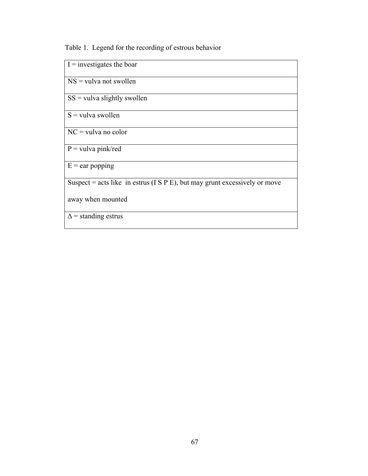Table 1. Legend for the recording of estrous behavior

| $I =$ investigates the boar                                                    |
|--------------------------------------------------------------------------------|
| $NS = vulva not swollen$                                                       |
| $SS =$ vulva slightly swollen                                                  |
| $S =$ vulva swollen                                                            |
| $NC =$ vulva no color                                                          |
| $P =$ vulva pink/red                                                           |
| $E = e$ ar popping                                                             |
| Suspect = acts like in estrus ( $I S P E$ ), but may grunt excessively or move |
| away when mounted                                                              |
| $\Delta$ = standing estrus                                                     |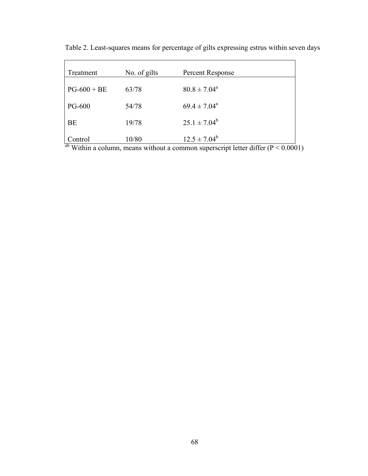| Treatment           | No. of gilts | Percent Response        |
|---------------------|--------------|-------------------------|
| $PG-600 + BE$       | 63/78        | $80.8 \pm 7.04^{\circ}$ |
| <b>PG-600</b>       | 54/78        | $69.4 \pm 7.04^a$       |
| <b>BE</b>           | 19/78        | $25.1 \pm 7.04^b$       |
| ontrol<br>$ab = -a$ | 10/80<br>. . | $12.5 \pm 7.04^b$       |

Table 2. Least-squares means for percentage of gilts expressing estrus within seven days

 $a<sup>b</sup>$  Within a column, means without a common superscript letter differ (P < 0.0001)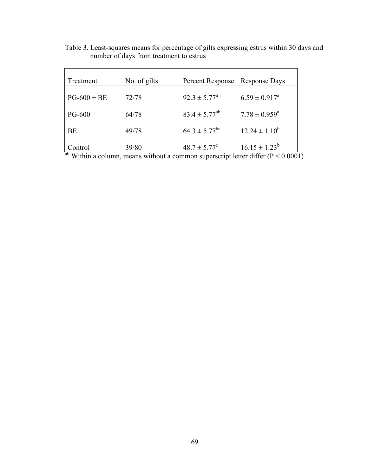| Treatment     | No. of gilts | Percent Response              | <b>Response Days</b>        |
|---------------|--------------|-------------------------------|-----------------------------|
| $PG-600 + BE$ | 72/78        | $92.3 \pm 5.77^{\circ}$       | $6.59 \pm 0.917^{\text{a}}$ |
| <b>PG-600</b> | 64/78        | $83.4 \pm 5.77^{ab}$          | $7.78 \pm 0.959^{\text{a}}$ |
| BE            | 49/78        | $64.3 \pm 5.77$ <sup>bc</sup> | $12.24 \pm 1.10^b$          |
| Control       | 39/80        | $48.7 \pm 5.77^{\circ}$       | $16.15 \pm 1.23^b$          |

Table 3. Least-squares means for percentage of gilts expressing estrus within 30 days and number of days from treatment to estrus

Within a column, means without a common superscript letter differ  $(P < 0.0001)$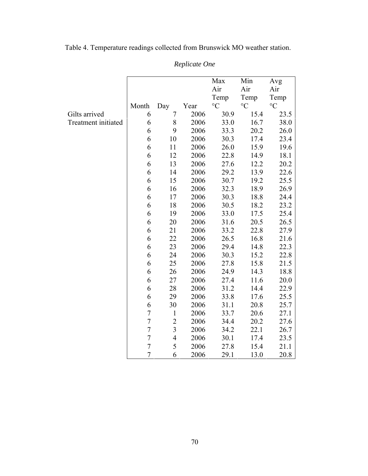|                     |                |                          |      | Max             | Min             | Avg             |
|---------------------|----------------|--------------------------|------|-----------------|-----------------|-----------------|
|                     |                |                          |      | Air             | Air             | Air             |
|                     |                |                          |      | Temp            | Temp            | Temp            |
|                     | Month          | Day                      | Year | $\rm ^{\circ}C$ | $\rm ^{\circ}C$ | $\rm ^{\circ}C$ |
| Gilts arrived       | 6              | 7                        | 2006 | 30.9            | 15.4            | 23.5            |
| Treatment initiated | 6              | $8\,$                    | 2006 | 33.0            | 16.7            | 38.0            |
|                     | 6              | 9                        | 2006 | 33.3            | 20.2            | 26.0            |
|                     | 6              | 10                       | 2006 | 30.3            | 17.4            | 23.4            |
|                     | 6              | 11                       | 2006 | 26.0            | 15.9            | 19.6            |
|                     | 6              | 12                       | 2006 | 22.8            | 14.9            | 18.1            |
|                     | 6              | 13                       | 2006 | 27.6            | 12.2            | 20.2            |
|                     | 6              | 14                       | 2006 | 29.2            | 13.9            | 22.6            |
|                     | 6              | 15                       | 2006 | 30.7            | 19.2            | 25.5            |
|                     | 6              | 16                       | 2006 | 32.3            | 18.9            | 26.9            |
|                     | 6              | 17                       | 2006 | 30.3            | 18.8            | 24.4            |
|                     | 6              | 18                       | 2006 | 30.5            | 18.2            | 23.2            |
|                     | 6              | 19                       | 2006 | 33.0            | 17.5            | 25.4            |
|                     | 6              | 20                       | 2006 | 31.6            | 20.5            | 26.5            |
|                     | 6              | 21                       | 2006 | 33.2            | 22.8            | 27.9            |
|                     | 6              | 22                       | 2006 | 26.5            | 16.8            | 21.6            |
|                     | 6              | 23                       | 2006 | 29.4            | 14.8            | 22.3            |
|                     | 6              | 24                       | 2006 | 30.3            | 15.2            | 22.8            |
|                     | 6              | 25                       | 2006 | 27.8            | 15.8            | 21.5            |
|                     | 6              | 26                       | 2006 | 24.9            | 14.3            | 18.8            |
|                     | 6              | 27                       | 2006 | 27.4            | 11.6            | 20.0            |
|                     | 6              | 28                       | 2006 | 31.2            | 14.4            | 22.9            |
|                     | 6              | 29                       | 2006 | 33.8            | 17.6            | 25.5            |
|                     | 6              | 30                       | 2006 | 31.1            | 20.8            | 25.7            |
|                     | $\overline{7}$ | $\mathbf{1}$             | 2006 | 33.7            | 20.6            | 27.1            |
|                     | $\overline{7}$ | $\overline{c}$           | 2006 | 34.4            | 20.2            | 27.6            |
|                     | $\overline{7}$ | $\overline{3}$           | 2006 | 34.2            | 22.1            | 26.7            |
|                     | $\sqrt{ }$     | $\overline{\mathcal{L}}$ | 2006 | 30.1            | 17.4            | 23.5            |
|                     | $\overline{7}$ | 5                        | 2006 | 27.8            | 15.4            | 21.1            |
|                     | $\overline{7}$ | 6                        | 2006 | 29.1            | 13.0            | 20.8            |

Table 4. Temperature readings collected from Brunswick MO weather station.

*Replicate One*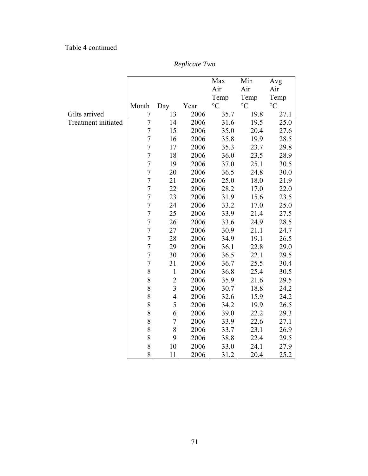## Table 4 continued

|                     |                  |                |      | Max             | Min             | Avg             |
|---------------------|------------------|----------------|------|-----------------|-----------------|-----------------|
|                     |                  |                |      | Air             | Air             | Air             |
|                     |                  |                |      | Temp            | Temp            | Temp            |
|                     | Month            | Day            | Year | $\rm ^{\circ}C$ | $\rm ^{\circ}C$ | $\rm ^{\circ}C$ |
| Gilts arrived       | 7                | 13             | 2006 | 35.7            | 19.8            | 27.1            |
| Treatment initiated | $\overline{7}$   | 14             | 2006 | 31.6            | 19.5            | 25.0            |
|                     | $\sqrt{ }$       | 15             | 2006 | 35.0            | 20.4            | 27.6            |
|                     | $\overline{7}$   | 16             | 2006 | 35.8            | 19.9            | 28.5            |
|                     | $\overline{7}$   | 17             | 2006 | 35.3            | 23.7            | 29.8            |
|                     | $\overline{7}$   | 18             | 2006 | 36.0            | 23.5            | 28.9            |
|                     | $\sqrt{ }$       | 19             | 2006 | 37.0            | 25.1            | 30.5            |
|                     | $\overline{7}$   | 20             | 2006 | 36.5            | 24.8            | 30.0            |
|                     | $\overline{7}$   | 21             | 2006 | 25.0            | 18.0            | 21.9            |
|                     | $\overline{7}$   | 22             | 2006 | 28.2            | 17.0            | 22.0            |
|                     | $\overline{7}$   | 23             | 2006 | 31.9            | 15.6            | 23.5            |
|                     | $\overline{7}$   | 24             | 2006 | 33.2            | 17.0            | 25.0            |
|                     | $\overline{7}$   | 25             | 2006 | 33.9            | 21.4            | 27.5            |
|                     | $\overline{7}$   | 26             | 2006 | 33.6            | 24.9            | 28.5            |
|                     | $\overline{7}$   | 27             | 2006 | 30.9            | 21.1            | 24.7            |
|                     | $\overline{7}$   | 28             | 2006 | 34.9            | 19.1            | 26.5            |
|                     | $\overline{7}$   | 29             | 2006 | 36.1            | 22.8            | 29.0            |
|                     | $\boldsymbol{7}$ | 30             | 2006 | 36.5            | 22.1            | 29.5            |
|                     | $\sqrt{ }$       | 31             | 2006 | 36.7            | 25.5            | 30.4            |
|                     | 8                | $\mathbf{1}$   | 2006 | 36.8            | 25.4            | 30.5            |
|                     | 8                | $\overline{c}$ | 2006 | 35.9            | 21.6            | 29.5            |
|                     | 8                | $\overline{3}$ | 2006 | 30.7            | 18.8            | 24.2            |
|                     | 8                | $\overline{4}$ | 2006 | 32.6            | 15.9            | 24.2            |
|                     | 8                | 5              | 2006 | 34.2            | 19.9            | 26.5            |
|                     | 8                | 6              | 2006 | 39.0            | 22.2            | 29.3            |
|                     | 8                | $\tau$         | 2006 | 33.9            | 22.6            | 27.1            |
|                     | 8                | 8              | 2006 | 33.7            | 23.1            | 26.9            |
|                     | 8                | 9              | 2006 | 38.8            | 22.4            | 29.5            |
|                     | 8                | 10             | 2006 | 33.0            | 24.1            | 27.9            |
|                     | 8                | 11             | 2006 | 31.2            | 20.4            | 25.2            |

*Replicate Two*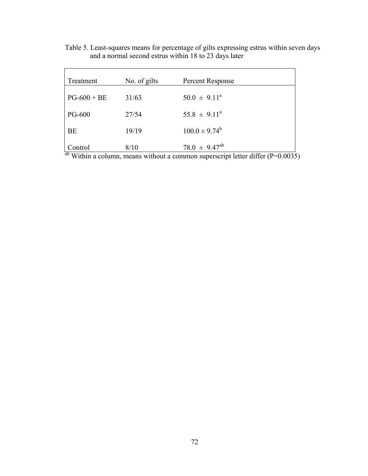| Treatment     | No. of gilts | Percent Response        |
|---------------|--------------|-------------------------|
| $PG-600 + BE$ | 31/63        | $50.0 \pm 9.11^{\circ}$ |
| <b>PG-600</b> | 27/54        | $55.8 \pm 9.11^{\circ}$ |
| <b>BE</b>     | 19/19        | $100.0 \pm 9.74^b$      |
| Control       | 8/10         | $78.0 \pm 9.47^{ab}$    |

Table 5. Least-squares means for percentage of gilts expressing estrus within seven days and a normal second estrus within 18 to 23 days later

 $a<sup>b</sup>$  Within a column, means without a common superscript letter differ (P=0.0035)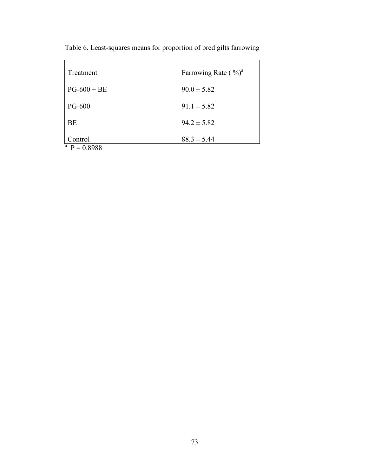| Treatment            | Farrowing Rate $(\frac{9}{0})^a$ |
|----------------------|----------------------------------|
| $PG-600 + BE$        | $90.0 \pm 5.82$                  |
| <b>PG-600</b>        | $91.1 \pm 5.82$                  |
| BE                   | $94.2 \pm 5.82$                  |
| Control              | $88.3 \pm 5.44$                  |
| a<br>$= 0.8988$<br>p |                                  |

Table 6. Least-squares means for proportion of bred gilts farrowing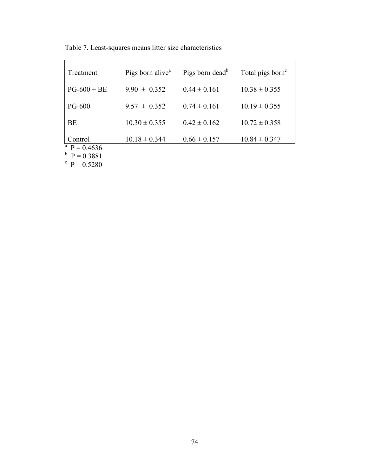| Treatment                                 | Pigs born alive <sup>a</sup> | Pigs born dead <sup>b</sup> | Total pigs born <sup>c</sup> |
|-------------------------------------------|------------------------------|-----------------------------|------------------------------|
| $PG-600 + BE$                             | $9.90 \pm 0.352$             | $0.44 \pm 0.161$            | $10.38 \pm 0.355$            |
| <b>PG-600</b>                             | $9.57 \pm 0.352$             | $0.74 \pm 0.161$            | $10.19 \pm 0.355$            |
| BE                                        | $10.30 \pm 0.355$            | $0.42 \pm 0.162$            | $10.72 \pm 0.358$            |
| Control                                   | $10.18 \pm 0.344$            | $0.66 \pm 0.157$            | $10.84 \pm 0.347$            |
| <sup>a</sup> P = 0.4636<br>$b$ P = 0.3881 |                              |                             |                              |

Table 7. Least-squares means litter size characteristics

 $P = 0.3881$ <br>  $P = 0.5280$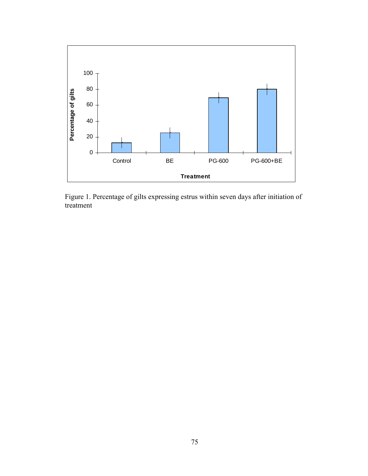

Figure 1. Percentage of gilts expressing estrus within seven days after initiation of treatment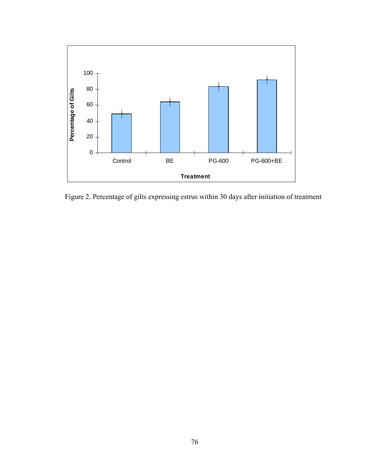

Figure 2. Percentage of gilts expressing estrus within 30 days after initiation of treatment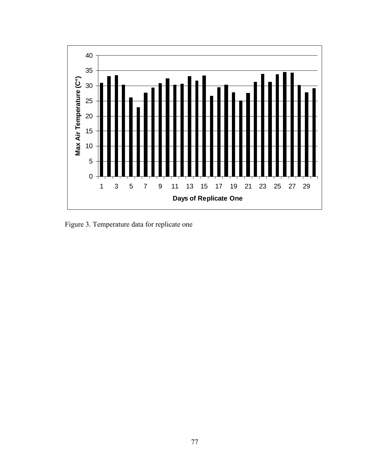

Figure 3. Temperature data for replicate one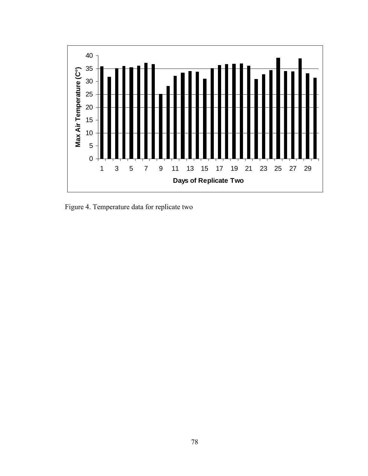

Figure 4. Temperature data for replicate two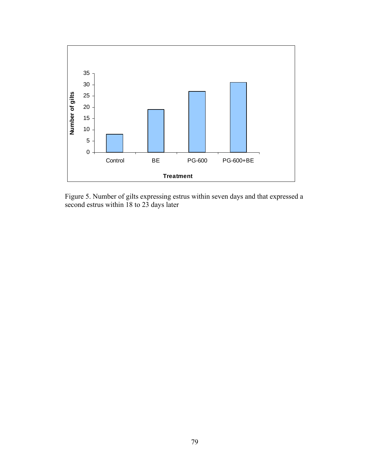

Figure 5. Number of gilts expressing estrus within seven days and that expressed a second estrus within 18 to 23 days later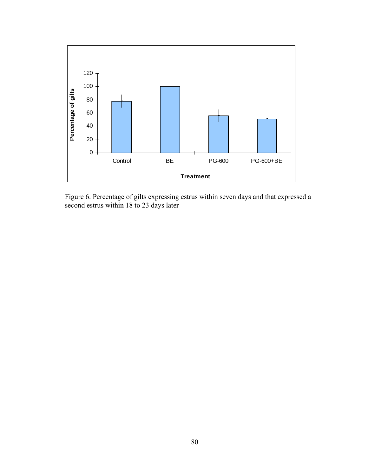

Figure 6. Percentage of gilts expressing estrus within seven days and that expressed a second estrus within 18 to 23 days later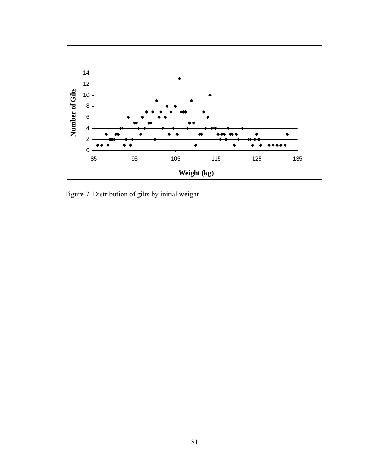

Figure 7. Distribution of gilts by initial weight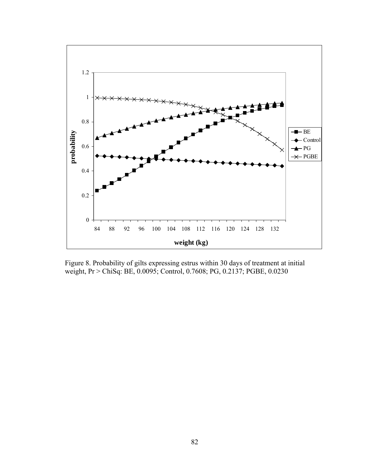

Figure 8. Probability of gilts expressing estrus within 30 days of treatment at initial weight, Pr > ChiSq: BE, 0.0095; Control, 0.7608; PG, 0.2137; PGBE, 0.0230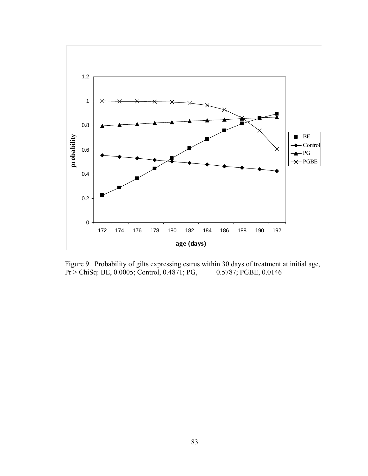

Figure 9. Probability of gilts expressing estrus within 30 days of treatment at initial age,<br>Pr > ChiSq: BE, 0.0005; Control, 0.4871; PG, 0.5787; PGBE, 0.0146  $Pr > ChiSq$ : BE, 0.0005; Control, 0.4871; PG,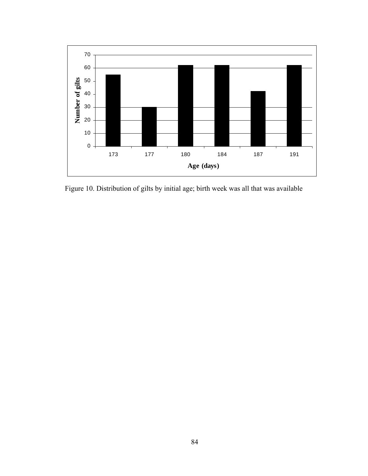

Figure 10. Distribution of gilts by initial age; birth week was all that was available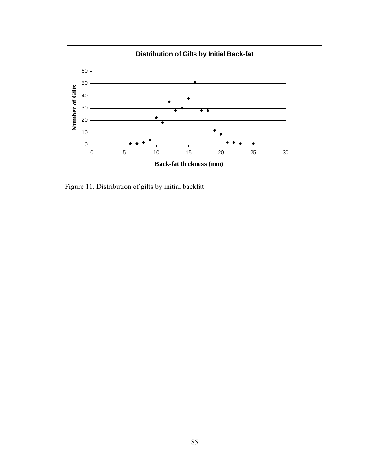

Figure 11. Distribution of gilts by initial backfat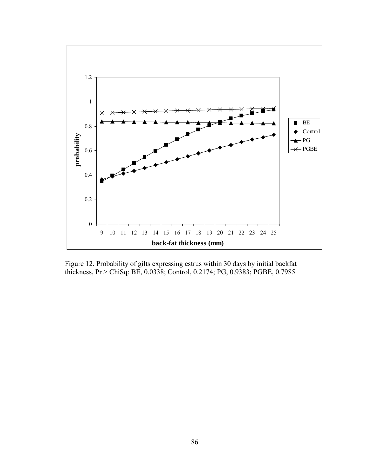

Figure 12. Probability of gilts expressing estrus within 30 days by initial backfat thickness, Pr > ChiSq: BE, 0.0338; Control, 0.2174; PG, 0.9383; PGBE, 0.7985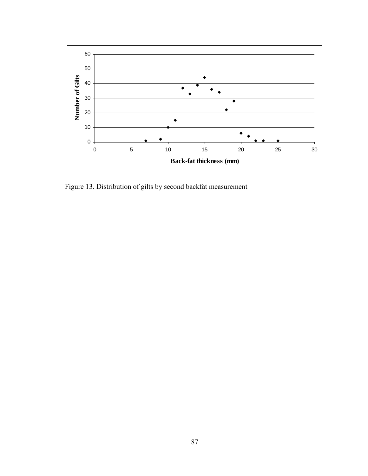

Figure 13. Distribution of gilts by second backfat measurement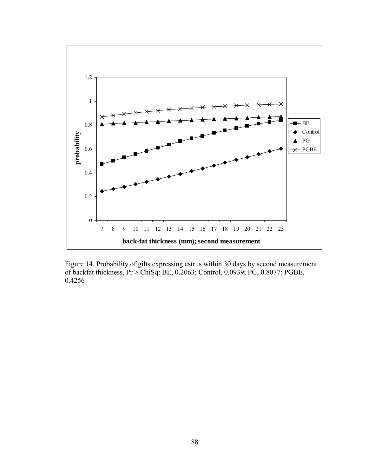

Figure 14. Probability of gilts expressing estrus within 30 days by second measurement of backfat thickness, Pr > ChiSq: BE, 0.2063; Control, 0.0939; PG, 0.8077; PGBE, 0.4256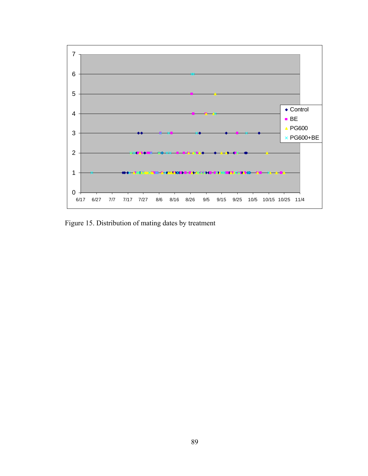

Figure 15. Distribution of mating dates by treatment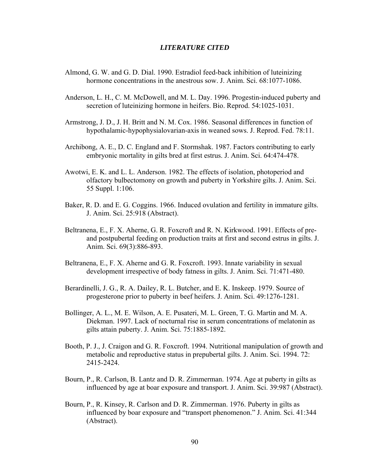## *LITERATURE CITED*

- Almond, G. W. and G. D. Dial. 1990. Estradiol feed-back inhibition of luteinizing hormone concentrations in the anestrous sow. J. Anim. Sci. 68:1077-1086.
- Anderson, L. H., C. M. McDowell, and M. L. Day. 1996. Progestin-induced puberty and secretion of luteinizing hormone in heifers. Bio. Reprod. 54:1025-1031.
- Armstrong, J. D., J. H. Britt and N. M. Cox. 1986. Seasonal differences in function of hypothalamic-hypophysialovarian-axis in weaned sows. J. Reprod. Fed. 78:11.
- Archibong, A. E., D. C. England and F. Stormshak. 1987. Factors contributing to early embryonic mortality in gilts bred at first estrus. J. Anim. Sci. 64:474-478.
- Awotwi, E. K. and L. L. Anderson. 1982. The effects of isolation, photoperiod and olfactory bulbectomony on growth and puberty in Yorkshire gilts. J. Anim. Sci. 55 Suppl. 1:106.
- Baker, R. D. and E. G. Coggins. 1966. Induced ovulation and fertility in immature gilts. J. Anim. Sci. 25:918 (Abstract).
- Beltranena, E., F. X. Aherne, G. R. Foxcroft and R. N. Kirkwood. 1991. Effects of preand postpubertal feeding on production traits at first and second estrus in gilts. J. Anim. Sci. 69(3):886-893.
- Beltranena, E., F. X. Aherne and G. R. Foxcroft. 1993. Innate variability in sexual development irrespective of body fatness in gilts. J. Anim. Sci. 71:471-480.
- Berardinelli, J. G., R. A. Dailey, R. L. Butcher, and E. K. Inskeep. 1979. Source of progesterone prior to puberty in beef heifers. J. Anim. Sci. 49:1276-1281.
- Bollinger, A. L., M. E. Wilson, A. E. Pusateri, M. L. Green, T. G. Martin and M. A. Diekman. 1997. Lack of nocturnal rise in serum concentrations of melatonin as gilts attain puberty. J. Anim. Sci. 75:1885-1892.
- Booth, P. J., J. Craigon and G. R. Foxcroft. 1994. Nutritional manipulation of growth and metabolic and reproductive status in prepubertal gilts. J. Anim. Sci. 1994. 72: 2415-2424.
- Bourn, P., R. Carlson, B. Lantz and D. R. Zimmerman. 1974. Age at puberty in gilts as influenced by age at boar exposure and transport. J. Anim. Sci. 39:987 (Abstract).
- Bourn, P., R. Kinsey, R. Carlson and D. R. Zimmerman. 1976. Puberty in gilts as influenced by boar exposure and "transport phenomenon." J. Anim. Sci. 41:344 (Abstract).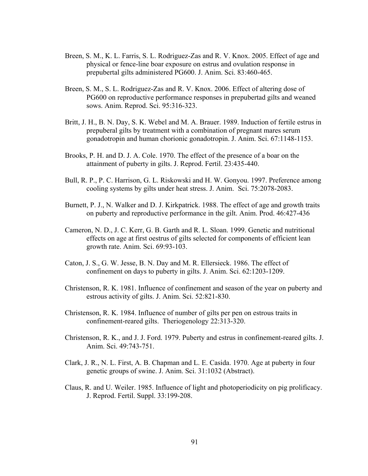- Breen, S. M., K. L. Farris, S. L. Rodriguez-Zas and R. V. Knox. 2005. Effect of age and physical or fence-line boar exposure on estrus and ovulation response in prepubertal gilts administered PG600. J. Anim. Sci. 83:460-465.
- Breen, S. M., S. L. Rodriguez-Zas and R. V. Knox. 2006. Effect of altering dose of PG600 on reproductive performance responses in prepubertad gilts and weaned sows. Anim. Reprod. Sci. 95:316-323.
- Britt, J. H., B. N. Day, S. K. Webel and M. A. Brauer. 1989. Induction of fertile estrus in prepuberal gilts by treatment with a combination of pregnant mares serum gonadotropin and human chorionic gonadotropin. J. Anim. Sci. 67:1148-1153.
- Brooks, P. H. and D. J. A. Cole. 1970. The effect of the presence of a boar on the attainment of puberty in gilts. J. Reprod. Fertil. 23:435-440.
- Bull, R. P., P. C. Harrison, G. L. Riskowski and H. W. Gonyou. 1997. Preference among cooling systems by gilts under heat stress. J. Anim. Sci. 75:2078-2083.
- Burnett, P. J., N. Walker and D. J. Kirkpatrick. 1988. The effect of age and growth traits on puberty and reproductive performance in the gilt. Anim. Prod. 46:427-436
- Cameron, N. D., J. C. Kerr, G. B. Garth and R. L. Sloan. 1999. Genetic and nutritional effects on age at first oestrus of gilts selected for components of efficient lean growth rate. Anim. Sci. 69:93-103.
- Caton, J. S., G. W. Jesse, B. N. Day and M. R. Ellersieck. 1986. The effect of confinement on days to puberty in gilts. J. Anim. Sci. 62:1203-1209.
- Christenson, R. K. 1981. Influence of confinement and season of the year on puberty and estrous activity of gilts. J. Anim. Sci. 52:821-830.
- Christenson, R. K. 1984. Influence of number of gilts per pen on estrous traits in confinement-reared gilts. Theriogenology 22:313-320.
- Christenson, R. K., and J. J. Ford. 1979. Puberty and estrus in confinement-reared gilts. J. Anim. Sci. 49:743-751.
- Clark, J. R., N. L. First, A. B. Chapman and L. E. Casida. 1970. Age at puberty in four genetic groups of swine. J. Anim. Sci. 31:1032 (Abstract).
- Claus, R. and U. Weiler. 1985. Influence of light and photoperiodicity on pig prolificacy. J. Reprod. Fertil. Suppl. 33:199-208.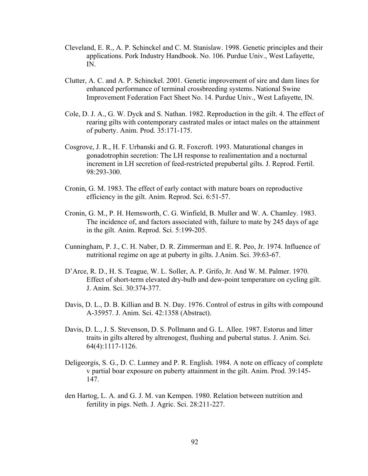- Cleveland, E. R., A. P. Schinckel and C. M. Stanislaw. 1998. Genetic principles and their applications. Pork Industry Handbook. No. 106. Purdue Univ., West Lafayette, IN.
- Clutter, A. C. and A. P. Schinckel. 2001. Genetic improvement of sire and dam lines for enhanced performance of terminal crossbreeding systems. National Swine Improvement Federation Fact Sheet No. 14. Purdue Univ., West Lafayette, IN.
- Cole, D. J. A., G. W. Dyck and S. Nathan. 1982. Reproduction in the gilt. 4. The effect of rearing gilts with contemporary castrated males or intact males on the attainment of puberty. Anim. Prod. 35:171-175.
- Cosgrove, J. R., H. F. Urbanski and G. R. Foxcroft. 1993. Maturational changes in gonadotrophin secretion: The LH response to realimentation and a nocturnal increment in LH secretion of feed-restricted prepubertal gilts. J. Reprod. Fertil. 98:293-300.
- Cronin, G. M. 1983. The effect of early contact with mature boars on reproductive efficiency in the gilt. Anim. Reprod. Sci. 6:51-57.
- Cronin, G. M., P. H. Hemsworth, C. G. Winfield, B. Muller and W. A. Chamley. 1983. The incidence of, and factors associated with, failure to mate by 245 days of age in the gilt. Anim. Reprod. Sci. 5:199-205.
- Cunningham, P. J., C. H. Naber, D. R. Zimmerman and E. R. Peo, Jr. 1974. Influence of nutritional regime on age at puberty in gilts. J.Anim. Sci. 39:63-67.
- D'Arce, R. D., H. S. Teague, W. L. Soller, A. P. Grifo, Jr. And W. M. Palmer. 1970. Effect of short-term elevated dry-bulb and dew-point temperature on cycling gilt. J. Anim. Sci. 30:374-377.
- Davis, D. L., D. B. Killian and B. N. Day. 1976. Control of estrus in gilts with compound A-35957. J. Anim. Sci. 42:1358 (Abstract).
- Davis, D. L., J. S. Stevenson, D. S. Pollmann and G. L. Allee. 1987. Estorus and litter traits in gilts altered by altrenogest, flushing and pubertal status. J. Anim. Sci. 64(4):1117-1126.
- Deligeorgis, S. G., D. C. Lunney and P. R. English. 1984. A note on efficacy of complete v partial boar exposure on puberty attainment in the gilt. Anim. Prod. 39:145- 147.
- den Hartog, L. A. and G. J. M. van Kempen. 1980. Relation between nutrition and fertility in pigs. Neth. J. Agric. Sci. 28:211-227.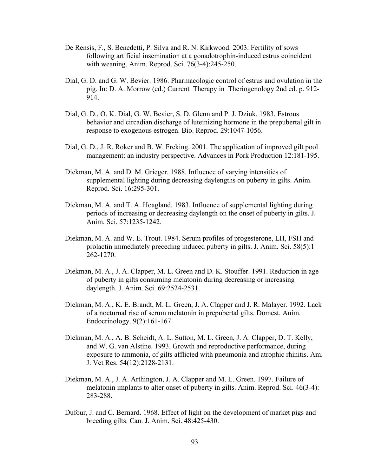- De Rensis, F., S. Benedetti, P. Silva and R. N. Kirkwood. 2003. Fertility of sows following artificial insemination at a gonadotrophin-induced estrus coincident with weaning. Anim. Reprod. Sci. 76(3-4):245-250.
- Dial, G. D. and G. W. Bevier. 1986. Pharmacologic control of estrus and ovulation in the pig. In: D. A. Morrow (ed.) Current Therapy in Theriogenology 2nd ed. p. 912- 914.
- Dial, G. D., O. K. Dial, G. W. Bevier, S. D. Glenn and P. J. Dziuk. 1983. Estrous behavior and circadian discharge of luteinizing hormone in the prepubertal gilt in response to exogenous estrogen. Bio. Reprod. 29:1047-1056.
- Dial, G. D., J. R. Roker and B. W. Freking. 2001. The application of improved gilt pool management: an industry perspective. Advances in Pork Production 12:181-195.
- Diekman, M. A. and D. M. Grieger. 1988. Influence of varying intensities of supplemental lighting during decreasing daylengths on puberty in gilts. Anim. Reprod. Sci. 16:295-301.
- Diekman, M. A. and T. A. Hoagland. 1983. Influence of supplemental lighting during periods of increasing or decreasing daylength on the onset of puberty in gilts. J. Anim. Sci. 57:1235-1242.
- Diekman, M. A. and W. E. Trout. 1984. Serum profiles of progesterone, LH, FSH and prolactin immediately preceding induced puberty in gilts. J. Anim. Sci. 58(5):1 262-1270.
- Diekman, M. A., J. A. Clapper, M. L. Green and D. K. Stouffer. 1991. Reduction in age of puberty in gilts consuming melatonin during decreasing or increasing daylength. J. Anim. Sci. 69:2524-2531.
- Diekman, M. A., K. E. Brandt, M. L. Green, J. A. Clapper and J. R. Malayer. 1992. Lack of a nocturnal rise of serum melatonin in prepubertal gilts. Domest. Anim. Endocrinology. 9(2):161-167.
- Diekman, M. A., A. B. Scheidt, A. L. Sutton, M. L. Green, J. A. Clapper, D. T. Kelly, and W. G. van Alstine. 1993. Growth and reproductive performance, during exposure to ammonia, of gilts afflicted with pneumonia and atrophic rhinitis. Am. J. Vet Res. 54(12):2128-2131.
- Diekman, M. A., J. A. Arthington, J. A. Clapper and M. L. Green. 1997. Failure of melatonin implants to alter onset of puberty in gilts. Anim. Reprod. Sci. 46(3-4): 283-288.
- Dufour, J. and C. Bernard. 1968. Effect of light on the development of market pigs and breeding gilts. Can. J. Anim. Sci. 48:425-430.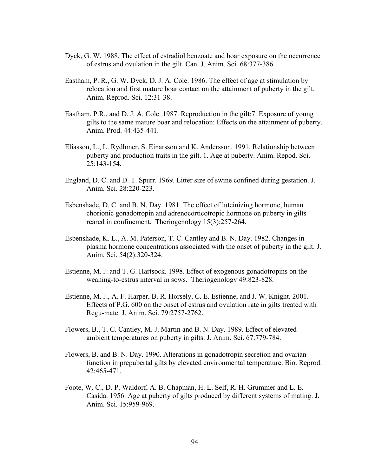- Dyck, G. W. 1988. The effect of estradiol benzoate and boar exposure on the occurrence of estrus and ovulation in the gilt. Can. J. Anim. Sci. 68:377-386.
- Eastham, P. R., G. W. Dyck, D. J. A. Cole. 1986. The effect of age at stimulation by relocation and first mature boar contact on the attainment of puberty in the gilt. Anim. Reprod. Sci. 12:31-38.
- Eastham, P.R., and D. J. A. Cole. 1987. Reproduction in the gilt:7. Exposure of young gilts to the same mature boar and relocation: Effects on the attainment of puberty. Anim. Prod. 44:435-441.
- Eliasson, L., L. Rydhmer, S. Einarsson and K. Andersson. 1991. Relationship between puberty and production traits in the gilt. 1. Age at puberty. Anim. Repod. Sci. 25:143-154.
- England, D. C. and D. T. Spurr. 1969. Litter size of swine confined during gestation. J. Anim. Sci. 28:220-223.
- Esbenshade, D. C. and B. N. Day. 1981. The effect of luteinizing hormone, human chorionic gonadotropin and adrenocorticotropic hormone on puberty in gilts reared in confinement. Theriogenology 15(3):257-264.
- Esbenshade, K. L., A. M. Paterson, T. C. Cantley and B. N. Day. 1982. Changes in plasma hormone concentrations associated with the onset of puberty in the gilt. J. Anim. Sci. 54(2):320-324.
- Estienne, M. J. and T. G. Hartsock. 1998. Effect of exogenous gonadotropins on the weaning-to-estrus interval in sows. Theriogenology 49:823-828.
- Estienne, M. J., A. F. Harper, B. R. Horsely, C. E. Estienne, and J. W. Knight. 2001. Effects of P.G. 600 on the onset of estrus and ovulation rate in gilts treated with Regu-mate. J. Anim. Sci. 79:2757-2762.
- Flowers, B., T. C. Cantley, M. J. Martin and B. N. Day. 1989. Effect of elevated ambient temperatures on puberty in gilts. J. Anim. Sci. 67:779-784.
- Flowers, B. and B. N. Day. 1990. Alterations in gonadotropin secretion and ovarian function in prepubertal gilts by elevated environmental temperature. Bio. Reprod. 42:465-471.
- Foote, W. C., D. P. Waldorf, A. B. Chapman, H. L. Self, R. H. Grummer and L. E. Casida. 1956. Age at puberty of gilts produced by different systems of mating. J. Anim. Sci. 15:959-969.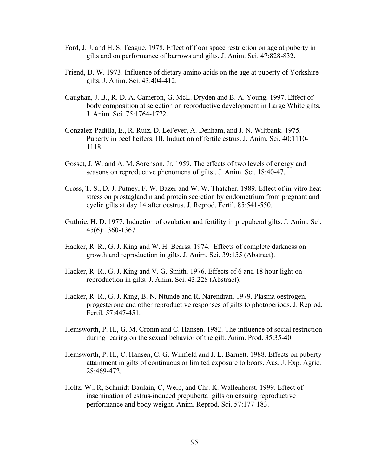- Ford, J. J. and H. S. Teague. 1978. Effect of floor space restriction on age at puberty in gilts and on performance of barrows and gilts. J. Anim. Sci. 47:828-832.
- Friend, D. W. 1973. Influence of dietary amino acids on the age at puberty of Yorkshire gilts. J. Anim. Sci. 43:404-412.
- Gaughan, J. B., R. D. A. Cameron, G. McL. Dryden and B. A. Young. 1997. Effect of body composition at selection on reproductive development in Large White gilts. J. Anim. Sci. 75:1764-1772.
- Gonzalez-Padilla, E., R. Ruiz, D. LeFever, A. Denham, and J. N. Wiltbank. 1975. Puberty in beef heifers. III. Induction of fertile estrus. J. Anim. Sci. 40:1110- 1118.
- Gosset, J. W. and A. M. Sorenson, Jr. 1959. The effects of two levels of energy and seasons on reproductive phenomena of gilts . J. Anim. Sci. 18:40-47.
- Gross, T. S., D. J. Putney, F. W. Bazer and W. W. Thatcher. 1989. Effect of in-vitro heat stress on prostaglandin and protein secretion by endometrium from pregnant and cyclic gilts at day 14 after oestrus. J. Reprod. Fertil. 85:541-550.
- Guthrie, H. D. 1977. Induction of ovulation and fertility in prepuberal gilts. J. Anim. Sci. 45(6):1360-1367.
- Hacker, R. R., G. J. King and W. H. Bearss. 1974. Effects of complete darkness on growth and reproduction in gilts. J. Anim. Sci. 39:155 (Abstract).
- Hacker, R. R., G. J. King and V. G. Smith. 1976. Effects of 6 and 18 hour light on reproduction in gilts. J. Anim. Sci. 43:228 (Abstract).
- Hacker, R. R., G. J. King, B. N. Ntunde and R. Narendran. 1979. Plasma oestrogen, progesterone and other reproductive responses of gilts to photoperiods. J. Reprod. Fertil. 57:447-451.
- Hemsworth, P. H., G. M. Cronin and C. Hansen. 1982. The influence of social restriction during rearing on the sexual behavior of the gilt. Anim. Prod. 35:35-40.
- Hemsworth, P. H., C. Hansen, C. G. Winfield and J. L. Barnett. 1988. Effects on puberty attainment in gilts of continuous or limited exposure to boars. Aus. J. Exp. Agric. 28:469-472.
- Holtz, W., R, Schmidt-Baulain, C, Welp, and Chr. K. Wallenhorst. 1999. Effect of insemination of estrus-induced prepubertal gilts on ensuing reproductive performance and body weight. Anim. Reprod. Sci. 57:177-183.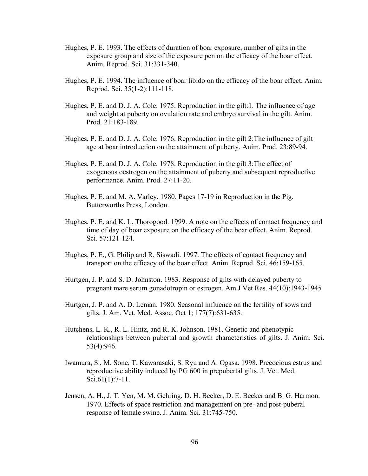- Hughes, P. E. 1993. The effects of duration of boar exposure, number of gilts in the exposure group and size of the exposure pen on the efficacy of the boar effect. Anim. Reprod. Sci. 31:331-340.
- Hughes, P. E. 1994. The influence of boar libido on the efficacy of the boar effect. Anim. Reprod. Sci. 35(1-2):111-118.
- Hughes, P. E. and D. J. A. Cole. 1975. Reproduction in the gilt:1. The influence of age and weight at puberty on ovulation rate and embryo survival in the gilt. Anim. Prod. 21:183-189.
- Hughes, P. E. and D. J. A. Cole. 1976. Reproduction in the gilt 2:The influence of gilt age at boar introduction on the attainment of puberty. Anim. Prod. 23:89-94.
- Hughes, P. E. and D. J. A. Cole. 1978. Reproduction in the gilt 3:The effect of exogenous oestrogen on the attainment of puberty and subsequent reproductive performance. Anim. Prod. 27:11-20.
- Hughes, P. E. and M. A. Varley. 1980. Pages 17-19 in Reproduction in the Pig. Butterworths Press, London.
- Hughes, P. E. and K. L. Thorogood. 1999. A note on the effects of contact frequency and time of day of boar exposure on the efficacy of the boar effect. Anim. Reprod. Sci. 57:121-124.
- Hughes, P. E., G. Philip and R. Siswadi. 1997. The effects of contact frequency and transport on the efficacy of the boar effect. Anim. Reprod. Sci. 46:159-165.
- Hurtgen, J. P. and S. D. Johnston. 1983. Response of gilts with delayed puberty to pregnant mare serum gonadotropin or estrogen. Am J Vet Res. 44(10):1943-1945
- Hurtgen, J. P. and A. D. Leman. 1980. Seasonal influence on the fertility of sows and gilts. J. Am. Vet. Med. Assoc. Oct 1; 177(7):631-635.
- Hutchens, L. K., R. L. Hintz, and R. K. Johnson. 1981. Genetic and phenotypic relationships between pubertal and growth characteristics of gilts. J. Anim. Sci. 53(4):946.
- Iwamura, S., M. Sone, T. Kawarasaki, S. Ryu and A. Ogasa. 1998. Precocious estrus and reproductive ability induced by PG 600 in prepubertal gilts. J. Vet. Med. Sci.61(1):7-11.
- Jensen, A. H., J. T. Yen, M. M. Gehring, D. H. Becker, D. E. Becker and B. G. Harmon. 1970. Effects of space restriction and management on pre- and post-puberal response of female swine. J. Anim. Sci. 31:745-750.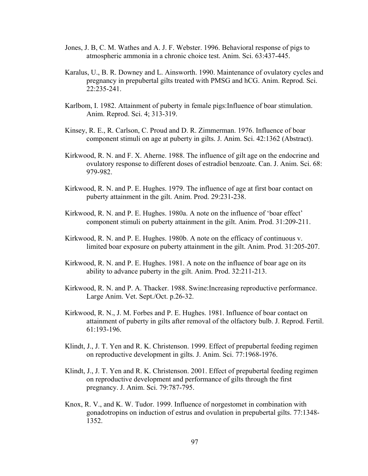- Jones, J. B, C. M. Wathes and A. J. F. Webster. 1996. Behavioral response of pigs to atmospheric ammonia in a chronic choice test. Anim. Sci. 63:437-445.
- Karalus, U., B. R. Downey and L. Ainsworth. 1990. Maintenance of ovulatory cycles and pregnancy in prepubertal gilts treated with PMSG and hCG. Anim. Reprod. Sci. 22:235-241.
- Karlbom, I. 1982. Attainment of puberty in female pigs:Influence of boar stimulation. Anim. Reprod. Sci. 4; 313-319.
- Kinsey, R. E., R. Carlson, C. Proud and D. R. Zimmerman. 1976. Influence of boar component stimuli on age at puberty in gilts. J. Anim. Sci. 42:1362 (Abstract).
- Kirkwood, R. N. and F. X. Aherne. 1988. The influence of gilt age on the endocrine and ovulatory response to different doses of estradiol benzoate. Can. J. Anim. Sci. 68: 979-982.
- Kirkwood, R. N. and P. E. Hughes. 1979. The influence of age at first boar contact on puberty attainment in the gilt. Anim. Prod. 29:231-238.
- Kirkwood, R. N. and P. E. Hughes. 1980a. A note on the influence of 'boar effect' component stimuli on puberty attainment in the gilt. Anim. Prod. 31:209-211.
- Kirkwood, R. N. and P. E. Hughes. 1980b. A note on the efficacy of continuous v. limited boar exposure on puberty attainment in the gilt. Anim. Prod. 31:205-207.
- Kirkwood, R. N. and P. E. Hughes. 1981. A note on the influence of boar age on its ability to advance puberty in the gilt. Anim. Prod. 32:211-213.
- Kirkwood, R. N. and P. A. Thacker. 1988. Swine:Increasing reproductive performance. Large Anim. Vet. Sept./Oct. p.26-32.
- Kirkwood, R. N., J. M. Forbes and P. E. Hughes. 1981. Influence of boar contact on attainment of puberty in gilts after removal of the olfactory bulb. J. Reprod. Fertil. 61:193-196.
- Klindt, J., J. T. Yen and R. K. Christenson. 1999. Effect of prepubertal feeding regimen on reproductive development in gilts. J. Anim. Sci. 77:1968-1976.
- Klindt, J., J. T. Yen and R. K. Christenson. 2001. Effect of prepubertal feeding regimen on reproductive development and performance of gilts through the first pregnancy. J. Anim. Sci. 79:787-795.
- Knox, R. V., and K. W. Tudor. 1999. Influence of norgestomet in combination with gonadotropins on induction of estrus and ovulation in prepubertal gilts. 77:1348- 1352.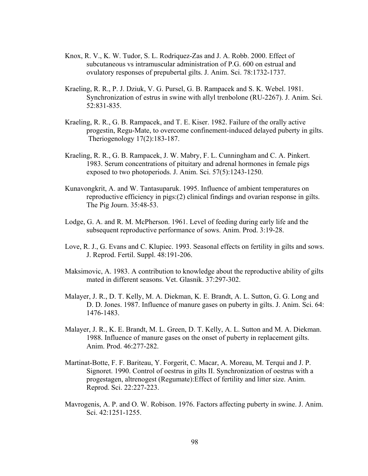- Knox, R. V., K. W. Tudor, S. L. Rodriquez-Zas and J. A. Robb. 2000. Effect of subcutaneous vs intramuscular administration of P.G. 600 on estrual and ovulatory responses of prepubertal gilts. J. Anim. Sci. 78:1732-1737.
- Kraeling, R. R., P. J. Dziuk, V. G. Pursel, G. B. Rampacek and S. K. Webel. 1981. Synchronization of estrus in swine with allyl trenbolone (RU-2267). J. Anim. Sci. 52:831-835.
- Kraeling, R. R., G. B. Rampacek, and T. E. Kiser. 1982. Failure of the orally active progestin, Regu-Mate, to overcome confinement-induced delayed puberty in gilts. Theriogenology 17(2):183-187.
- Kraeling, R. R., G. B. Rampacek, J. W. Mabry, F. L. Cunningham and C. A. Pinkert. 1983. Serum concentrations of pituitary and adrenal hormones in female pigs exposed to two photoperiods. J. Anim. Sci. 57(5):1243-1250.
- Kunavongkrit, A. and W. Tantasuparuk. 1995. Influence of ambient temperatures on reproductive efficiency in pigs:(2) clinical findings and ovarian response in gilts. The Pig Journ. 35:48-53.
- Lodge, G. A. and R. M. McPherson. 1961. Level of feeding during early life and the subsequent reproductive performance of sows. Anim. Prod. 3:19-28.
- Love, R. J., G. Evans and C. Klupiec. 1993. Seasonal effects on fertility in gilts and sows. J. Reprod. Fertil. Suppl. 48:191-206.
- Maksimovic, A. 1983. A contribution to knowledge about the reproductive ability of gilts mated in different seasons. Vet. Glasnik. 37:297-302.
- Malayer, J. R., D. T. Kelly, M. A. Diekman, K. E. Brandt, A. L. Sutton, G. G. Long and D. D. Jones. 1987. Influence of manure gases on puberty in gilts. J. Anim. Sci. 64: 1476-1483.
- Malayer, J. R., K. E. Brandt, M. L. Green, D. T. Kelly, A. L. Sutton and M. A. Diekman. 1988. Influence of manure gases on the onset of puberty in replacement gilts. Anim. Prod. 46:277-282.
- Martinat-Botte, F. F. Bariteau, Y. Forgerit, C. Macar, A. Moreau, M. Terqui and J. P. Signoret. 1990. Control of oestrus in gilts II. Synchronization of oestrus with a progestagen, altrenogest (Regumate):Effect of fertility and litter size. Anim. Reprod. Sci. 22:227-223.
- Mavrogenis, A. P. and O. W. Robison. 1976. Factors affecting puberty in swine. J. Anim. Sci. 42:1251-1255.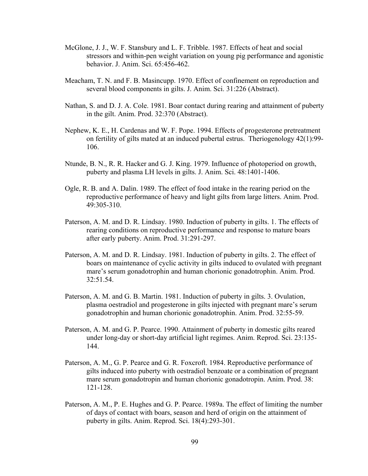- McGlone, J. J., W. F. Stansbury and L. F. Tribble. 1987. Effects of heat and social stressors and within-pen weight variation on young pig performance and agonistic behavior. J. Anim. Sci. 65:456-462.
- Meacham, T. N. and F. B. Masincupp. 1970. Effect of confinement on reproduction and several blood components in gilts. J. Anim. Sci. 31:226 (Abstract).
- Nathan, S. and D. J. A. Cole. 1981. Boar contact during rearing and attainment of puberty in the gilt. Anim. Prod. 32:370 (Abstract).
- Nephew, K. E., H. Cardenas and W. F. Pope. 1994. Effects of progesterone pretreatment on fertility of gilts mated at an induced pubertal estrus. Theriogenology 42(1):99- 106.
- Ntunde, B. N., R. R. Hacker and G. J. King. 1979. Influence of photoperiod on growth, puberty and plasma LH levels in gilts. J. Anim. Sci. 48:1401-1406.
- Ogle, R. B. and A. Dalin. 1989. The effect of food intake in the rearing period on the reproductive performance of heavy and light gilts from large litters. Anim. Prod. 49:305-310.
- Paterson, A. M. and D. R. Lindsay. 1980. Induction of puberty in gilts. 1. The effects of rearing conditions on reproductive performance and response to mature boars after early puberty. Anim. Prod. 31:291-297.
- Paterson, A. M. and D. R. Lindsay. 1981. Induction of puberty in gilts. 2. The effect of boars on maintenance of cyclic activity in gilts induced to ovulated with pregnant mare's serum gonadotrophin and human chorionic gonadotrophin. Anim. Prod. 32:51.54.
- Paterson, A. M. and G. B. Martin. 1981. Induction of puberty in gilts. 3. Ovulation, plasma oestradiol and progesterone in gilts injected with pregnant mare's serum gonadotrophin and human chorionic gonadotrophin. Anim. Prod. 32:55-59.
- Paterson, A. M. and G. P. Pearce. 1990. Attainment of puberty in domestic gilts reared under long-day or short-day artificial light regimes. Anim. Reprod. Sci. 23:135- 144.
- Paterson, A. M., G. P. Pearce and G. R. Foxcroft. 1984. Reproductive performance of gilts induced into puberty with oestradiol benzoate or a combination of pregnant mare serum gonadotropin and human chorionic gonadotropin. Anim. Prod. 38: 121-128.
- Paterson, A. M., P. E. Hughes and G. P. Pearce. 1989a. The effect of limiting the number of days of contact with boars, season and herd of origin on the attainment of puberty in gilts. Anim. Reprod. Sci. 18(4):293-301.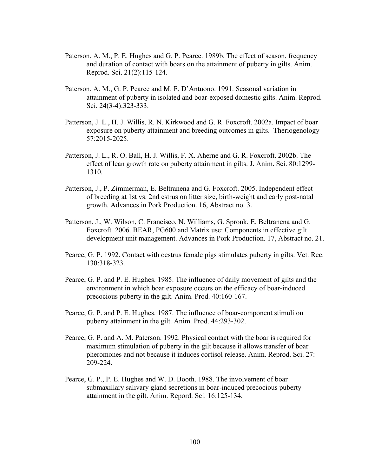- Paterson, A. M., P. E. Hughes and G. P. Pearce. 1989b. The effect of season, frequency and duration of contact with boars on the attainment of puberty in gilts. Anim. Reprod. Sci. 21(2):115-124.
- Paterson, A. M., G. P. Pearce and M. F. D'Antuono. 1991. Seasonal variation in attainment of puberty in isolated and boar-exposed domestic gilts. Anim. Reprod. Sci. 24(3-4):323-333.
- Patterson, J. L., H. J. Willis, R. N. Kirkwood and G. R. Foxcroft. 2002a. Impact of boar exposure on puberty attainment and breeding outcomes in gilts. Theriogenology 57:2015-2025.
- Patterson, J. L., R. O. Ball, H. J. Willis, F. X. Aherne and G. R. Foxcroft. 2002b. The effect of lean growth rate on puberty attainment in gilts. J. Anim. Sci. 80:1299- 1310.
- Patterson, J., P. Zimmerman, E. Beltranena and G. Foxcroft. 2005. Independent effect of breeding at 1st vs. 2nd estrus on litter size, birth-weight and early post-natal growth. Advances in Pork Production. 16, Abstract no. 3.
- Patterson, J., W. Wilson, C. Francisco, N. Williams, G. Spronk, E. Beltranena and G. Foxcroft. 2006. BEAR, PG600 and Matrix use: Components in effective gilt development unit management. Advances in Pork Production. 17, Abstract no. 21.
- Pearce, G. P. 1992. Contact with oestrus female pigs stimulates puberty in gilts. Vet. Rec. 130:318-323.
- Pearce, G. P. and P. E. Hughes. 1985. The influence of daily movement of gilts and the environment in which boar exposure occurs on the efficacy of boar-induced precocious puberty in the gilt. Anim. Prod. 40:160-167.
- Pearce, G. P. and P. E. Hughes. 1987. The influence of boar-component stimuli on puberty attainment in the gilt. Anim. Prod. 44:293-302.
- Pearce, G. P. and A. M. Paterson. 1992. Physical contact with the boar is required for maximum stimulation of puberty in the gilt because it allows transfer of boar pheromones and not because it induces cortisol release. Anim. Reprod. Sci. 27: 209-224.
- Pearce, G. P., P. E. Hughes and W. D. Booth. 1988. The involvement of boar submaxillary salivary gland secretions in boar-induced precocious puberty attainment in the gilt. Anim. Repord. Sci. 16:125-134.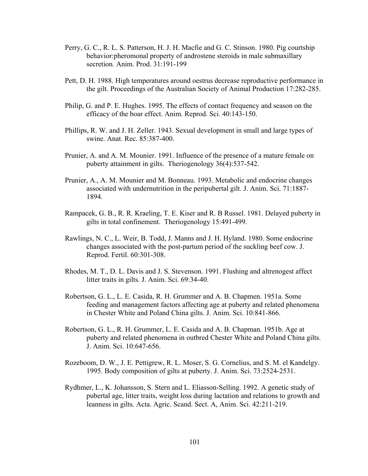- Perry, G. C., R. L. S. Patterson, H. J. H. Macfie and G. C. Stinson. 1980. Pig courtship behavior:pheromonal property of androstene steroids in male submaxillary secretion. Anim. Prod. 31:191-199
- Pett, D. H. 1988. High temperatures around oestrus decrease reproductive performance in the gilt. Proceedings of the Australian Society of Animal Production 17:282-285.
- Philip, G. and P. E. Hughes. 1995. The effects of contact frequency and season on the efficacy of the boar effect. Anim. Reprod. Sci. 40:143-150.
- Phillips, R. W. and J. H. Zeller. 1943. Sexual development in small and large types of swine. Anat. Rec. 85:387-400.
- Prunier, A. and A. M. Mounier. 1991. Influence of the presence of a mature female on puberty attainment in gilts. Theriogenology 36(4):537-542.
- Prunier, A., A. M. Mounier and M. Bonneau. 1993. Metabolic and endocrine changes associated with undernutrition in the peripubertal gilt. J. Anim. Sci. 71:1887- 1894.
- Rampacek, G. B., R. R. Kraeling, T. E. Kiser and R. B Russel. 1981. Delayed puberty in gilts in total confinement. Theriogenology 15:491-499.
- Rawlings, N. C., L. Weir, B. Todd, J. Manns and J. H. Hyland. 1980. Some endocrine changes associated with the post-partum period of the suckling beef cow. J. Reprod. Fertil. 60:301-308.
- Rhodes, M. T., D. L. Davis and J. S. Stevenson. 1991. Flushing and altrenogest affect litter traits in gilts. J. Anim. Sci. 69:34-40.
- Robertson, G. L., L. E. Casida, R. H. Grummer and A. B. Chapmen. 1951a. Some feeding and management factors affecting age at puberty and related phenomena in Chester White and Poland China gilts. J. Anim. Sci. 10:841-866.
- Robertson, G. L., R. H. Grummer, L. E. Casida and A. B. Chapman. 1951b. Age at puberty and related phenomena in outbred Chester White and Poland China gilts. J. Anim. Sci. 10:647-656.
- Rozeboom, D. W., J. E. Pettigrew, R. L. Moser, S. G. Cornelius, and S. M. el Kandelgy. 1995. Body composition of gilts at puberty. J. Anim. Sci. 73:2524-2531.
- Rydhmer, L., K. Johansson, S. Stern and L. Eliasson-Selling. 1992. A genetic study of pubertal age, litter traits, weight loss during lactation and relations to growth and leanness in gilts. Acta. Agric. Scand. Sect. A, Anim. Sci. 42:211-219.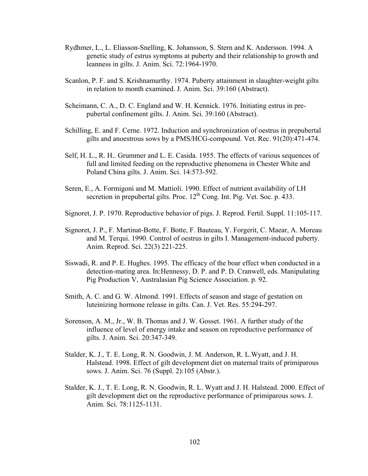- Rydhmer, L., L. Eliasson-Snelling, K. Johansson, S. Stern and K. Andersson. 1994. A genetic study of estrus symptoms at puberty and their relationship to growth and leanness in gilts. J. Anim. Sci. 72:1964-1970.
- Scanlon, P. F. and S. Krishnamurthy. 1974. Puberty attainment in slaughter-weight gilts in relation to month examined. J. Anim. Sci. 39:160 (Abstract).
- Scheimann, C. A., D. C. England and W. H. Kennick. 1976. Initiating estrus in prepubertal confinement gilts. J. Anim. Sci. 39:160 (Abstract).
- Schilling, E. and F. Cerne. 1972. Induction and synchronization of oestrus in prepubertal gilts and anoestrous sows by a PMS/HCG-compound. Vet. Rec. 91(20):471-474.
- Self, H. L., R. H.. Grummer and L. E. Casida. 1955. The effects of various sequences of full and limited feeding on the reproductive phenomena in Chester White and Poland China gilts. J. Anim. Sci. 14:573-592.
- Seren, E., A. Formigoni and M. Mattioli. 1990. Effect of nutrient availability of LH secretion in prepubertal gilts. Proc.  $12^{th}$  Cong. Int. Pig. Vet. Soc. p. 433.
- Signoret, J. P. 1970. Reproductive behavior of pigs. J. Reprod. Fertil. Suppl. 11:105-117.
- Signoret, J. P., F. Martinat-Botte, F. Botte, F. Bauteau, Y. Forgerit, C. Maear, A. Moreau and M. Terqui. 1990. Control of oestrus in gilts I. Management-induced puberty. Anim. Reprod. Sci. 22(3) 221-225.
- Siswadi, R. and P. E. Hughes. 1995. The efficacy of the boar effect when conducted in a detection-mating area. In:Hennessy, D. P. and P. D. Cranwell, eds. Manipulating Pig Production V, Australasian Pig Science Association. p. 92.
- Smith, A. C. and G. W. Almond. 1991. Effects of season and stage of gestation on luteinizing hormone release in gilts. Can. J. Vet. Res. 55:294-297.
- Sorenson, A. M., Jr., W. B. Thomas and J. W. Gosset. 1961. A further study of the influence of level of energy intake and season on reproductive performance of gilts. J. Anim. Sci. 20:347-349.
- Stalder, K. J., T. E. Long, R. N. Goodwin, J. M. Anderson, R. L.Wyatt, and J. H. Halstead. 1998. Effect of gilt development diet on maternal traits of primiparous sows. J. Anim. Sci. 76 (Suppl. 2):105 (Abstr.).
- Stalder, K. J., T. E. Long, R. N. Goodwin, R. L. Wyatt and J. H. Halstead. 2000. Effect of gilt development diet on the reproductive performance of primiparous sows. J. Anim. Sci. 78:1125-1131.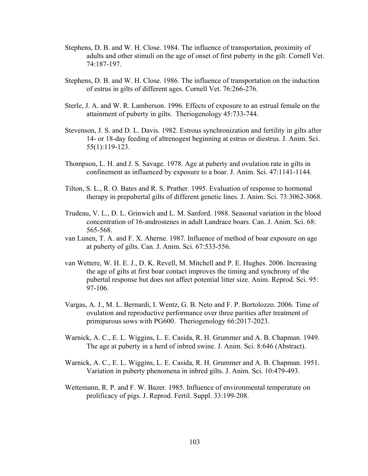- Stephens, D. B. and W. H. Close. 1984. The influence of transportation, proximity of adults and other stimuli on the age of onset of first puberty in the gilt. Cornell Vet. 74:187-197.
- Stephens, D. B. and W. H. Close. 1986. The influence of transportation on the induction of estrus in gilts of different ages. Cornell Vet. 76:266-276.
- Sterle, J. A. and W. R. Lamberson. 1996. Effects of exposure to an estrual female on the attainment of puberty in gilts. Theriogenology 45:733-744.
- Stevenson, J. S. and D. L. Davis. 1982. Estrous synchronization and fertility in gilts after 14- or 18-day feeding of altrenogest beginning at estrus or diestrus. J. Anim. Sci. 55(1):119-123.
- Thompson, L. H. and J. S. Savage. 1978. Age at puberty and ovulation rate in gilts in confinement as influenced by exposure to a boar. J. Anim. Sci. 47:1141-1144.
- Tilton, S. L., R. O. Bates and R. S. Prather. 1995. Evaluation of response to hormonal therapy in prepubertal gilts of different genetic lines. J. Anim. Sci. 73:3062-3068.
- Trudeau, V. L., D. L. Grinwich and L. M. Sanford. 1988. Seasonal variation in the blood concentration of 16-androstenes in adult Landrace boars. Can. J. Anim. Sci. 68: 565-568.
- van Lunen, T. A. and F. X. Aherne. 1987. Influence of method of boar exposure on age at puberty of gilts. Can. J. Anim. Sci. 67:533-556.
- van Wettere, W. H. E. J., D. K. Revell, M. Mitchell and P. E. Hughes. 2006. Increasing the age of gilts at first boar contact improves the timing and synchrony of the pubertal response but does not affect potential litter size. Anim. Reprod. Sci. 95: 97-106.
- Vargas, A. J., M. L. Bernardi, I. Wentz, G. B. Neto and F. P. Bortolozzo. 2006. Time of ovulation and reproductive performance over three parities after treatment of primiparous sows with PG600. Theriogenology 66:2017-2023.
- Warnick, A. C., E. L. Wiggins, L. E. Casida, R. H. Grummer and A. B. Chapman. 1949. The age at puberty in a herd of inbred swine. J. Anim. Sci. 8:646 (Abstract).
- Warnick, A. C., E. L. Wiggins, L. E. Casida, R. H. Grummer and A. B. Chapman. 1951. Variation in puberty phenomena in inbred gilts. J. Anim. Sci. 10:479-493.
- Wettemann, R. P. and F. W. Bazer. 1985. Influence of environmental temperature on prolificacy of pigs. J. Reprod. Fertil. Suppl. 33:199-208.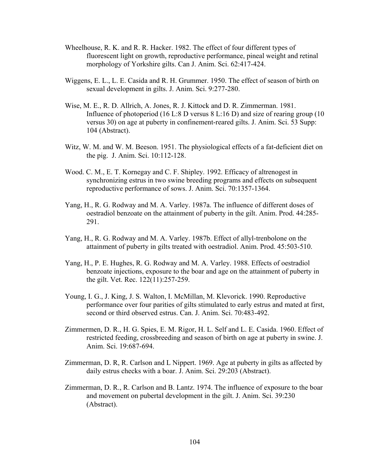- Wheelhouse, R. K. and R. R. Hacker. 1982. The effect of four different types of fluorescent light on growth, reproductive performance, pineal weight and retinal morphology of Yorkshire gilts. Can J. Anim. Sci. 62:417-424.
- Wiggens, E. L., L. E. Casida and R. H. Grummer. 1950. The effect of season of birth on sexual development in gilts. J. Anim. Sci. 9:277-280.
- Wise, M. E., R. D. Allrich, A. Jones, R. J. Kittock and D. R. Zimmerman. 1981. Influence of photoperiod (16 L:8 D versus 8 L:16 D) and size of rearing group (10 versus 30) on age at puberty in confinement-reared gilts. J. Anim. Sci. 53 Supp: 104 (Abstract).
- Witz, W. M. and W. M. Beeson. 1951. The physiological effects of a fat-deficient diet on the pig. J. Anim. Sci. 10:112-128.
- Wood. C. M., E. T. Kornegay and C. F. Shipley. 1992. Efficacy of altrenogest in synchronizing estrus in two swine breeding programs and effects on subsequent reproductive performance of sows. J. Anim. Sci. 70:1357-1364.
- Yang, H., R. G. Rodway and M. A. Varley. 1987a. The influence of different doses of oestradiol benzoate on the attainment of puberty in the gilt. Anim. Prod. 44:285- 291.
- Yang, H., R. G. Rodway and M. A. Varley. 1987b. Effect of allyl-trenbolone on the attainment of puberty in gilts treated with oestradiol. Anim. Prod. 45:503-510.
- Yang, H., P. E. Hughes, R. G. Rodway and M. A. Varley. 1988. Effects of oestradiol benzoate injections, exposure to the boar and age on the attainment of puberty in the gilt. Vet. Rec. 122(11):257-259.
- Young, I. G., J. King, J. S. Walton, I. McMillan, M. Klevorick. 1990. Reproductive performance over four parities of gilts stimulated to early estrus and mated at first, second or third observed estrus. Can. J. Anim. Sci. 70:483-492.
- Zimmermen, D. R., H. G. Spies, E. M. Rigor, H. L. Self and L. E. Casida. 1960. Effect of restricted feeding, crossbreeding and season of birth on age at puberty in swine. J. Anim. Sci. 19:687-694.
- Zimmerman, D. R, R. Carlson and L Nippert. 1969. Age at puberty in gilts as affected by daily estrus checks with a boar. J. Anim. Sci. 29:203 (Abstract).
- Zimmerman, D. R., R. Carlson and B. Lantz. 1974. The influence of exposure to the boar and movement on pubertal development in the gilt. J. Anim. Sci. 39:230 (Abstract).